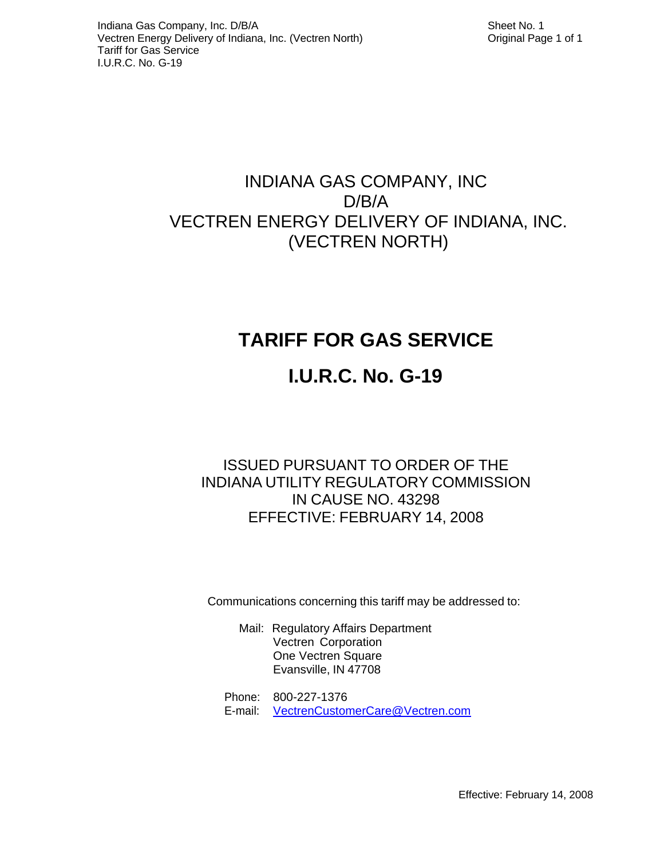# INDIANA GAS COMPANY, INC D/B/A VECTREN ENERGY DELIVERY OF INDIANA, INC. (VECTREN NORTH)

# **TARIFF FOR GAS SERVICE**

# **I.U.R.C. No. G-19**

## ISSUED PURSUANT TO ORDER OF THE INDIANA UTILITY REGULATORY COMMISSION IN CAUSE NO. 43298 EFFECTIVE: FEBRUARY 14, 2008

Communications concerning this tariff may be addressed to:

- Mail: Regulatory Affairs Department Vectren Corporation One Vectren Square Evansville, IN 47708
- Phone: 800-227-1376 E-mail: VectrenCustomerCare@Vectren.com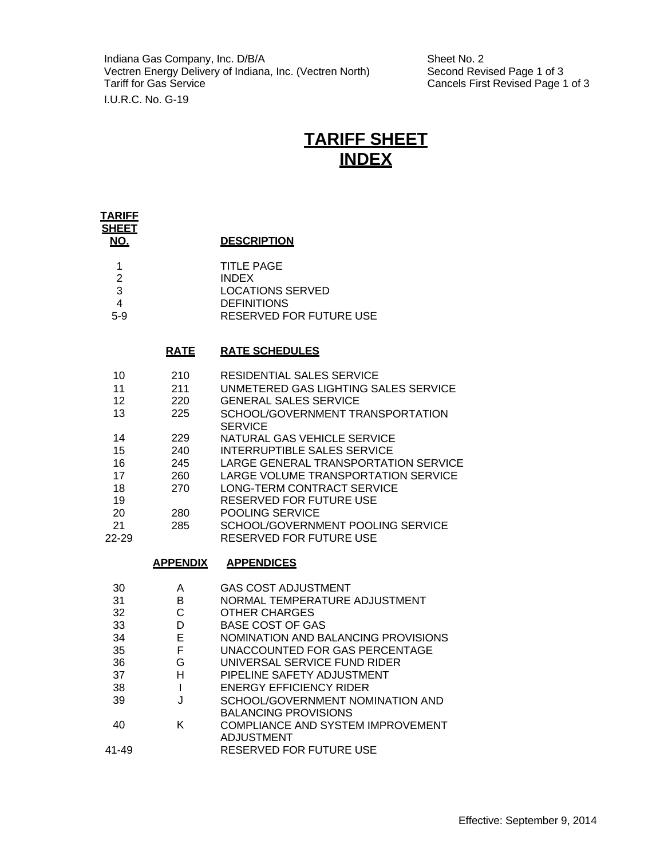Indiana Gas Company, Inc. D/B/A<br>
Vectren Energy Delivery of Indiana, Inc. (Vectren North) Second Revised Page 1 of 3 Vectren Energy Delivery of Indiana, Inc. (Vectren North)<br>Tariff for Gas Service I.U.R.C. No. G-19

Cancels First Revised Page 1 of 3

## **TARIFF SHEET INDEX**

| <u>TARIFE</u><br><b>SHEET</b>                                                              |                                                                           |                                                                                                                                                                                                                                                                                                                                                                                                                                                         |
|--------------------------------------------------------------------------------------------|---------------------------------------------------------------------------|---------------------------------------------------------------------------------------------------------------------------------------------------------------------------------------------------------------------------------------------------------------------------------------------------------------------------------------------------------------------------------------------------------------------------------------------------------|
| NO.                                                                                        |                                                                           | <b>DESCRIPTION</b>                                                                                                                                                                                                                                                                                                                                                                                                                                      |
| 1<br>$\overline{2}$<br>3<br>4<br>$5-9$                                                     |                                                                           | <b>TITLE PAGE</b><br><b>INDEX</b><br><b>LOCATIONS SERVED</b><br><b>DEFINITIONS</b><br>RESERVED FOR FUTURE USE                                                                                                                                                                                                                                                                                                                                           |
|                                                                                            | <b>RATE</b>                                                               | <b>RATE SCHEDULES</b>                                                                                                                                                                                                                                                                                                                                                                                                                                   |
| 10<br>11<br>12 <sup>2</sup><br>13<br>14<br>15<br>16<br>17<br>18<br>19<br>20<br>21<br>22-29 | 210<br>211<br>220<br>225<br>229<br>240<br>245<br>260<br>270<br>280<br>285 | RESIDENTIAL SALES SERVICE<br>UNMETERED GAS LIGHTING SALES SERVICE<br><b>GENERAL SALES SERVICE</b><br>SCHOOL/GOVERNMENT TRANSPORTATION<br><b>SERVICE</b><br>NATURAL GAS VEHICLE SERVICE<br><b>INTERRUPTIBLE SALES SERVICE</b><br>LARGE GENERAL TRANSPORTATION SERVICE<br>LARGE VOLUME TRANSPORTATION SERVICE<br>LONG-TERM CONTRACT SERVICE<br>RESERVED FOR FUTURE USE<br>POOLING SERVICE<br>SCHOOL/GOVERNMENT POOLING SERVICE<br>RESERVED FOR FUTURE USE |
|                                                                                            | <b>APPENDIX</b>                                                           | <u>APPENDICES</u>                                                                                                                                                                                                                                                                                                                                                                                                                                       |
| 30<br>31<br>32<br>33<br>34<br>35<br>36<br>37<br>38<br>39<br>40<br>41-49                    | A<br>B<br>C<br>D<br>E<br>F.<br>G<br>H.<br>T<br>J<br>Κ                     | <b>GAS COST ADJUSTMENT</b><br>NORMAL TEMPERATURE ADJUSTMENT<br><b>OTHER CHARGES</b><br><b>BASE COST OF GAS</b><br>NOMINATION AND BALANCING PROVISIONS<br>UNACCOUNTED FOR GAS PERCENTAGE<br>UNIVERSAL SERVICE FUND RIDER<br>PIPELINE SAFETY ADJUSTMENT<br><b>ENERGY EFFICIENCY RIDER</b><br>SCHOOL/GOVERNMENT NOMINATION AND<br><b>BALANCING PROVISIONS</b><br>COMPLIANCE AND SYSTEM IMPROVEMENT<br>ADJUSTMENT<br>RESERVED FOR FUTURE USE                |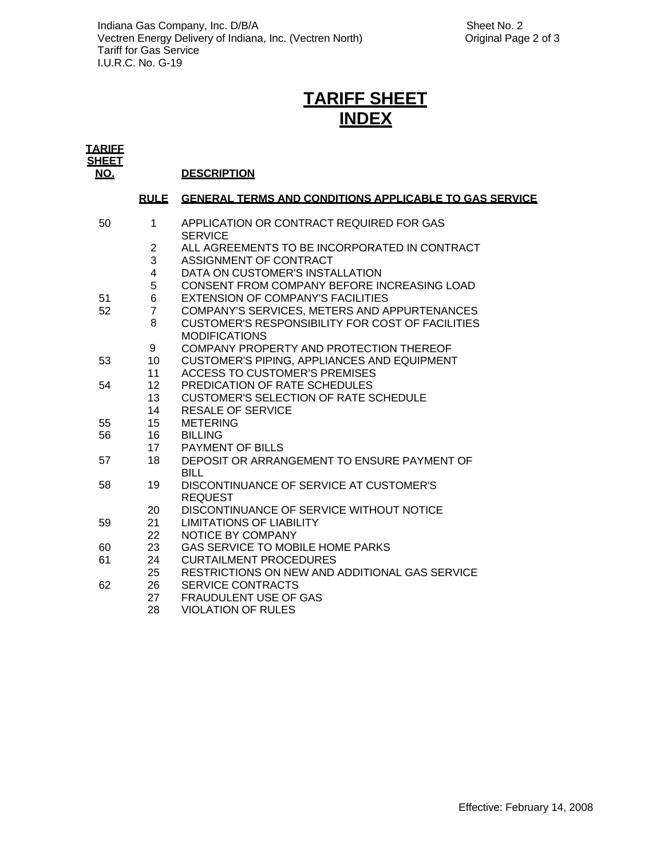# **TARIFF SHEET INDEX**

| <b>TARIFF</b>              |                         |                                                               |
|----------------------------|-------------------------|---------------------------------------------------------------|
| <b>SHEET</b><br><u>NO.</u> |                         | <b>DESCRIPTION</b>                                            |
|                            | <b>RULE</b>             | <b>GENERAL TERMS AND CONDITIONS APPLICABLE TO GAS SERVICE</b> |
| 50                         | $\mathbf 1$             | APPLICATION OR CONTRACT REQUIRED FOR GAS<br><b>SERVICE</b>    |
|                            | $\overline{2}$          | ALL AGREEMENTS TO BE INCORPORATED IN CONTRACT                 |
|                            | 3                       | ASSIGNMENT OF CONTRACT                                        |
|                            | $\overline{\mathbf{4}}$ | DATA ON CUSTOMER'S INSTALLATION                               |
|                            | 5                       | CONSENT FROM COMPANY BEFORE INCREASING LOAD                   |
| 51                         | 6                       | EXTENSION OF COMPANY'S FACILITIES                             |
| 52                         | $\overline{7}$          | COMPANY'S SERVICES, METERS AND APPURTENANCES                  |
|                            | 8                       | <b>CUSTOMER'S RESPONSIBILITY FOR COST OF FACILITIES</b>       |
|                            |                         | <b>MODIFICATIONS</b>                                          |
|                            | 9                       | COMPANY PROPERTY AND PROTECTION THEREOF                       |
| 53                         | 10                      | <b>CUSTOMER'S PIPING, APPLIANCES AND EQUIPMENT</b>            |
|                            | 11                      | <b>ACCESS TO CUSTOMER'S PREMISES</b>                          |
| 54                         | 12 <sup>2</sup>         | PREDICATION OF RATE SCHEDULES                                 |
|                            | 13                      | <b>CUSTOMER'S SELECTION OF RATE SCHEDULE</b>                  |
|                            | 14                      | <b>RESALE OF SERVICE</b>                                      |
| 55                         | 15                      | <b>METERING</b>                                               |
| 56                         | 16                      | <b>BILLING</b>                                                |
| 57                         | 17<br>18                | PAYMENT OF BILLS                                              |
|                            |                         | DEPOSIT OR ARRANGEMENT TO ENSURE PAYMENT OF                   |
| 58                         | 19                      | <b>BILL</b><br>DISCONTINUANCE OF SERVICE AT CUSTOMER'S        |
|                            |                         | <b>REQUEST</b>                                                |
|                            | 20                      | DISCONTINUANCE OF SERVICE WITHOUT NOTICE                      |
| 59                         | 21                      | <b>LIMITATIONS OF LIABILITY</b>                               |
|                            | 22                      | NOTICE BY COMPANY                                             |
| 60                         | 23                      | GAS SERVICE TO MOBILE HOME PARKS                              |
| 61                         | 24                      | <b>CURTAILMENT PROCEDURES</b>                                 |
|                            | 25                      | RESTRICTIONS ON NEW AND ADDITIONAL GAS SERVICE                |
| 62                         | 26                      | <b>SERVICE CONTRACTS</b>                                      |
|                            | 27                      | <b>FRAUDULENT USE OF GAS</b>                                  |
|                            | 28                      | <b>VIOLATION OF RULES</b>                                     |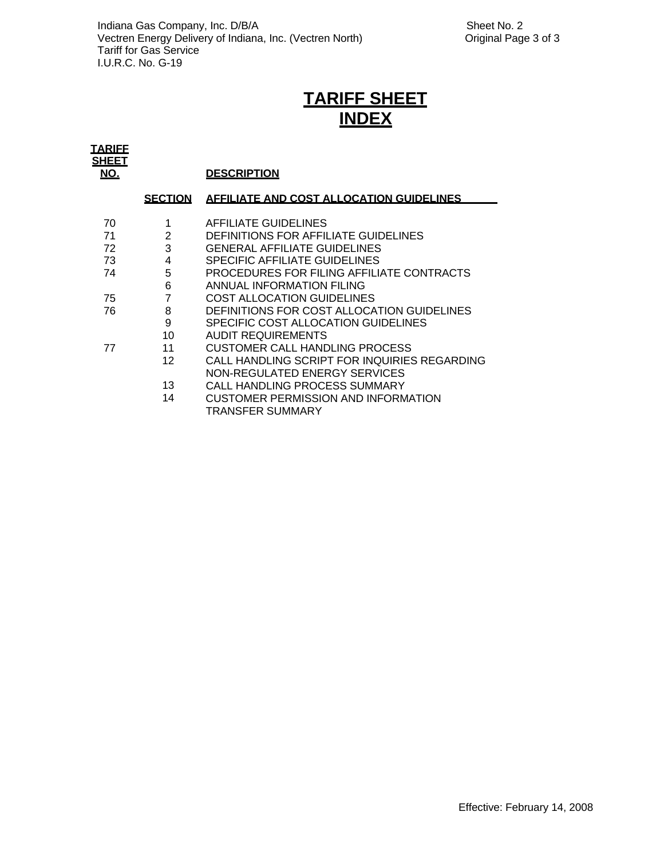# **TARIFF SHEET INDEX**

| <b>TARIFF</b>       |                |                                                 |
|---------------------|----------------|-------------------------------------------------|
| <b>SHEET</b><br>NO. |                | <b>DESCRIPTION</b>                              |
|                     | <b>SECTION</b> | <b>AFFILIATE AND COST ALLOCATION GUIDELINES</b> |
| 70                  |                | AFFILIATE GUIDELINES                            |
| 71                  | $\overline{2}$ | DEFINITIONS FOR AFFILIATE GUIDELINES            |
| 72                  | 3              | <b>GENERAL AFFILIATE GUIDELINES</b>             |
| 73                  | 4              | SPECIFIC AFFILIATE GUIDELINES                   |
| 74                  | 5              | PROCEDURES FOR FILING AFFILIATE CONTRACTS       |
|                     | 6              | ANNUAL INFORMATION FILING                       |
| 75                  | 7              | <b>COST ALLOCATION GUIDELINES</b>               |
| 76                  | 8              | DEFINITIONS FOR COST ALLOCATION GUIDELINES      |
|                     | 9              | SPECIFIC COST ALLOCATION GUIDELINES             |
|                     | 10             | AUDIT REQUIREMENTS                              |
| 77                  | 11             | <b>CUSTOMER CALL HANDLING PROCESS</b>           |
|                     | 12             | CALL HANDLING SCRIPT FOR INQUIRIES REGARDING    |
|                     |                | NON-REGULATED ENERGY SERVICES                   |
|                     | 13             | CALL HANDLING PROCESS SUMMARY                   |
|                     | 14             | CUSTOMER PERMISSION AND INFORMATION             |
|                     |                | TRANSFER SUMMARY                                |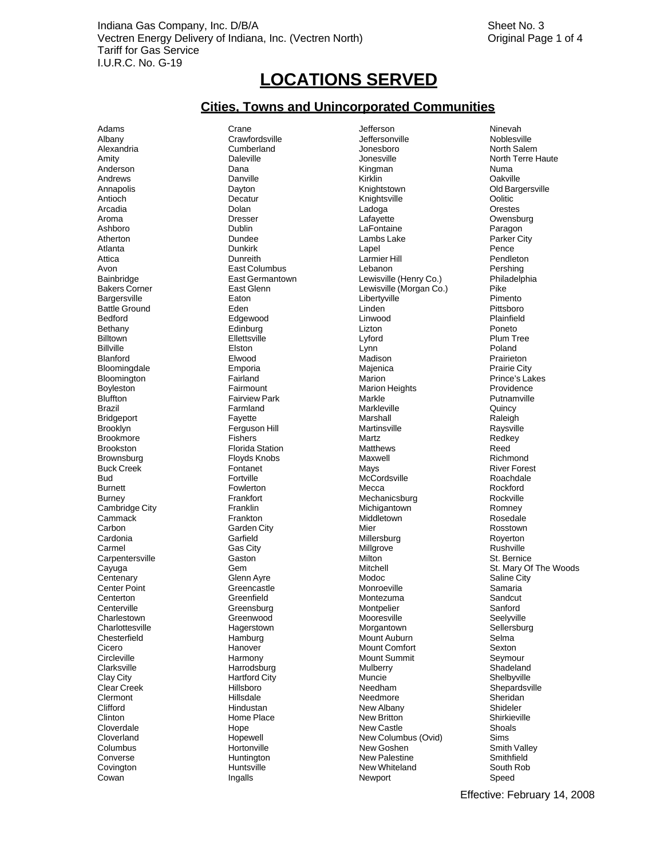# **LOCATIONS SERVED**

## **Cities, Towns and Unincorporated Communities**

Fairview Park **Markle Markle**<br>Farmland **Container Markley Markley** Floyds Knobs

Adams Crane Jefferson Ninevah Albany Crawfordsville **Albany Crawfordsville** Jeffersonville Noblesville Noblesville<br>Alexandria Cumberland Jonesboro Morth Salem Alexandria Cumberland Jonesboro North Salem Amity Daleville Jonesville North Terre Haute Anderson Dana Kingman Numa Andrews Danville Kirklin Oakville Annapolis Dayton Knightstown Old Bargersville Antioch Decatur Knightsville Oolitic Arcadia Dolan Ladoga Orestes Aroma Dresser Lafayette Owensburg Ashboro Dublin LaFontaine Paragon Atherton **Example 2.1 Constructs Dundee** Lambs Lake Lambs Lake **Parker City** Atlanta Dunkirk Lapel Pence Attica **Communist Communist Communist Communist Communist Communist Communist Communist Communist Communist Communist Communist Communist Communist Communist Communist Communist Communist Communist Communist Communist Comm** Avon East Columbus Lebanon Pershing Lewisville (Henry Co.) Bakers Corner East Glenn Lewisville (Morgan Co.) Pike Bargersville Eaton Libertyville Pimento en Battle Ground Eden Linden Linden (Executive Critisboro Pittsboro Eden Linden Critisboro Pittsboro Pittsboro<br>Bedford Plainfield Bedford Edgewood Linwood Plainfield Bethany Edinburg Lizton Poneto Billtown Ellettsville Lyford Plum Tree Billville Elston Lynn Poland Blanford Elwood Madison Prairieton Bloomingdale Emporia Majenica Prairie City Bloomington Fairland Marion Prince's Lakes Poyleston **Fairmount** Fairmount Marion Heights **Fairmount** Marion Heights Providence<br>
Bluffton Fairview Park Markle Markle Markle Brazil **Example Access Contract Contract Contract Contract Contract Contract Contract Contract Contract Contract Contract Contract Contract Contract Contract Contract Contract Contract Contract Contract Contract Contract C** Bridgeport Fayette Marshall Raleigh erguson Hill Martinsville Martinsville Raysville Raysville<br>Brookmore Fishers Fishers Martz Martz Brookmore Fishers Martz Redkey erigitation Francisco Florida Station Matthews Matthews Reed Reed Reed Reed Florida Station Florida Station Matthews<br>Brownsburg Florida Florida Station Richmond Buck Creek Fontanet Fontanet Mays Mays Mays River Forest River Forest Euclide<br>Bud Fortville Fortville McCordsville Roachdale Bud Fortville Fortville McCordsville Mexical Roachdale Roachdale<br>Burnett Fowlerton Fortville Mecca Mecca Burnett **Fowlerton** Fowlerton Mecca **Mecca** Rockford Burney Frankfort Mechanicsburg Rockville<br>Cambridge City Cambridge Tranklin Cambridge Michigantown Romney Cambridge City **Franklin Franklin** Michigantown Michigantown Romney<br>Cambridge City **Franklin** Frankton Middletown Middletown Rosedale Cammack **Frankton** Frankton Middletown Middletown Rosedale Carbon Garden City **Garden City** Mier Mier **Michael Rosstown** Cardonia Garfield Millersburg Royerton Carmel **Gas City** Gas City **Millgrove** Millgrove Rushville Carpentersville Gaston Milton St. Bernice Cayuga Gem Mitchell St. Mary Of The Woods Centenary Clenn Ayre **Modoc** Modoc Saline City Center Point Greencastle Monroeville Samaria Centerton Creenfield Creenfield Montezuma Sandcut Sandcut Centerville Sandcut Centerville Santord Centerville Centerville Greensburg Montpelier Sanford Charlestown Greenwood Mooresville Seelyville<br>Charlottesville Charlottesville Sellersburg Hagerstown Morgantown Sellersburg Morgantown Chesterfield **Chesterfield** Hamburg Mount Auburn Selma<br>Cicero **Mount Auburn Sexton** Hanover Mount Comfort Sexton Cicero Hanover Mount Comfort Sexton Circleville Harmony Mount Summit Seymour Clarksville **Multan Shadeland** Harrodsburg Mulberry Mulberry Shadeland Clay City Hartford City Muncie Shelbyville Clermont **Nillsdale Hillsdale** Needmore **Needmore** Sheridan Clifford **Hindustan Hindustan** New Albany Shideler Clinton Memerican Home Place New Britton New Britton Shirkieville<br>Cloverdale Cloverdale Hope Hope New Castle Shoals Cloverdale **New Castle Shoals** Hope **New Castle** Shoals Cloverland Hopewell New Columbus (Ovid) Sims Columbus Hortonville New Goshen Smith Valley Converse Huntington New Palestine Smithfield **New Whiteland** Cowan **Ingalls** Ingalls Newport **New Speed** 

Shepardsville<br>Sheridan

Effective: February 14, 2008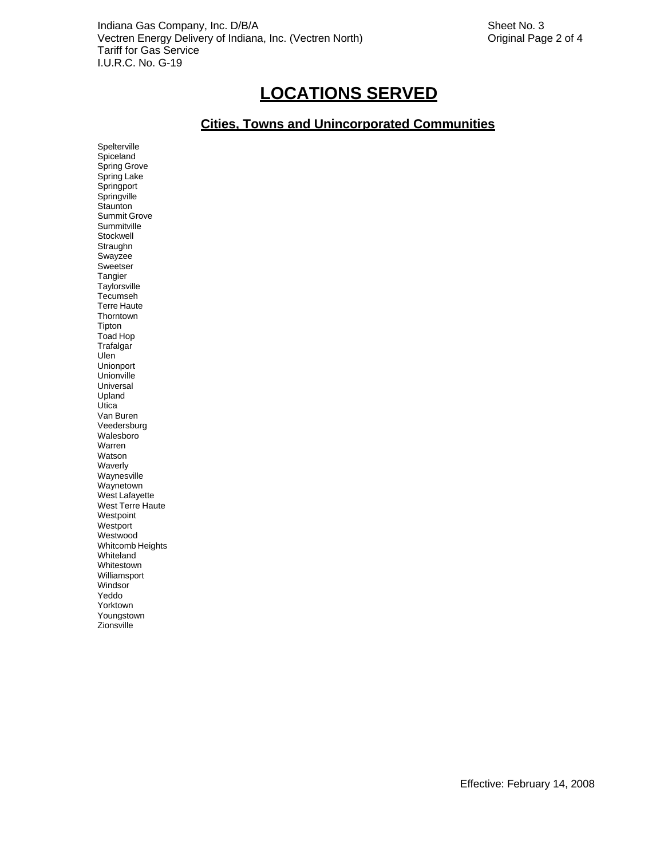## **LOCATIONS SERVED**

## **Cities, Towns and Unincorporated Communities**

Spelterville Spiceland Spring Grove Spring Lake **Springport Springville Staunton** Summit Grove **Summitville** Stockwell **Straughn** Swayzee Sweetser Tangier **Taylorsville** Tecumseh Terre Haute **Thorntown** Tipton Toad Hop **Trafalgar** Ulen Unionport Unionville Universal Upland **Utica** Van Buren Veedersburg Walesboro Warren Watson Waverly Waynesville Waynetown West Lafayette West Terre Haute **Westpoint** Westport Westwood Whitcomb Heights Whiteland Whitestown Williamsport Windsor<sup>'</sup> Yeddo Yorktown Youngstown Zionsville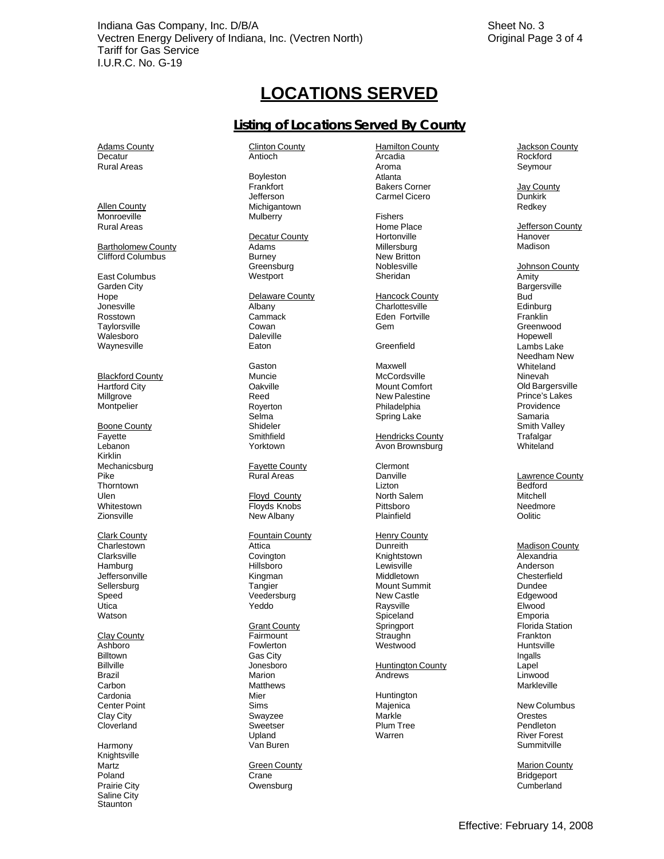## **LOCATIONS SERVED**

## **Listing of Locations Served By County**

Adams County Decatur Rural Areas

Allen County Monroeville Rural Areas

Bartholomew County Clifford Columbus

East Columbus Garden City **Hope** Jonesville Rosstown **Taylorsville** Walesboro Waynesville

Blackford County Hartford City **Millarove Montpelier** 

Boone County **Fayette** Lebanon Kirklin Mechanicsburg Pike Thorntown Lizton Bedford Ulen Whitestown **Zionsville** 

Clark County **Charlestown Clarksville Hamburg Jeffersonville** Sellersburg Speed Utica Watson

Clay County **Billtown** Billville<br>Brazil **Carbon** Cardonia<br>Center Point Clay City Cloverland

Harmony Knightsville **Martz** Poland Prairie City Saline City **Staunton** 

Clinton County Antioch

Boyleston Frankfort Jefferson Michigantown

Adams **Burney Greensburg Westport** 

Delaware County Albany Cammack Cowan Daleville<br>Eaton

Gaston Muncie **Oakville** Reed Royerton Selma Shideler **Smithfield** Yorktown

Fayette County Rural Areas

Floyd County Floyds Knobs New Albany

Fountain County Attica **Covington** Hillsboro **Kingman Tangier** Veedersburg Yeddo **Grant County** Fairmount<br>Fowlerton Gas City<br>Jonesboro **Matthews** Mier Huntington<br>
Sims Majenica Swayzee **Sweetser** Upland Van Buren

**Green County** Crane Owensburg

Hamilton County Arcadia Aroma Atlanta Bakers Corner Carmel Cicero

Mulberry **Fishers**<br>
Home Place Decatur County **Hortonville** Hortonville Hanover Millersburg New Britton Noblesville Sheridan

> **Hancock County Charlottesville** Eden Fortville Gem

**Greenfield** 

Maxwell **McCordsville** Mount Comfort New Palestine Philadelphia Spring Lake

**Hendricks County** Avon Brownsburg

Clermont<br>Danville North Salem Pittsboro Plainfield

Henry County Dunreith Madison County Knightstown **Lewisville** Middletown Mount Summit New Castle Raysville **Spiceland Springport** Straughn<br>Westwood Ashboro Fowlerton Westwood Huntsville

Jonesboro **Huntington County**<br>
Marion County<br>
Andrews Brazil **Example 20 Internal Marion** Marion **Andrews** Andrews Andrews Linwood

> Markle Plum Tree Warren

Jackson County Rockford Seymour

> Jay County Dunkirk Redkey

Home Place **Jefferson County**<br>
Hortonville Madison

> Johnson County Amity **Bargersville Bud** Edinburg **Franklin** Greenwood Hopewell Lambs Lake Needham New **Whiteland** Ninevah Old Bargersville Prince's Lakes Providence Samaria Smith Valley **Trafalgar Whiteland**

Lawrence County Mitchell Needmore **Oolitic** 

Alexandria Anderson **Chesterfield** Dundee Edgewood Elwood Emporia Florida Station Frankton Ingalls Lapel<br>Linwood Markleville

**New Columbus Orestes** Pendleton River Forest **Summitville** 

Marion County Bridgeport Cumberland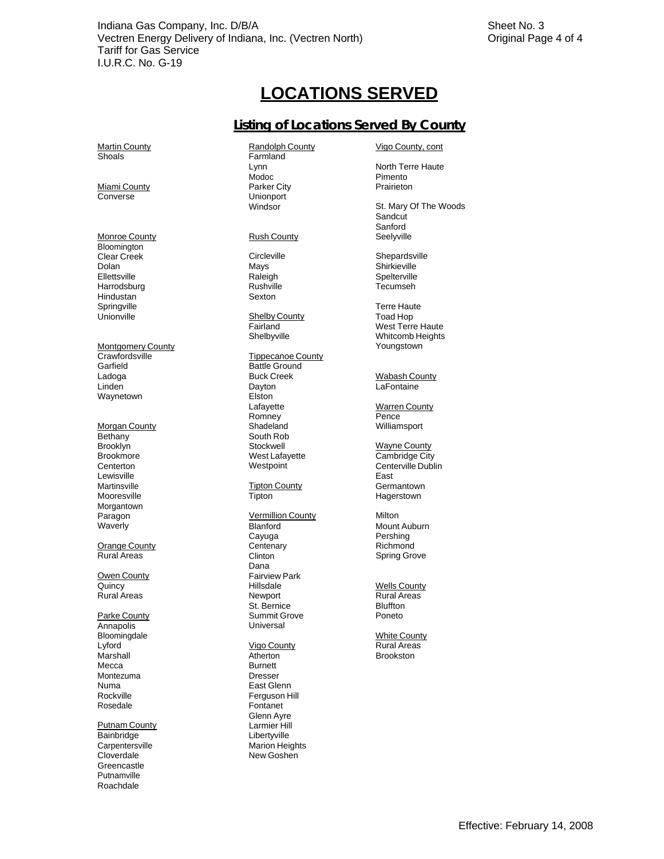## **LOCATIONS SERVED**

## **Listing of Locations Served By County**

**Martin County** Shoals

Miami County Converse

Monroe County **Rush County** Bloomington<br>Clear Creek Clear Creek Circleville Circleville Controller Shepardsville<br>
Dolan Communication Mays Controller Shirkieville Ellettsville **Harrodsburg** Hindustan Springville<br>Unionville

Montgomery County Crawfordsville Tippecanoe County Garfield **Battle Ground** Ladoga **Linden** Waynetown

Morgan County **Bethany** Brooklyn<br>Brookmore **Centerton** Lewisville **Martinsville** Mooresville Morgantown Paragon Waverly

**Orange County** Rural Areas

Owen County Quincy Rural Areas

Parke County Annapolis Bloomingdale<br>Lyford **Marshall** Mecca Montezuma Numa **Rockville** Rosedale

Putnam County Bainbridge **Libertyville Carpentersville** Cloverdale **Greencastle** Putnamville<br>Roachdale Putnamville<br>Roachdale

Randolph County Farmland Lynn Modoc Parker City Unionport Windsor

Raleigh Rushville Sexton

Shelby County Fairland Shelbyville

Buck Creek Dayton Elston Lafayette **Romney** Shadeland South Rob<br>Stockwell Stockwell<br>
West Lafavette<br>
West Lafavette<br>
West Lafavette<br>
West Lafavette<br>
West Lafavette<br>
West Lafavette<br>
West Lafavette<br>
West Lafavette<br>
West Lafavette Westpoint

**Tipton County Tipton** 

Vermillion County Blanford Cayuga **Centenary Clinton** Dana Fairview Park Hillsdale Newport St. Bernice Summit Grove **Universal** 

Vigo County **Atherton Burnett** Dresser East Glenn Ferguson Hill Fontanet Glenn Ayre Larmier Hill Marion Heights New Goshen

Vigo County, cont

North Terre Haute Pimento Prairieton

St. Mary Of The Woods **Sandcut** Sanford Seelyville

Shirkieville **Spelterville** Tecumseh

Terre Haute Toad Hop West Terre Haute Whitcomb Heights Youngstown

Wabash County **LaFontaine** 

Warren County **Pence** Williamsport

Cambridge City Centerville Dublin East **Germantown** Hagerstown

**Milton** Mount Auburn Pershing Richmond Spring Grove

**Wells County** Rural Areas Bluffton Poneto

**White County**<br>Rural Areas Brookston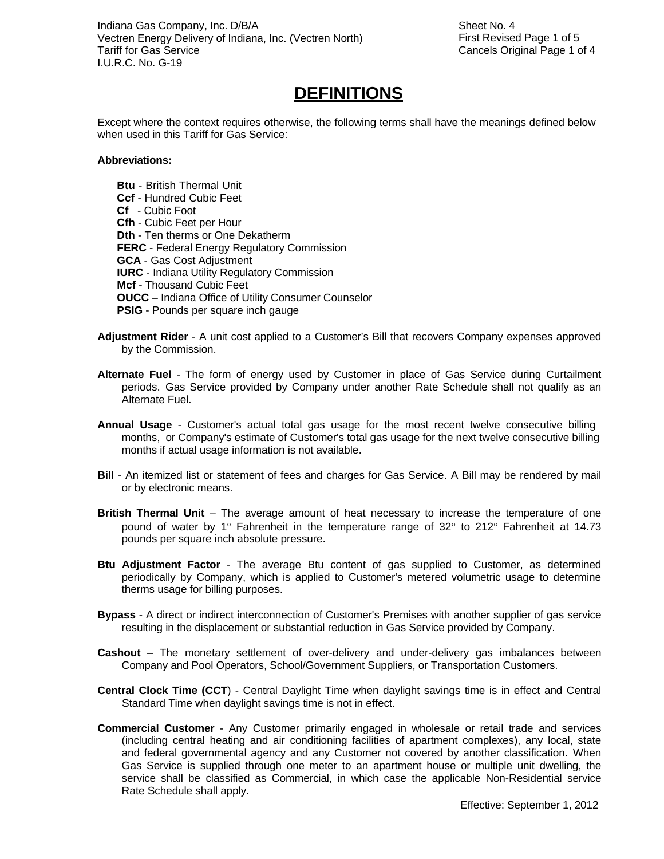Sheet No. 4 First Revised Page 1 of 5 Cancels Original Page 1 of 4

## **DEFINITIONS**

Except where the context requires otherwise, the following terms shall have the meanings defined below when used in this Tariff for Gas Service:

#### **Abbreviations:**

**Btu** - British Thermal Unit **Ccf** - Hundred Cubic Feet **Cf** - Cubic Foot **Cfh** - Cubic Feet per Hour **Dth** - Ten therms or One Dekatherm **FERC** - Federal Energy Regulatory Commission **GCA** - Gas Cost Adjustment **IURC** - Indiana Utility Regulatory Commission **Mcf** - Thousand Cubic Feet **OUCC** – Indiana Office of Utility Consumer Counselor **PSIG** - Pounds per square inch gauge

- **Adjustment Rider**  A unit cost applied to a Customer's Bill that recovers Company expenses approved by the Commission.
- **Alternate Fuel**  The form of energy used by Customer in place of Gas Service during Curtailment periods. Gas Service provided by Company under another Rate Schedule shall not qualify as an Alternate Fuel.
- **Annual Usage**  Customer's actual total gas usage for the most recent twelve consecutive billing months, or Company's estimate of Customer's total gas usage for the next twelve consecutive billing months if actual usage information is not available.
- **Bill**  An itemized list or statement of fees and charges for Gas Service. A Bill may be rendered by mail or by electronic means.
- **British Thermal Unit**  The average amount of heat necessary to increase the temperature of one pound of water by 1° Fahrenheit in the temperature range of 32° to 212° Fahrenheit at 14.73 pounds per square inch absolute pressure.
- **Btu Adjustment Factor**  The average Btu content of gas supplied to Customer, as determined periodically by Company, which is applied to Customer's metered volumetric usage to determine therms usage for billing purposes.
- **Bypass**  A direct or indirect interconnection of Customer's Premises with another supplier of gas service resulting in the displacement or substantial reduction in Gas Service provided by Company.
- **Cashout**  The monetary settlement of over-delivery and under-delivery gas imbalances between Company and Pool Operators, School/Government Suppliers, or Transportation Customers.
- **Central Clock Time (CCT**) Central Daylight Time when daylight savings time is in effect and Central Standard Time when daylight savings time is not in effect.
- **Commercial Customer**  Any Customer primarily engaged in wholesale or retail trade and services (including central heating and air conditioning facilities of apartment complexes), any local, state and federal governmental agency and any Customer not covered by another classification. When Gas Service is supplied through one meter to an apartment house or multiple unit dwelling, the service shall be classified as Commercial, in which case the applicable Non-Residential service Rate Schedule shall apply.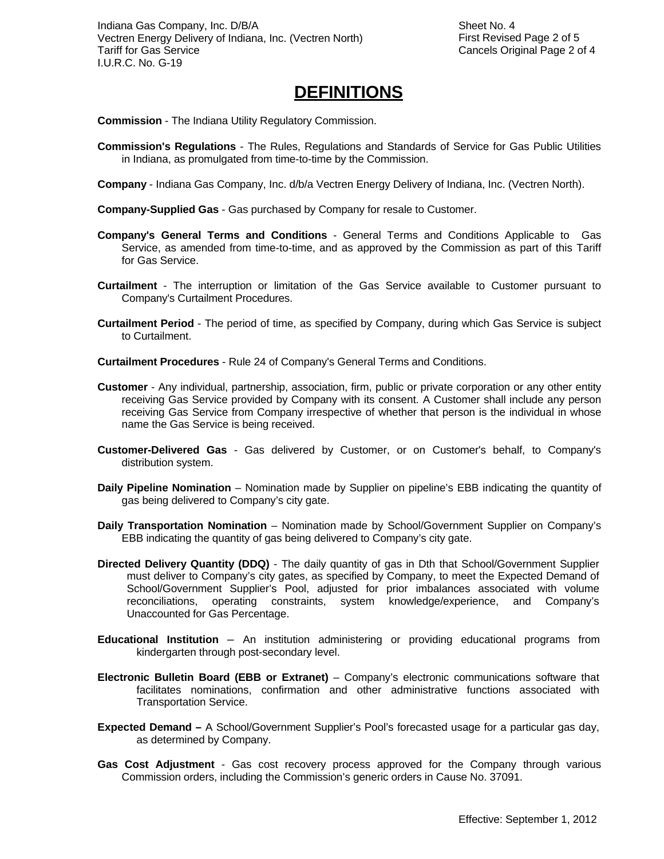## **DEFINITIONS**

**Commission** - The Indiana Utility Regulatory Commission.

- **Commission's Regulations**  The Rules, Regulations and Standards of Service for Gas Public Utilities in Indiana, as promulgated from time-to-time by the Commission.
- **Company**  Indiana Gas Company, Inc. d/b/a Vectren Energy Delivery of Indiana, Inc. (Vectren North).
- **Company-Supplied Gas**  Gas purchased by Company for resale to Customer.
- **Company's General Terms and Conditions**  General Terms and Conditions Applicable to Gas Service, as amended from time-to-time, and as approved by the Commission as part of this Tariff for Gas Service.
- **Curtailment**  The interruption or limitation of the Gas Service available to Customer pursuant to Company's Curtailment Procedures.
- **Curtailment Period**  The period of time, as specified by Company, during which Gas Service is subject to Curtailment.
- **Curtailment Procedures**  Rule 24 of Company's General Terms and Conditions.
- **Customer**  Any individual, partnership, association, firm, public or private corporation or any other entity receiving Gas Service provided by Company with its consent. A Customer shall include any person receiving Gas Service from Company irrespective of whether that person is the individual in whose name the Gas Service is being received.
- **Customer-Delivered Gas**  Gas delivered by Customer, or on Customer's behalf, to Company's distribution system.
- **Daily Pipeline Nomination**  Nomination made by Supplier on pipeline's EBB indicating the quantity of gas being delivered to Company's city gate.
- **Daily Transportation Nomination**  Nomination made by School/Government Supplier on Company's EBB indicating the quantity of gas being delivered to Company's city gate.
- **Directed Delivery Quantity (DDQ)**  The daily quantity of gas in Dth that School/Government Supplier must deliver to Company's city gates, as specified by Company, to meet the Expected Demand of School/Government Supplier's Pool, adjusted for prior imbalances associated with volume reconciliations, operating constraints, system knowledge/experience, and Company's Unaccounted for Gas Percentage.
- **Educational Institution**  An institution administering or providing educational programs from kindergarten through post-secondary level.
- **Electronic Bulletin Board (EBB or Extranet)** Company's electronic communications software that facilitates nominations, confirmation and other administrative functions associated with Transportation Service.
- **Expected Demand** A School/Government Supplier's Pool's forecasted usage for a particular gas day, as determined by Company.
- **Gas Cost Adjustment**  Gas cost recovery process approved for the Company through various Commission orders, including the Commission's generic orders in Cause No. 37091.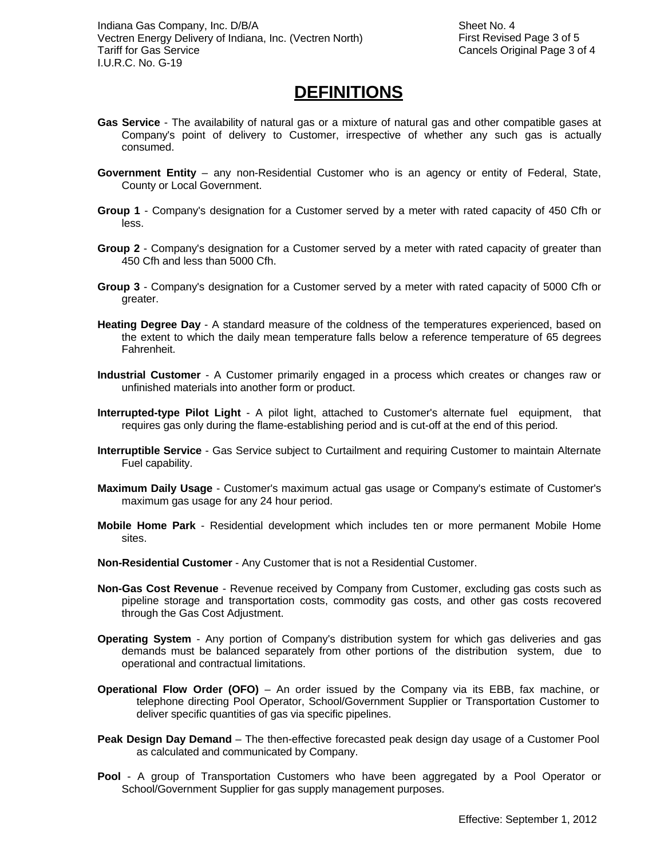## **DEFINITIONS**

- **Gas Service**  The availability of natural gas or a mixture of natural gas and other compatible gases at Company's point of delivery to Customer, irrespective of whether any such gas is actually consumed.
- **Government Entity**  any non-Residential Customer who is an agency or entity of Federal, State, County or Local Government.
- **Group 1**  Company's designation for a Customer served by a meter with rated capacity of 450 Cfh or less.
- **Group 2**  Company's designation for a Customer served by a meter with rated capacity of greater than 450 Cfh and less than 5000 Cfh.
- **Group 3**  Company's designation for a Customer served by a meter with rated capacity of 5000 Cfh or greater.
- **Heating Degree Day**  A standard measure of the coldness of the temperatures experienced, based on the extent to which the daily mean temperature falls below a reference temperature of 65 degrees Fahrenheit.
- **Industrial Customer**  A Customer primarily engaged in a process which creates or changes raw or unfinished materials into another form or product.
- **Interrupted-type Pilot Light**  A pilot light, attached to Customer's alternate fuel equipment, that requires gas only during the flame-establishing period and is cut-off at the end of this period.
- **Interruptible Service**  Gas Service subject to Curtailment and requiring Customer to maintain Alternate Fuel capability.
- **Maximum Daily Usage**  Customer's maximum actual gas usage or Company's estimate of Customer's maximum gas usage for any 24 hour period.
- **Mobile Home Park**  Residential development which includes ten or more permanent Mobile Home sites.
- **Non-Residential Customer**  Any Customer that is not a Residential Customer.
- **Non-Gas Cost Revenue**  Revenue received by Company from Customer, excluding gas costs such as pipeline storage and transportation costs, commodity gas costs, and other gas costs recovered through the Gas Cost Adjustment.
- **Operating System**  Any portion of Company's distribution system for which gas deliveries and gas demands must be balanced separately from other portions of the distribution system, due to operational and contractual limitations.
- **Operational Flow Order (OFO)** An order issued by the Company via its EBB, fax machine, or telephone directing Pool Operator, School/Government Supplier or Transportation Customer to deliver specific quantities of gas via specific pipelines.
- **Peak Design Day Demand**  The then-effective forecasted peak design day usage of a Customer Pool as calculated and communicated by Company.
- **Pool**  A group of Transportation Customers who have been aggregated by a Pool Operator or School/Government Supplier for gas supply management purposes.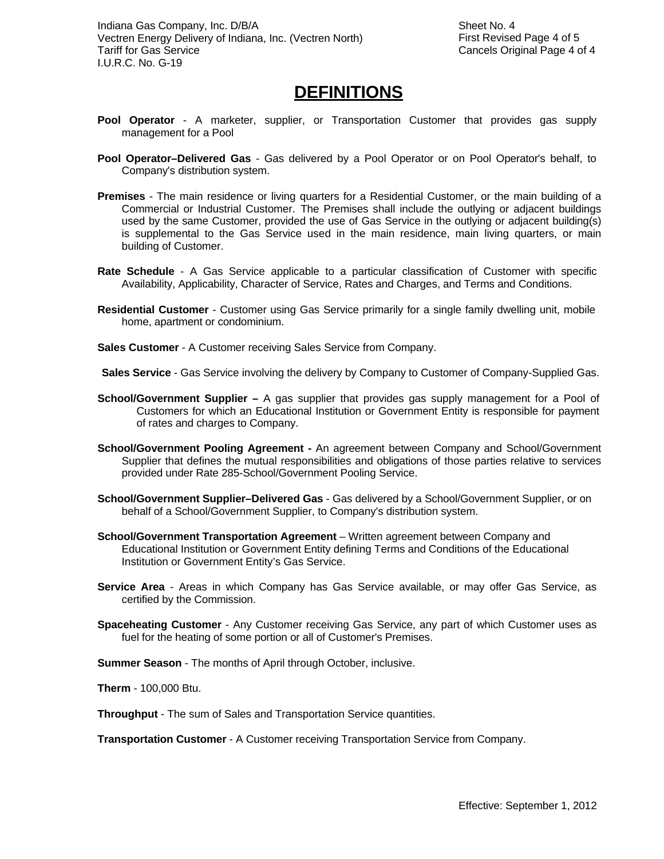## **DEFINITIONS**

- **Pool Operator**  A marketer, supplier, or Transportation Customer that provides gas supply management for a Pool
- **Pool Operator–Delivered Gas**  Gas delivered by a Pool Operator or on Pool Operator's behalf, to Company's distribution system.
- **Premises**  The main residence or living quarters for a Residential Customer, or the main building of a Commercial or Industrial Customer. The Premises shall include the outlying or adjacent buildings used by the same Customer, provided the use of Gas Service in the outlying or adjacent building(s) is supplemental to the Gas Service used in the main residence, main living quarters, or main building of Customer.
- **Rate Schedule**  A Gas Service applicable to a particular classification of Customer with specific Availability, Applicability, Character of Service, Rates and Charges, and Terms and Conditions.
- **Residential Customer**  Customer using Gas Service primarily for a single family dwelling unit, mobile home, apartment or condominium.
- **Sales Customer**  A Customer receiving Sales Service from Company.

**Sales Service** - Gas Service involving the delivery by Company to Customer of Company-Supplied Gas.

- **School/Government Supplier** A gas supplier that provides gas supply management for a Pool of Customers for which an Educational Institution or Government Entity is responsible for payment of rates and charges to Company.
- **School/Government Pooling Agreement** An agreement between Company and School/Government Supplier that defines the mutual responsibilities and obligations of those parties relative to services provided under Rate 285-School/Government Pooling Service.
- **School/Government Supplier–Delivered Gas**  Gas delivered by a School/Government Supplier, or on behalf of a School/Government Supplier, to Company's distribution system.
- **School/Government Transportation Agreement**  Written agreement between Company and Educational Institution or Government Entity defining Terms and Conditions of the Educational Institution or Government Entity's Gas Service.
- **Service Area**  Areas in which Company has Gas Service available, or may offer Gas Service, as certified by the Commission.
- **Spaceheating Customer**  Any Customer receiving Gas Service, any part of which Customer uses as fuel for the heating of some portion or all of Customer's Premises.

**Summer Season** - The months of April through October, inclusive.

**Therm** - 100,000 Btu.

**Throughput** - The sum of Sales and Transportation Service quantities.

**Transportation Customer** - A Customer receiving Transportation Service from Company.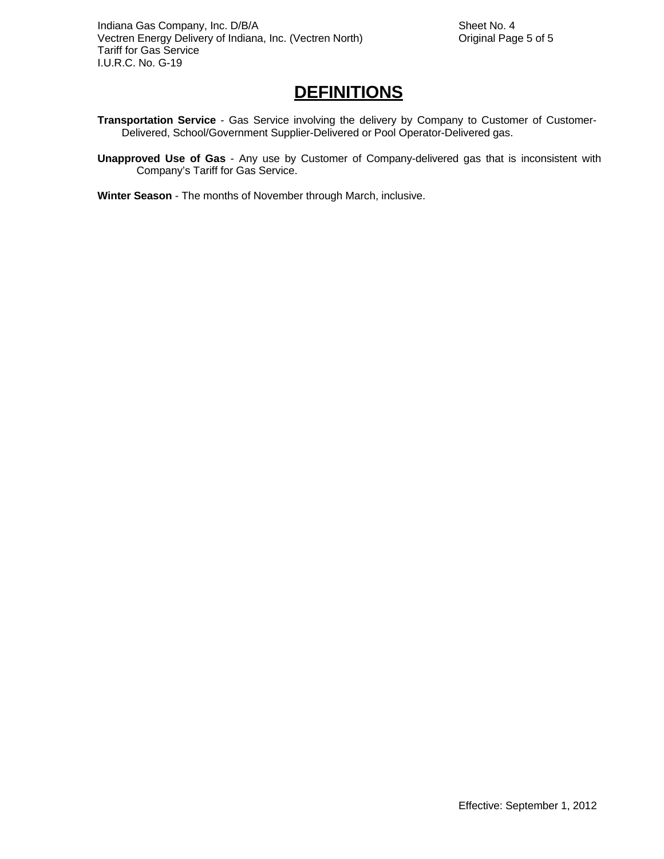## **DEFINITIONS**

- **Transportation Service**  Gas Service involving the delivery by Company to Customer of Customer-Delivered, School/Government Supplier-Delivered or Pool Operator-Delivered gas.
- **Unapproved Use of Gas**  Any use by Customer of Company-delivered gas that is inconsistent with Company's Tariff for Gas Service.
- **Winter Season**  The months of November through March, inclusive.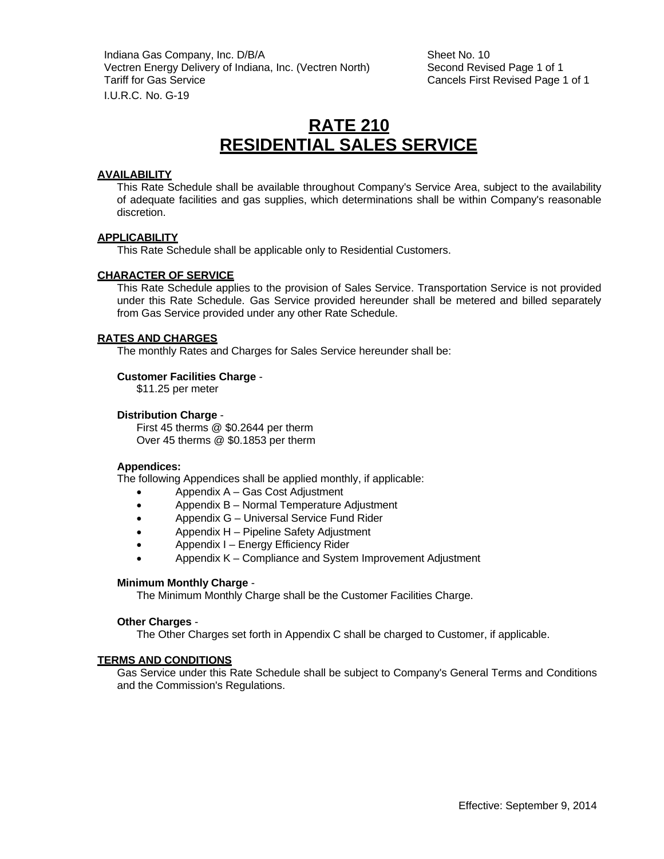Indiana Gas Company, Inc. D/B/A Sheet No. 10 Vectren Energy Delivery of Indiana, Inc. (Vectren North) Second Revised Page 1 of 1 Tariff for Gas Service **Cancels First Revised Page 1 of 1** I.U.R.C. No. G-19

## **RATE 210 RESIDENTIAL SALES SERVICE**

#### **AVAILABILITY**

This Rate Schedule shall be available throughout Company's Service Area, subject to the availability of adequate facilities and gas supplies, which determinations shall be within Company's reasonable discretion.

#### **APPLICABILITY**

This Rate Schedule shall be applicable only to Residential Customers.

#### **CHARACTER OF SERVICE**

This Rate Schedule applies to the provision of Sales Service. Transportation Service is not provided under this Rate Schedule. Gas Service provided hereunder shall be metered and billed separately from Gas Service provided under any other Rate Schedule.

#### **RATES AND CHARGES**

The monthly Rates and Charges for Sales Service hereunder shall be:

#### **Customer Facilities Charge** -

\$11.25 per meter

#### **Distribution Charge** -

First 45 therms @ \$0.2644 per therm Over 45 therms @ \$0.1853 per therm

#### **Appendices:**

The following Appendices shall be applied monthly, if applicable:

- Appendix A Gas Cost Adjustment
- Appendix B Normal Temperature Adjustment
- Appendix G Universal Service Fund Rider
- Appendix H Pipeline Safety Adjustment
- Appendix I Energy Efficiency Rider
- Appendix K Compliance and System Improvement Adjustment

#### **Minimum Monthly Charge** -

The Minimum Monthly Charge shall be the Customer Facilities Charge.

#### **Other Charges** -

The Other Charges set forth in Appendix C shall be charged to Customer, if applicable.

#### **TERMS AND CONDITIONS**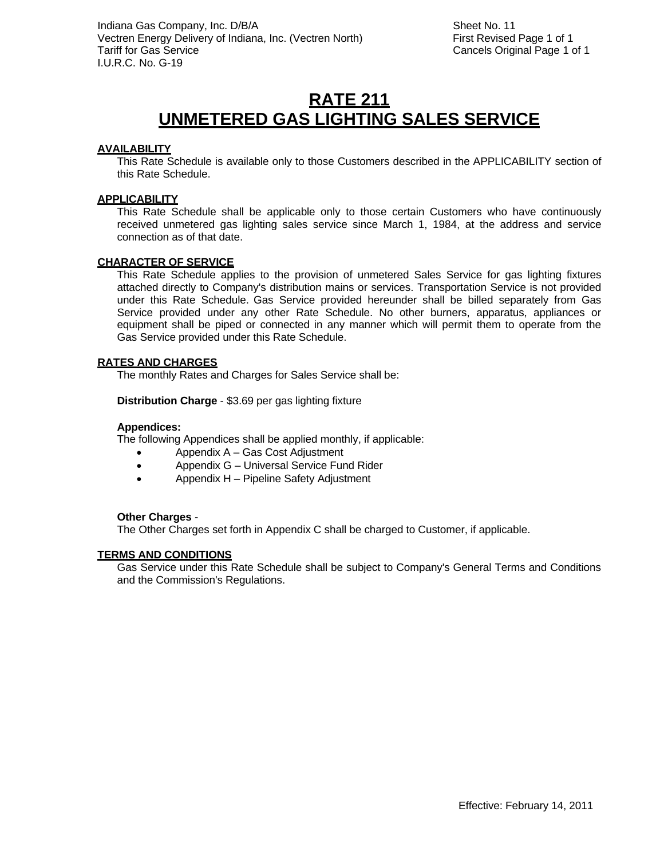## **RATE 211 UNMETERED GAS LIGHTING SALES SERVICE**

## **AVAILABILITY**

This Rate Schedule is available only to those Customers described in the APPLICABILITY section of this Rate Schedule.

## **APPLICABILITY**

This Rate Schedule shall be applicable only to those certain Customers who have continuously received unmetered gas lighting sales service since March 1, 1984, at the address and service connection as of that date.

## **CHARACTER OF SERVICE**

This Rate Schedule applies to the provision of unmetered Sales Service for gas lighting fixtures attached directly to Company's distribution mains or services. Transportation Service is not provided under this Rate Schedule. Gas Service provided hereunder shall be billed separately from Gas Service provided under any other Rate Schedule. No other burners, apparatus, appliances or equipment shall be piped or connected in any manner which will permit them to operate from the Gas Service provided under this Rate Schedule.

## **RATES AND CHARGES**

The monthly Rates and Charges for Sales Service shall be:

**Distribution Charge** - \$3.69 per gas lighting fixture

#### **Appendices:**

The following Appendices shall be applied monthly, if applicable:

- Appendix A Gas Cost Adjustment
- Appendix G Universal Service Fund Rider
- Appendix H Pipeline Safety Adjustment

## **Other Charges** -

The Other Charges set forth in Appendix C shall be charged to Customer, if applicable.

## **TERMS AND CONDITIONS**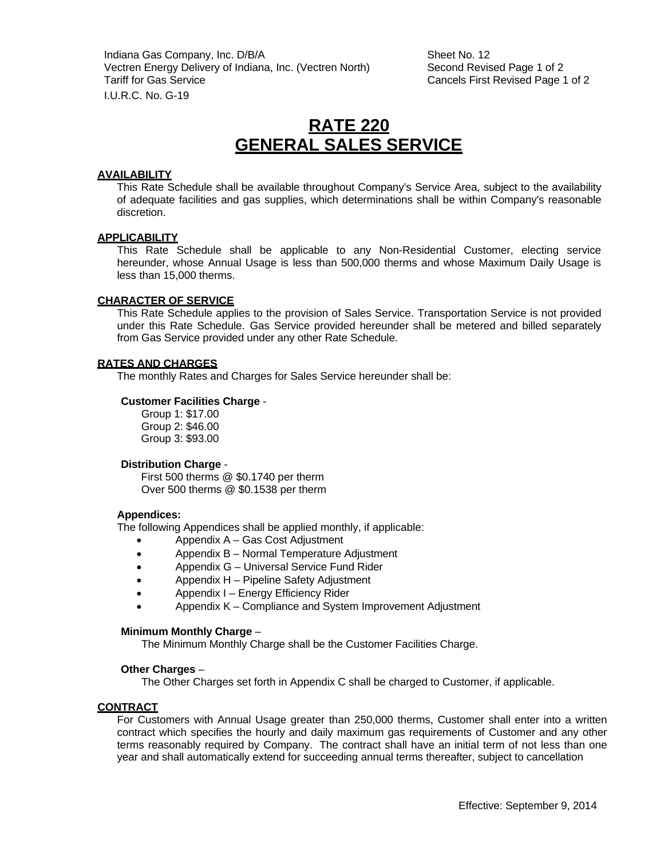Indiana Gas Company, Inc. D/B/A Sheet No. 12 Vectren Energy Delivery of Indiana, Inc. (Vectren North) Second Revised Page 1 of 2 Tariff for Gas Service **Cancels First Revised Page 1 of 2** I.U.R.C. No. G-19

## **RATE 220 GENERAL SALES SERVICE**

#### **AVAILABILITY**

This Rate Schedule shall be available throughout Company's Service Area, subject to the availability of adequate facilities and gas supplies, which determinations shall be within Company's reasonable discretion.

#### **APPLICABILITY**

This Rate Schedule shall be applicable to any Non-Residential Customer, electing service hereunder, whose Annual Usage is less than 500,000 therms and whose Maximum Daily Usage is less than 15,000 therms.

#### **CHARACTER OF SERVICE**

This Rate Schedule applies to the provision of Sales Service. Transportation Service is not provided under this Rate Schedule. Gas Service provided hereunder shall be metered and billed separately from Gas Service provided under any other Rate Schedule.

#### **RATES AND CHARGES**

The monthly Rates and Charges for Sales Service hereunder shall be:

#### **Customer Facilities Charge** -

Group 1: \$17.00 Group 2: \$46.00 Group 3: \$93.00

#### **Distribution Charge** -

First 500 therms @ \$0.1740 per therm Over 500 therms @ \$0.1538 per therm

#### **Appendices:**

The following Appendices shall be applied monthly, if applicable:

- Appendix A Gas Cost Adjustment
- Appendix B Normal Temperature Adjustment
- Appendix G Universal Service Fund Rider
- Appendix H Pipeline Safety Adjustment
- Appendix I Energy Efficiency Rider
- Appendix K Compliance and System Improvement Adjustment

#### **Minimum Monthly Charge** –

The Minimum Monthly Charge shall be the Customer Facilities Charge.

#### **Other Charges** –

The Other Charges set forth in Appendix C shall be charged to Customer, if applicable.

## **CONTRACT**

For Customers with Annual Usage greater than 250,000 therms, Customer shall enter into a written contract which specifies the hourly and daily maximum gas requirements of Customer and any other terms reasonably required by Company. The contract shall have an initial term of not less than one year and shall automatically extend for succeeding annual terms thereafter, subject to cancellation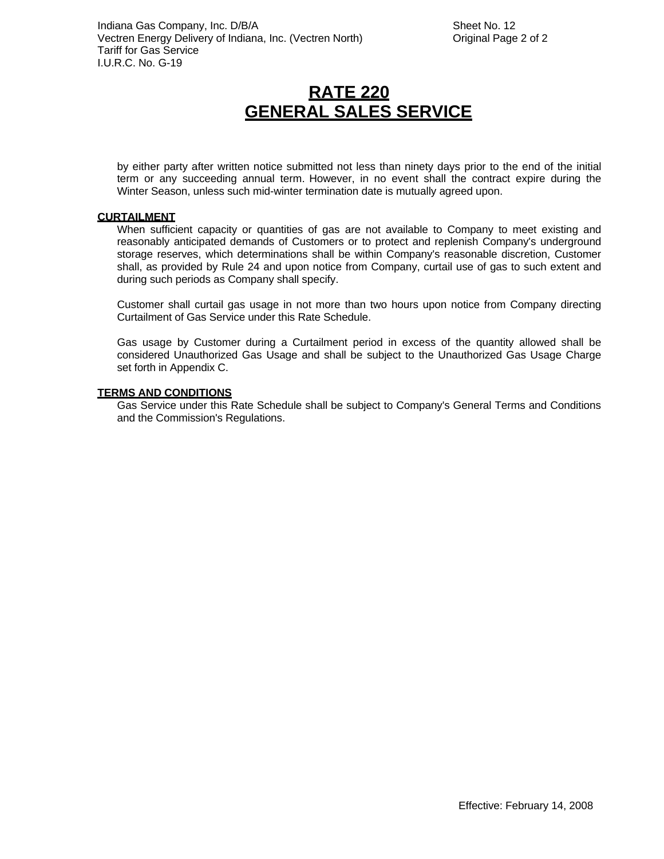# **RATE 220 GENERAL SALES SERVICE**

by either party after written notice submitted not less than ninety days prior to the end of the initial term or any succeeding annual term. However, in no event shall the contract expire during the Winter Season, unless such mid-winter termination date is mutually agreed upon.

#### **CURTAILMENT**

When sufficient capacity or quantities of gas are not available to Company to meet existing and reasonably anticipated demands of Customers or to protect and replenish Company's underground storage reserves, which determinations shall be within Company's reasonable discretion, Customer shall, as provided by Rule 24 and upon notice from Company, curtail use of gas to such extent and during such periods as Company shall specify.

Customer shall curtail gas usage in not more than two hours upon notice from Company directing Curtailment of Gas Service under this Rate Schedule.

Gas usage by Customer during a Curtailment period in excess of the quantity allowed shall be considered Unauthorized Gas Usage and shall be subject to the Unauthorized Gas Usage Charge set forth in Appendix C.

#### **TERMS AND CONDITIONS**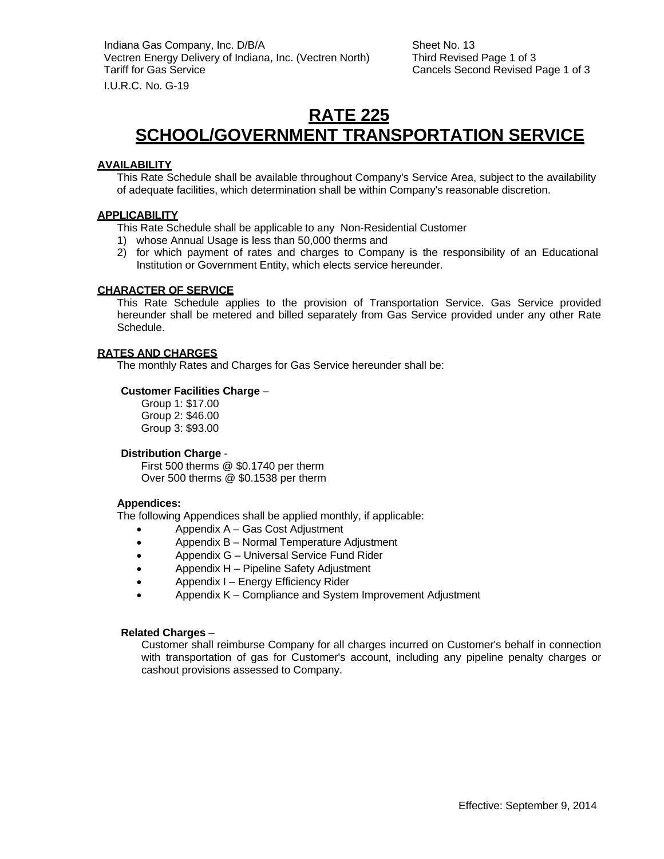## **RATE 225 SCHOOL/GOVERNMENT TRANSPORTATION SERVICE**

## **AVAILABILITY**

This Rate Schedule shall be available throughout Company's Service Area, subject to the availability of adequate facilities, which determination shall be within Company's reasonable discretion.

## **APPLICABILITY**

- This Rate Schedule shall be applicable to any Non-Residential Customer
- 1) whose Annual Usage is less than 50,000 therms and
- 2) for which payment of rates and charges to Company is the responsibility of an Educational Institution or Government Entity, which elects service hereunder.

## **CHARACTER OF SERVICE**

This Rate Schedule applies to the provision of Transportation Service. Gas Service provided hereunder shall be metered and billed separately from Gas Service provided under any other Rate Schedule.

## **RATES AND CHARGES**

The monthly Rates and Charges for Gas Service hereunder shall be:

## **Customer Facilities Charge** –

Group 1: \$17.00 Group 2: \$46.00 Group 3: \$93.00

## **Distribution Charge** -

First 500 therms @ \$0.1740 per therm Over 500 therms @ \$0.1538 per therm

## **Appendices:**

The following Appendices shall be applied monthly, if applicable:

- Appendix A Gas Cost Adjustment
- Appendix B Normal Temperature Adjustment
- Appendix G Universal Service Fund Rider
- Appendix H Pipeline Safety Adjustment
- Appendix I Energy Efficiency Rider
- Appendix K Compliance and System Improvement Adjustment

## **Related Charges** –

Customer shall reimburse Company for all charges incurred on Customer's behalf in connection with transportation of gas for Customer's account, including any pipeline penalty charges or cashout provisions assessed to Company.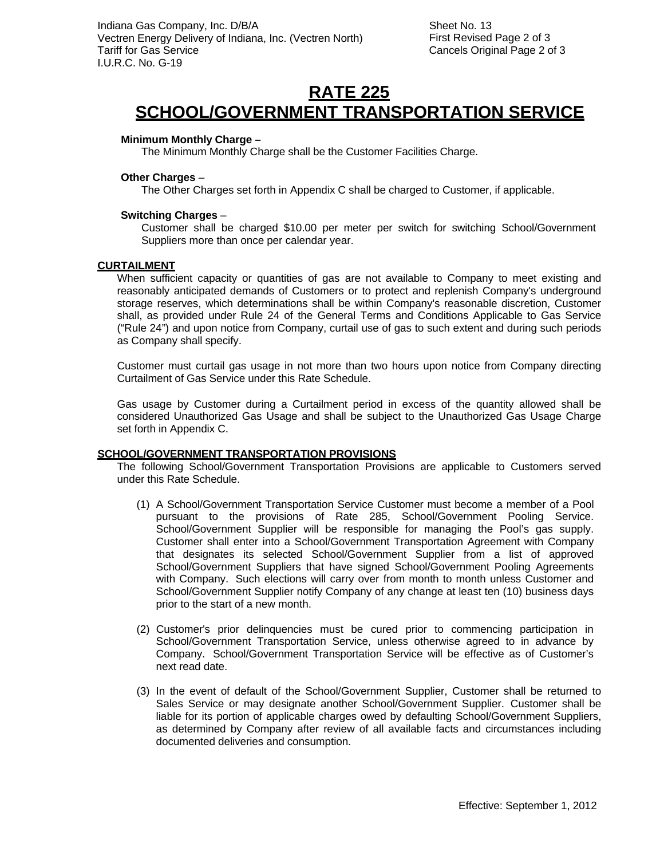Sheet No. 13 First Revised Page 2 of 3 Cancels Original Page 2 of 3

## **RATE 225 SCHOOL/GOVERNMENT TRANSPORTATION SERVICE**

## **Minimum Monthly Charge –**

The Minimum Monthly Charge shall be the Customer Facilities Charge.

## **Other Charges** –

The Other Charges set forth in Appendix C shall be charged to Customer, if applicable.

## **Switching Charges** –

Customer shall be charged \$10.00 per meter per switch for switching School/Government Suppliers more than once per calendar year.

## **CURTAILMENT**

When sufficient capacity or quantities of gas are not available to Company to meet existing and reasonably anticipated demands of Customers or to protect and replenish Company's underground storage reserves, which determinations shall be within Company's reasonable discretion, Customer shall, as provided under Rule 24 of the General Terms and Conditions Applicable to Gas Service ("Rule 24") and upon notice from Company, curtail use of gas to such extent and during such periods as Company shall specify.

Customer must curtail gas usage in not more than two hours upon notice from Company directing Curtailment of Gas Service under this Rate Schedule.

Gas usage by Customer during a Curtailment period in excess of the quantity allowed shall be considered Unauthorized Gas Usage and shall be subject to the Unauthorized Gas Usage Charge set forth in Appendix C.

## **SCHOOL/GOVERNMENT TRANSPORTATION PROVISIONS**

The following School/Government Transportation Provisions are applicable to Customers served under this Rate Schedule.

- (1) A School/Government Transportation Service Customer must become a member of a Pool pursuant to the provisions of Rate 285, School/Government Pooling Service. School/Government Supplier will be responsible for managing the Pool's gas supply. Customer shall enter into a School/Government Transportation Agreement with Company that designates its selected School/Government Supplier from a list of approved School/Government Suppliers that have signed School/Government Pooling Agreements with Company. Such elections will carry over from month to month unless Customer and School/Government Supplier notify Company of any change at least ten (10) business days prior to the start of a new month.
- (2) Customer's prior delinquencies must be cured prior to commencing participation in School/Government Transportation Service, unless otherwise agreed to in advance by Company. School/Government Transportation Service will be effective as of Customer's next read date.
- (3) In the event of default of the School/Government Supplier, Customer shall be returned to Sales Service or may designate another School/Government Supplier. Customer shall be liable for its portion of applicable charges owed by defaulting School/Government Suppliers, as determined by Company after review of all available facts and circumstances including documented deliveries and consumption.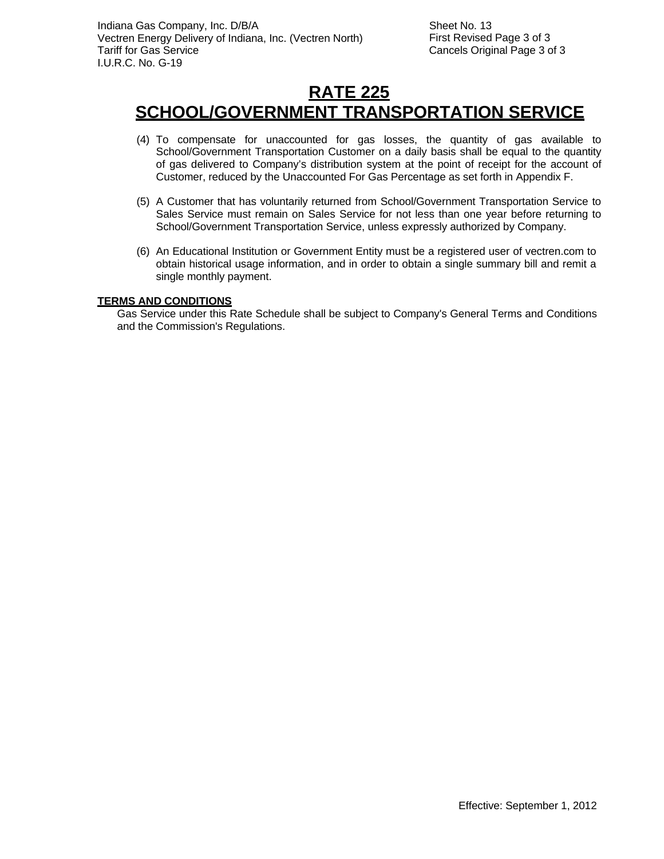# **RATE 225 SCHOOL/GOVERNMENT TRANSPORTATION SERVICE**

- (4) To compensate for unaccounted for gas losses, the quantity of gas available to School/Government Transportation Customer on a daily basis shall be equal to the quantity of gas delivered to Company's distribution system at the point of receipt for the account of Customer, reduced by the Unaccounted For Gas Percentage as set forth in Appendix F.
- (5) A Customer that has voluntarily returned from School/Government Transportation Service to Sales Service must remain on Sales Service for not less than one year before returning to School/Government Transportation Service, unless expressly authorized by Company.
- (6) An Educational Institution or Government Entity must be a registered user of vectren.com to obtain historical usage information, and in order to obtain a single summary bill and remit a single monthly payment.

## **TERMS AND CONDITIONS**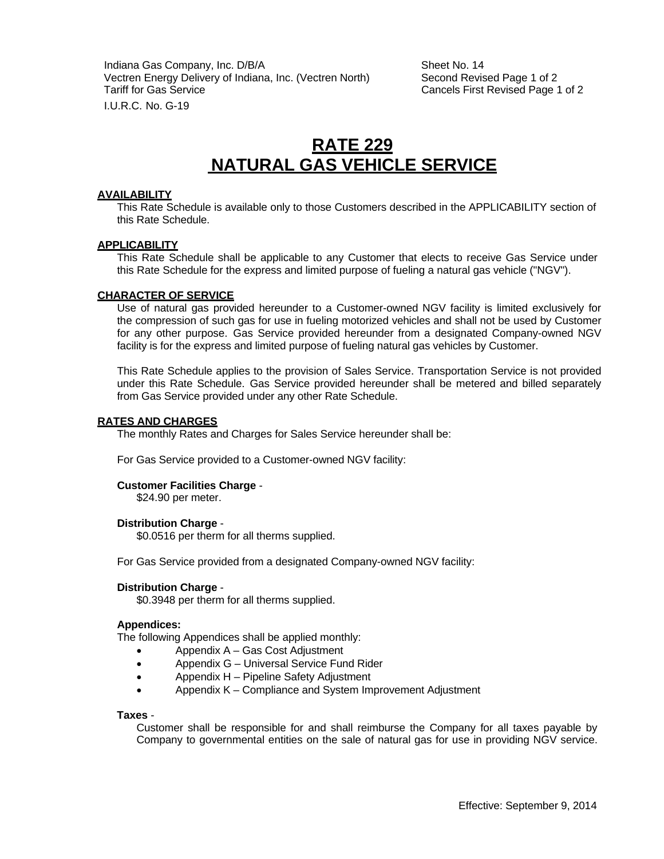Indiana Gas Company, Inc. D/B/A Sheet No. 14 Vectren Energy Delivery of Indiana, Inc. (Vectren North) Second Revised Page 1 of 2 Tariff for Gas Service Cancels First Revised Page 1 of 2 I.U.R.C. No. G-19

## **RATE 229 NATURAL GAS VEHICLE SERVICE**

#### **AVAILABILITY**

This Rate Schedule is available only to those Customers described in the APPLICABILITY section of this Rate Schedule.

## **APPLICABILITY**

This Rate Schedule shall be applicable to any Customer that elects to receive Gas Service under this Rate Schedule for the express and limited purpose of fueling a natural gas vehicle ("NGV").

#### **CHARACTER OF SERVICE**

Use of natural gas provided hereunder to a Customer-owned NGV facility is limited exclusively for the compression of such gas for use in fueling motorized vehicles and shall not be used by Customer for any other purpose. Gas Service provided hereunder from a designated Company-owned NGV facility is for the express and limited purpose of fueling natural gas vehicles by Customer.

This Rate Schedule applies to the provision of Sales Service. Transportation Service is not provided under this Rate Schedule. Gas Service provided hereunder shall be metered and billed separately from Gas Service provided under any other Rate Schedule.

#### **RATES AND CHARGES**

The monthly Rates and Charges for Sales Service hereunder shall be:

For Gas Service provided to a Customer-owned NGV facility:

#### **Customer Facilities Charge** -

\$24.90 per meter.

#### **Distribution Charge** -

\$0.0516 per therm for all therms supplied.

For Gas Service provided from a designated Company-owned NGV facility:

#### **Distribution Charge** -

\$0.3948 per therm for all therms supplied.

#### **Appendices:**

The following Appendices shall be applied monthly:

- Appendix A Gas Cost Adjustment
- Appendix G Universal Service Fund Rider
- Appendix H Pipeline Safety Adjustment
- Appendix K Compliance and System Improvement Adjustment

#### **Taxes** -

Customer shall be responsible for and shall reimburse the Company for all taxes payable by Company to governmental entities on the sale of natural gas for use in providing NGV service.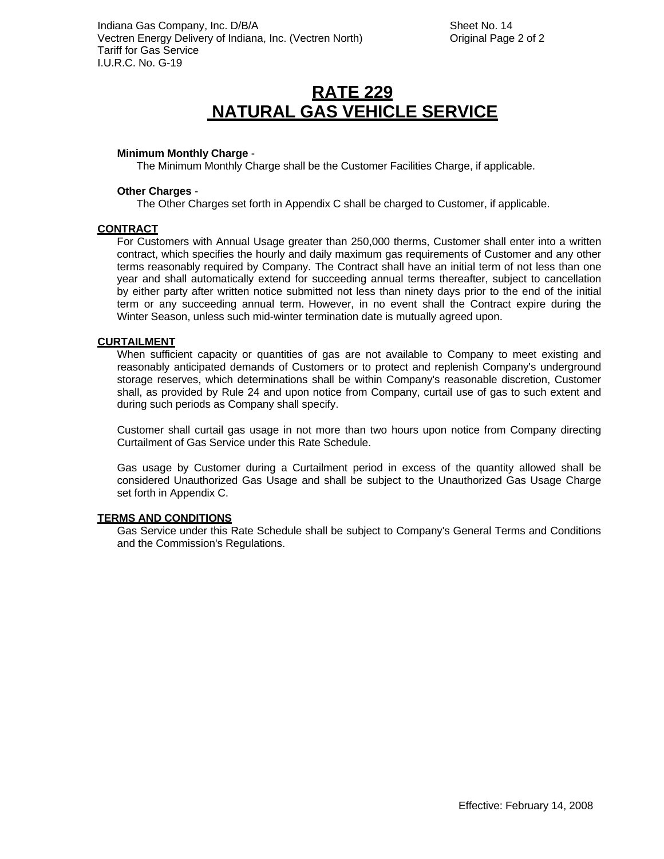# **RATE 229 NATURAL GAS VEHICLE SERVICE**

#### **Minimum Monthly Charge** -

The Minimum Monthly Charge shall be the Customer Facilities Charge, if applicable.

#### **Other Charges** -

The Other Charges set forth in Appendix C shall be charged to Customer, if applicable.

#### **CONTRACT**

For Customers with Annual Usage greater than 250,000 therms, Customer shall enter into a written contract, which specifies the hourly and daily maximum gas requirements of Customer and any other terms reasonably required by Company. The Contract shall have an initial term of not less than one year and shall automatically extend for succeeding annual terms thereafter, subject to cancellation by either party after written notice submitted not less than ninety days prior to the end of the initial term or any succeeding annual term. However, in no event shall the Contract expire during the Winter Season, unless such mid-winter termination date is mutually agreed upon.

#### **CURTAILMENT**

When sufficient capacity or quantities of gas are not available to Company to meet existing and reasonably anticipated demands of Customers or to protect and replenish Company's underground storage reserves, which determinations shall be within Company's reasonable discretion, Customer shall, as provided by Rule 24 and upon notice from Company, curtail use of gas to such extent and during such periods as Company shall specify.

Customer shall curtail gas usage in not more than two hours upon notice from Company directing Curtailment of Gas Service under this Rate Schedule.

Gas usage by Customer during a Curtailment period in excess of the quantity allowed shall be considered Unauthorized Gas Usage and shall be subject to the Unauthorized Gas Usage Charge set forth in Appendix C.

#### **TERMS AND CONDITIONS**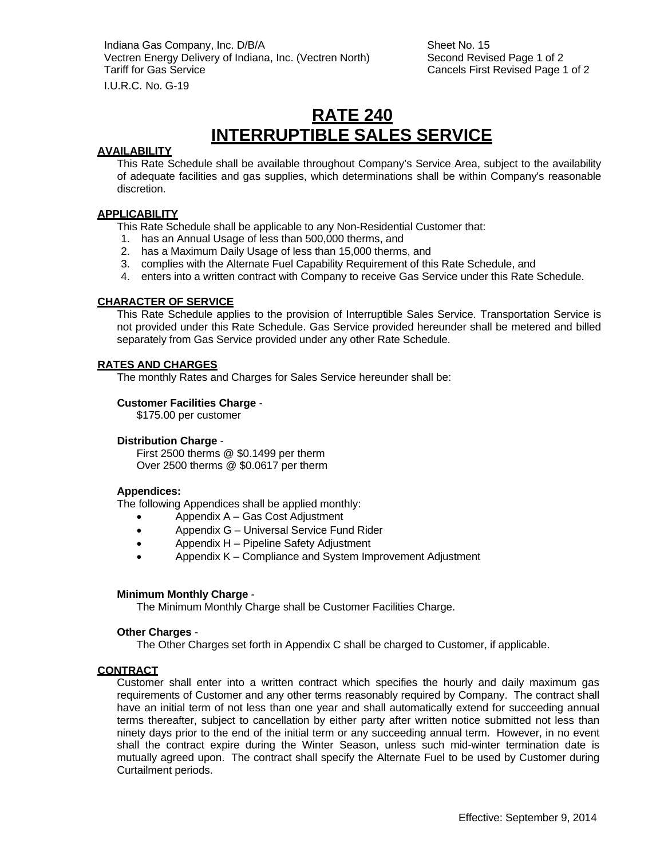Indiana Gas Company, Inc. D/B/A Sheet No. 15 Vectren Energy Delivery of Indiana, Inc. (Vectren North) Second Revised Page 1 of 2 Tariff for Gas Service **Cancels First Revised Page 1 of 2** Cancels First Revised Page 1 of 2

I.U.R.C. No. G-19

## **RATE 240 INTERRUPTIBLE SALES SERVICE**

## **AVAILABILITY**

This Rate Schedule shall be available throughout Company's Service Area, subject to the availability of adequate facilities and gas supplies, which determinations shall be within Company's reasonable discretion.

## **APPLICABILITY**

- This Rate Schedule shall be applicable to any Non-Residential Customer that:
- 1. has an Annual Usage of less than 500,000 therms, and
- 2. has a Maximum Daily Usage of less than 15,000 therms, and
- 3. complies with the Alternate Fuel Capability Requirement of this Rate Schedule, and
- 4. enters into a written contract with Company to receive Gas Service under this Rate Schedule.

## **CHARACTER OF SERVICE**

This Rate Schedule applies to the provision of Interruptible Sales Service. Transportation Service is not provided under this Rate Schedule. Gas Service provided hereunder shall be metered and billed separately from Gas Service provided under any other Rate Schedule.

#### **RATES AND CHARGES**

The monthly Rates and Charges for Sales Service hereunder shall be:

#### **Customer Facilities Charge** -

\$175.00 per customer

#### **Distribution Charge** -

First 2500 therms @ \$0.1499 per therm Over 2500 therms @ \$0.0617 per therm

#### **Appendices:**

The following Appendices shall be applied monthly:

- Appendix A Gas Cost Adjustment
- Appendix G Universal Service Fund Rider
- Appendix H Pipeline Safety Adjustment
- Appendix K Compliance and System Improvement Adjustment

#### **Minimum Monthly Charge** -

The Minimum Monthly Charge shall be Customer Facilities Charge.

#### **Other Charges** -

The Other Charges set forth in Appendix C shall be charged to Customer, if applicable.

#### **CONTRACT**

Customer shall enter into a written contract which specifies the hourly and daily maximum gas requirements of Customer and any other terms reasonably required by Company. The contract shall have an initial term of not less than one year and shall automatically extend for succeeding annual terms thereafter, subject to cancellation by either party after written notice submitted not less than ninety days prior to the end of the initial term or any succeeding annual term. However, in no event shall the contract expire during the Winter Season, unless such mid-winter termination date is mutually agreed upon. The contract shall specify the Alternate Fuel to be used by Customer during Curtailment periods.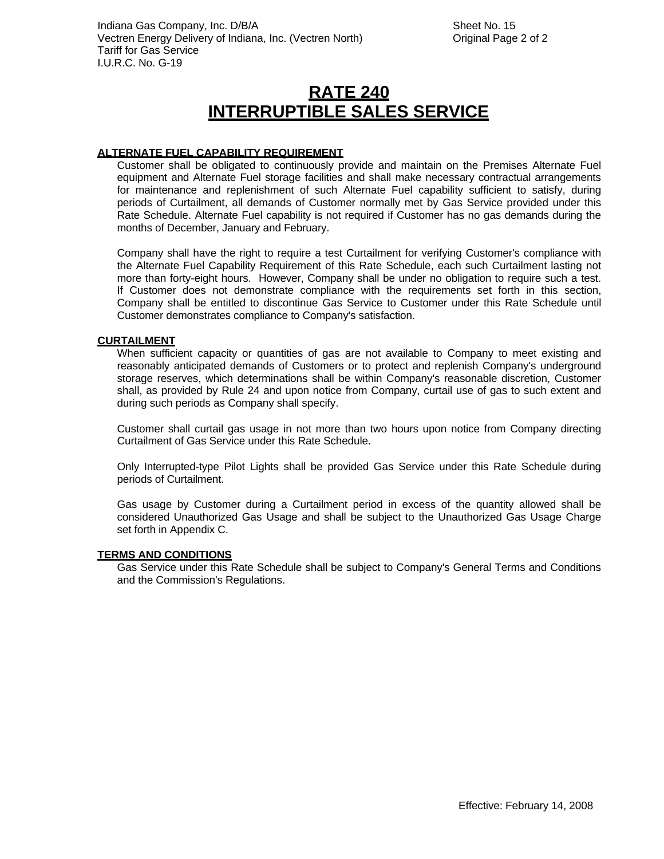# **RATE 240 INTERRUPTIBLE SALES SERVICE**

## **ALTERNATE FUEL CAPABILITY REQUIREMENT**

Customer shall be obligated to continuously provide and maintain on the Premises Alternate Fuel equipment and Alternate Fuel storage facilities and shall make necessary contractual arrangements for maintenance and replenishment of such Alternate Fuel capability sufficient to satisfy, during periods of Curtailment, all demands of Customer normally met by Gas Service provided under this Rate Schedule. Alternate Fuel capability is not required if Customer has no gas demands during the months of December, January and February.

Company shall have the right to require a test Curtailment for verifying Customer's compliance with the Alternate Fuel Capability Requirement of this Rate Schedule, each such Curtailment lasting not more than forty-eight hours. However, Company shall be under no obligation to require such a test. If Customer does not demonstrate compliance with the requirements set forth in this section, Company shall be entitled to discontinue Gas Service to Customer under this Rate Schedule until Customer demonstrates compliance to Company's satisfaction.

## **CURTAILMENT**

When sufficient capacity or quantities of gas are not available to Company to meet existing and reasonably anticipated demands of Customers or to protect and replenish Company's underground storage reserves, which determinations shall be within Company's reasonable discretion, Customer shall, as provided by Rule 24 and upon notice from Company, curtail use of gas to such extent and during such periods as Company shall specify.

Customer shall curtail gas usage in not more than two hours upon notice from Company directing Curtailment of Gas Service under this Rate Schedule.

Only Interrupted-type Pilot Lights shall be provided Gas Service under this Rate Schedule during periods of Curtailment.

Gas usage by Customer during a Curtailment period in excess of the quantity allowed shall be considered Unauthorized Gas Usage and shall be subject to the Unauthorized Gas Usage Charge set forth in Appendix C.

#### **TERMS AND CONDITIONS**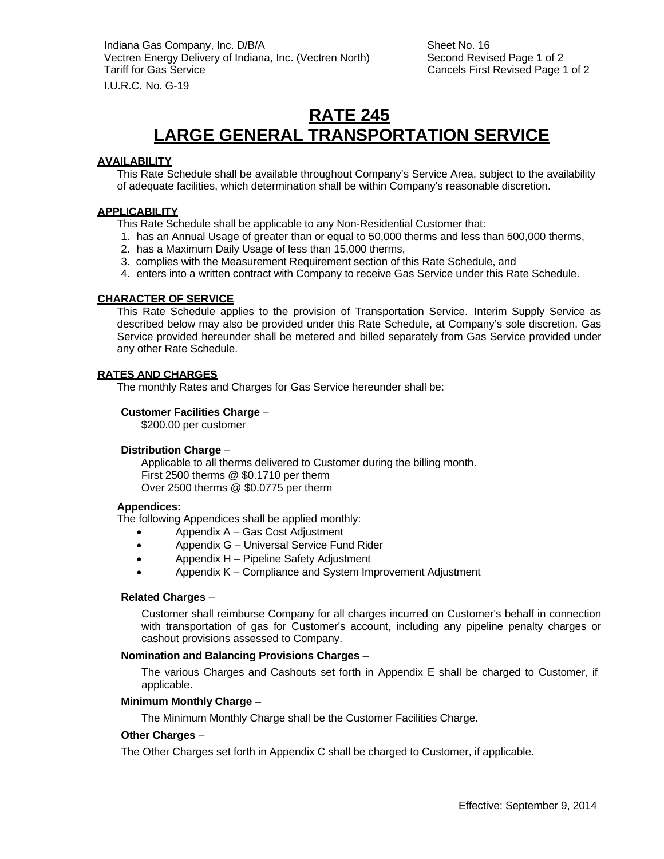## **RATE 245 LARGE GENERAL TRANSPORTATION SERVICE**

## **AVAILABILITY**

This Rate Schedule shall be available throughout Company's Service Area, subject to the availability of adequate facilities, which determination shall be within Company's reasonable discretion.

#### **APPLICABILITY**

This Rate Schedule shall be applicable to any Non-Residential Customer that:

- 1. has an Annual Usage of greater than or equal to 50,000 therms and less than 500,000 therms,
- 2. has a Maximum Daily Usage of less than 15,000 therms,
- 3. complies with the Measurement Requirement section of this Rate Schedule, and
- 4. enters into a written contract with Company to receive Gas Service under this Rate Schedule.

## **CHARACTER OF SERVICE**

This Rate Schedule applies to the provision of Transportation Service. Interim Supply Service as described below may also be provided under this Rate Schedule, at Company's sole discretion. Gas Service provided hereunder shall be metered and billed separately from Gas Service provided under any other Rate Schedule.

#### **RATES AND CHARGES**

The monthly Rates and Charges for Gas Service hereunder shall be:

#### **Customer Facilities Charge** –

\$200.00 per customer

## **Distribution Charge** –

Applicable to all therms delivered to Customer during the billing month. First 2500 therms @ \$0.1710 per therm Over 2500 therms @ \$0.0775 per therm

## **Appendices:**

The following Appendices shall be applied monthly:

- Appendix A Gas Cost Adjustment
- Appendix G Universal Service Fund Rider
- Appendix H Pipeline Safety Adjustment
- Appendix K Compliance and System Improvement Adjustment

## **Related Charges** –

Customer shall reimburse Company for all charges incurred on Customer's behalf in connection with transportation of gas for Customer's account, including any pipeline penalty charges or cashout provisions assessed to Company.

## **Nomination and Balancing Provisions Charges** –

The various Charges and Cashouts set forth in Appendix E shall be charged to Customer, if applicable.

#### **Minimum Monthly Charge** –

The Minimum Monthly Charge shall be the Customer Facilities Charge.

## **Other Charges** –

The Other Charges set forth in Appendix C shall be charged to Customer, if applicable.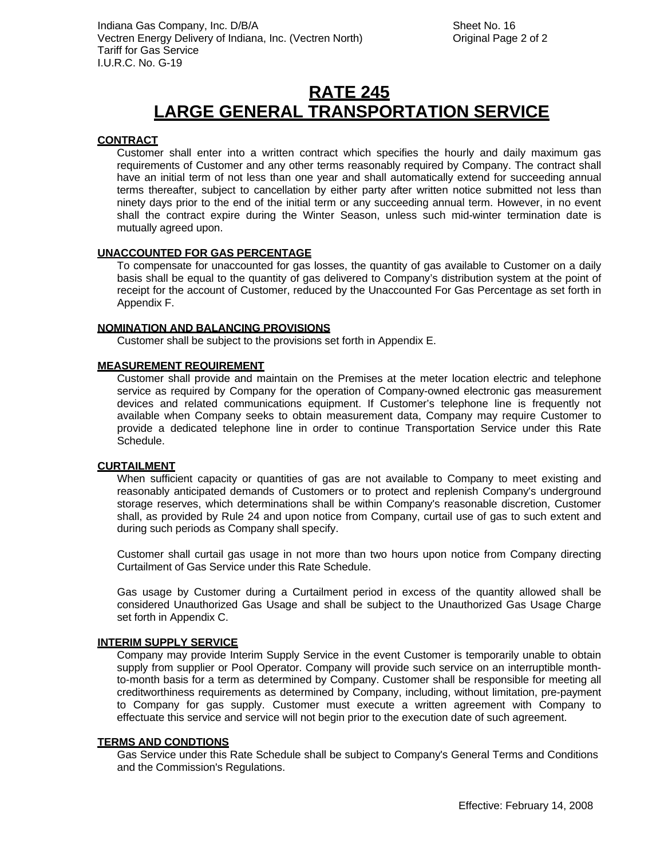# **RATE 245 LARGE GENERAL TRANSPORTATION SERVICE**

## **CONTRACT**

Customer shall enter into a written contract which specifies the hourly and daily maximum gas requirements of Customer and any other terms reasonably required by Company. The contract shall have an initial term of not less than one year and shall automatically extend for succeeding annual terms thereafter, subject to cancellation by either party after written notice submitted not less than ninety days prior to the end of the initial term or any succeeding annual term. However, in no event shall the contract expire during the Winter Season, unless such mid-winter termination date is mutually agreed upon.

## **UNACCOUNTED FOR GAS PERCENTAGE**

To compensate for unaccounted for gas losses, the quantity of gas available to Customer on a daily basis shall be equal to the quantity of gas delivered to Company's distribution system at the point of receipt for the account of Customer, reduced by the Unaccounted For Gas Percentage as set forth in Appendix F.

#### **NOMINATION AND BALANCING PROVISIONS**

Customer shall be subject to the provisions set forth in Appendix E.

#### **MEASUREMENT REQUIREMENT**

Customer shall provide and maintain on the Premises at the meter location electric and telephone service as required by Company for the operation of Company-owned electronic gas measurement devices and related communications equipment. If Customer's telephone line is frequently not available when Company seeks to obtain measurement data, Company may require Customer to provide a dedicated telephone line in order to continue Transportation Service under this Rate Schedule.

#### **CURTAILMENT**

When sufficient capacity or quantities of gas are not available to Company to meet existing and reasonably anticipated demands of Customers or to protect and replenish Company's underground storage reserves, which determinations shall be within Company's reasonable discretion, Customer shall, as provided by Rule 24 and upon notice from Company, curtail use of gas to such extent and during such periods as Company shall specify.

Customer shall curtail gas usage in not more than two hours upon notice from Company directing Curtailment of Gas Service under this Rate Schedule.

Gas usage by Customer during a Curtailment period in excess of the quantity allowed shall be considered Unauthorized Gas Usage and shall be subject to the Unauthorized Gas Usage Charge set forth in Appendix C.

#### **INTERIM SUPPLY SERVICE**

Company may provide Interim Supply Service in the event Customer is temporarily unable to obtain supply from supplier or Pool Operator. Company will provide such service on an interruptible monthto-month basis for a term as determined by Company. Customer shall be responsible for meeting all creditworthiness requirements as determined by Company, including, without limitation, pre-payment to Company for gas supply. Customer must execute a written agreement with Company to effectuate this service and service will not begin prior to the execution date of such agreement.

#### **TERMS AND CONDTIONS**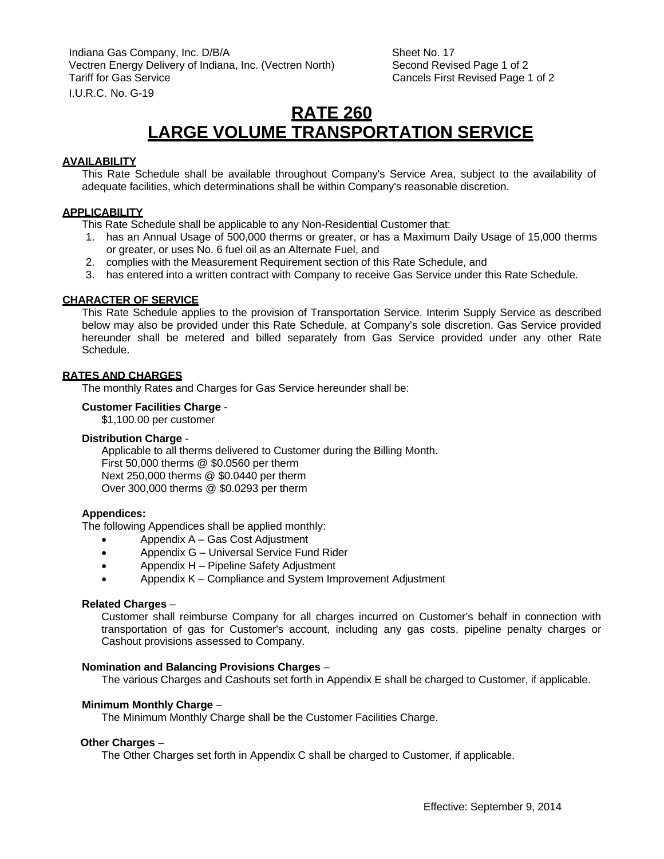## **RATE 260 LARGE VOLUME TRANSPORTATION SERVICE**

## **AVAILABILITY**

This Rate Schedule shall be available throughout Company's Service Area, subject to the availability of adequate facilities, which determinations shall be within Company's reasonable discretion.

#### **APPLICABILITY**

This Rate Schedule shall be applicable to any Non-Residential Customer that:

- 1. has an Annual Usage of 500,000 therms or greater, or has a Maximum Daily Usage of 15,000 therms or greater, or uses No. 6 fuel oil as an Alternate Fuel, and
- 2. complies with the Measurement Requirement section of this Rate Schedule, and
- 3. has entered into a written contract with Company to receive Gas Service under this Rate Schedule.

#### **CHARACTER OF SERVICE**

This Rate Schedule applies to the provision of Transportation Service. Interim Supply Service as described below may also be provided under this Rate Schedule, at Company's sole discretion. Gas Service provided hereunder shall be metered and billed separately from Gas Service provided under any other Rate Schedule.

#### **RATES AND CHARGES**

The monthly Rates and Charges for Gas Service hereunder shall be:

#### **Customer Facilities Charge** -

\$1,100.00 per customer

## **Distribution Charge** -

Applicable to all therms delivered to Customer during the Billing Month. First 50,000 therms @ \$0.0560 per therm Next 250,000 therms @ \$0.0440 per therm Over 300,000 therms @ \$0.0293 per therm

#### **Appendices:**

The following Appendices shall be applied monthly:

- Appendix A Gas Cost Adjustment
- Appendix G Universal Service Fund Rider
- Appendix H Pipeline Safety Adjustment
- Appendix K Compliance and System Improvement Adjustment

#### **Related Charges** –

Customer shall reimburse Company for all charges incurred on Customer's behalf in connection with transportation of gas for Customer's account, including any gas costs, pipeline penalty charges or Cashout provisions assessed to Company.

#### **Nomination and Balancing Provisions Charges** –

The various Charges and Cashouts set forth in Appendix E shall be charged to Customer, if applicable.

## **Minimum Monthly Charge** –

The Minimum Monthly Charge shall be the Customer Facilities Charge.

#### **Other Charges** –

The Other Charges set forth in Appendix C shall be charged to Customer, if applicable.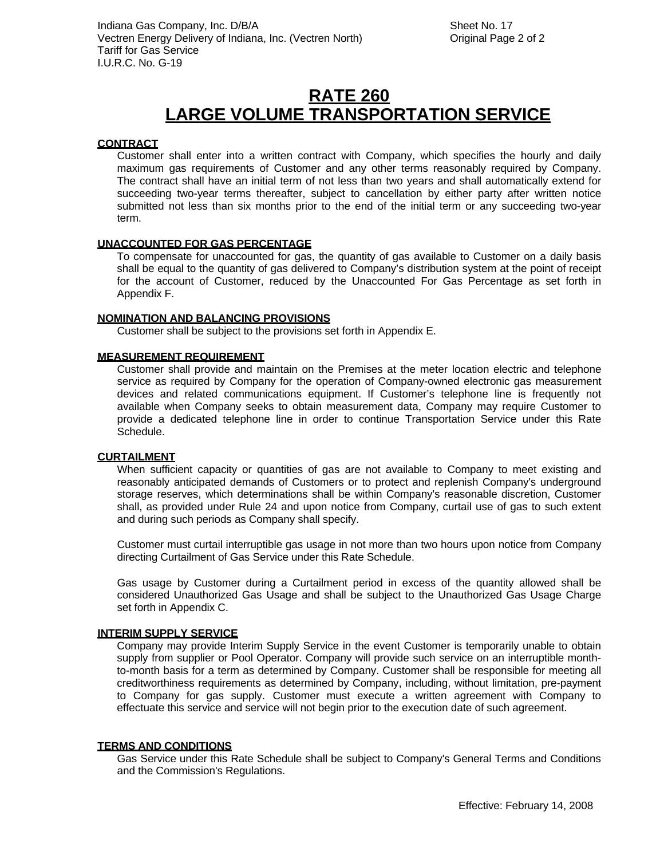## **RATE 260 LARGE VOLUME TRANSPORTATION SERVICE**

## **CONTRACT**

Customer shall enter into a written contract with Company, which specifies the hourly and daily maximum gas requirements of Customer and any other terms reasonably required by Company. The contract shall have an initial term of not less than two years and shall automatically extend for succeeding two-year terms thereafter, subject to cancellation by either party after written notice submitted not less than six months prior to the end of the initial term or any succeeding two-year term.

## **UNACCOUNTED FOR GAS PERCENTAGE**

To compensate for unaccounted for gas, the quantity of gas available to Customer on a daily basis shall be equal to the quantity of gas delivered to Company's distribution system at the point of receipt for the account of Customer, reduced by the Unaccounted For Gas Percentage as set forth in Appendix F.

## **NOMINATION AND BALANCING PROVISIONS**

Customer shall be subject to the provisions set forth in Appendix E.

#### **MEASUREMENT REQUIREMENT**

Customer shall provide and maintain on the Premises at the meter location electric and telephone service as required by Company for the operation of Company-owned electronic gas measurement devices and related communications equipment. If Customer's telephone line is frequently not available when Company seeks to obtain measurement data, Company may require Customer to provide a dedicated telephone line in order to continue Transportation Service under this Rate Schedule.

## **CURTAILMENT**

When sufficient capacity or quantities of gas are not available to Company to meet existing and reasonably anticipated demands of Customers or to protect and replenish Company's underground storage reserves, which determinations shall be within Company's reasonable discretion, Customer shall, as provided under Rule 24 and upon notice from Company, curtail use of gas to such extent and during such periods as Company shall specify.

Customer must curtail interruptible gas usage in not more than two hours upon notice from Company directing Curtailment of Gas Service under this Rate Schedule.

Gas usage by Customer during a Curtailment period in excess of the quantity allowed shall be considered Unauthorized Gas Usage and shall be subject to the Unauthorized Gas Usage Charge set forth in Appendix C.

## **INTERIM SUPPLY SERVICE**

Company may provide Interim Supply Service in the event Customer is temporarily unable to obtain supply from supplier or Pool Operator. Company will provide such service on an interruptible monthto-month basis for a term as determined by Company. Customer shall be responsible for meeting all creditworthiness requirements as determined by Company, including, without limitation, pre-payment to Company for gas supply. Customer must execute a written agreement with Company to effectuate this service and service will not begin prior to the execution date of such agreement.

#### **TERMS AND CONDITIONS**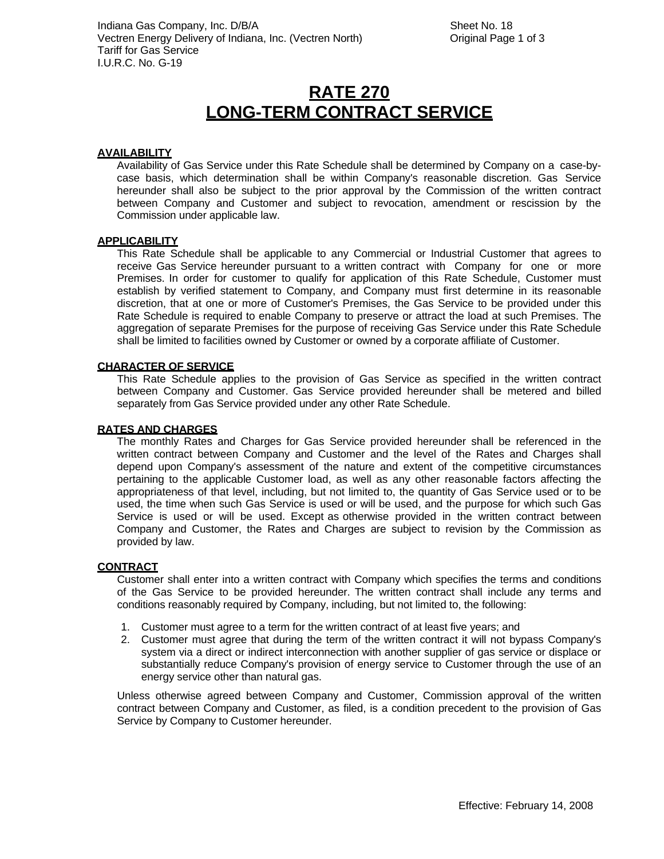## **RATE 270 LONG-TERM CONTRACT SERVICE**

#### **AVAILABILITY**

Availability of Gas Service under this Rate Schedule shall be determined by Company on a case-bycase basis, which determination shall be within Company's reasonable discretion. Gas Service hereunder shall also be subject to the prior approval by the Commission of the written contract between Company and Customer and subject to revocation, amendment or rescission by the Commission under applicable law.

#### **APPLICABILITY**

This Rate Schedule shall be applicable to any Commercial or Industrial Customer that agrees to receive Gas Service hereunder pursuant to a written contract with Company for one or more Premises. In order for customer to qualify for application of this Rate Schedule, Customer must establish by verified statement to Company, and Company must first determine in its reasonable discretion, that at one or more of Customer's Premises, the Gas Service to be provided under this Rate Schedule is required to enable Company to preserve or attract the load at such Premises. The aggregation of separate Premises for the purpose of receiving Gas Service under this Rate Schedule shall be limited to facilities owned by Customer or owned by a corporate affiliate of Customer.

#### **CHARACTER OF SERVICE**

This Rate Schedule applies to the provision of Gas Service as specified in the written contract between Company and Customer. Gas Service provided hereunder shall be metered and billed separately from Gas Service provided under any other Rate Schedule.

#### **RATES AND CHARGES**

The monthly Rates and Charges for Gas Service provided hereunder shall be referenced in the written contract between Company and Customer and the level of the Rates and Charges shall depend upon Company's assessment of the nature and extent of the competitive circumstances pertaining to the applicable Customer load, as well as any other reasonable factors affecting the appropriateness of that level, including, but not limited to, the quantity of Gas Service used or to be used, the time when such Gas Service is used or will be used, and the purpose for which such Gas Service is used or will be used. Except as otherwise provided in the written contract between Company and Customer, the Rates and Charges are subject to revision by the Commission as provided by law.

#### **CONTRACT**

Customer shall enter into a written contract with Company which specifies the terms and conditions of the Gas Service to be provided hereunder. The written contract shall include any terms and conditions reasonably required by Company, including, but not limited to, the following:

- 1. Customer must agree to a term for the written contract of at least five years; and
- 2. Customer must agree that during the term of the written contract it will not bypass Company's system via a direct or indirect interconnection with another supplier of gas service or displace or substantially reduce Company's provision of energy service to Customer through the use of an energy service other than natural gas.

Unless otherwise agreed between Company and Customer, Commission approval of the written contract between Company and Customer, as filed, is a condition precedent to the provision of Gas Service by Company to Customer hereunder.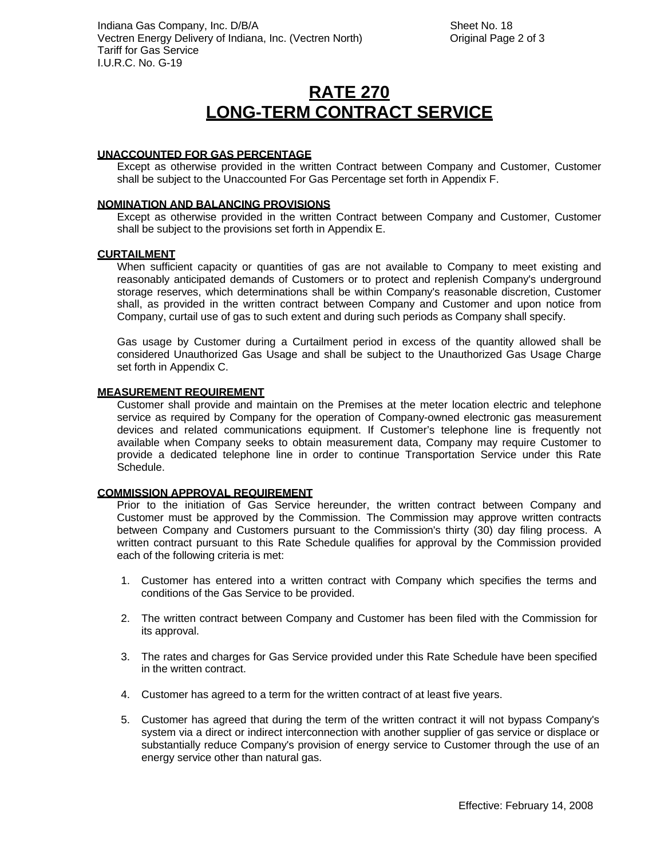# **RATE 270 LONG-TERM CONTRACT SERVICE**

## **UNACCOUNTED FOR GAS PERCENTAGE**

Except as otherwise provided in the written Contract between Company and Customer, Customer shall be subject to the Unaccounted For Gas Percentage set forth in Appendix F.

## **NOMINATION AND BALANCING PROVISIONS**

Except as otherwise provided in the written Contract between Company and Customer, Customer shall be subject to the provisions set forth in Appendix E.

#### **CURTAILMENT**

When sufficient capacity or quantities of gas are not available to Company to meet existing and reasonably anticipated demands of Customers or to protect and replenish Company's underground storage reserves, which determinations shall be within Company's reasonable discretion, Customer shall, as provided in the written contract between Company and Customer and upon notice from Company, curtail use of gas to such extent and during such periods as Company shall specify.

Gas usage by Customer during a Curtailment period in excess of the quantity allowed shall be considered Unauthorized Gas Usage and shall be subject to the Unauthorized Gas Usage Charge set forth in Appendix C.

#### **MEASUREMENT REQUIREMENT**

Customer shall provide and maintain on the Premises at the meter location electric and telephone service as required by Company for the operation of Company-owned electronic gas measurement devices and related communications equipment. If Customer's telephone line is frequently not available when Company seeks to obtain measurement data, Company may require Customer to provide a dedicated telephone line in order to continue Transportation Service under this Rate Schedule.

## **COMMISSION APPROVAL REQUIREMENT**

Prior to the initiation of Gas Service hereunder, the written contract between Company and Customer must be approved by the Commission. The Commission may approve written contracts between Company and Customers pursuant to the Commission's thirty (30) day filing process. A written contract pursuant to this Rate Schedule qualifies for approval by the Commission provided each of the following criteria is met:

- 1. Customer has entered into a written contract with Company which specifies the terms and conditions of the Gas Service to be provided.
- 2. The written contract between Company and Customer has been filed with the Commission for its approval.
- 3. The rates and charges for Gas Service provided under this Rate Schedule have been specified in the written contract.
- 4. Customer has agreed to a term for the written contract of at least five years.
- 5. Customer has agreed that during the term of the written contract it will not bypass Company's system via a direct or indirect interconnection with another supplier of gas service or displace or substantially reduce Company's provision of energy service to Customer through the use of an energy service other than natural gas.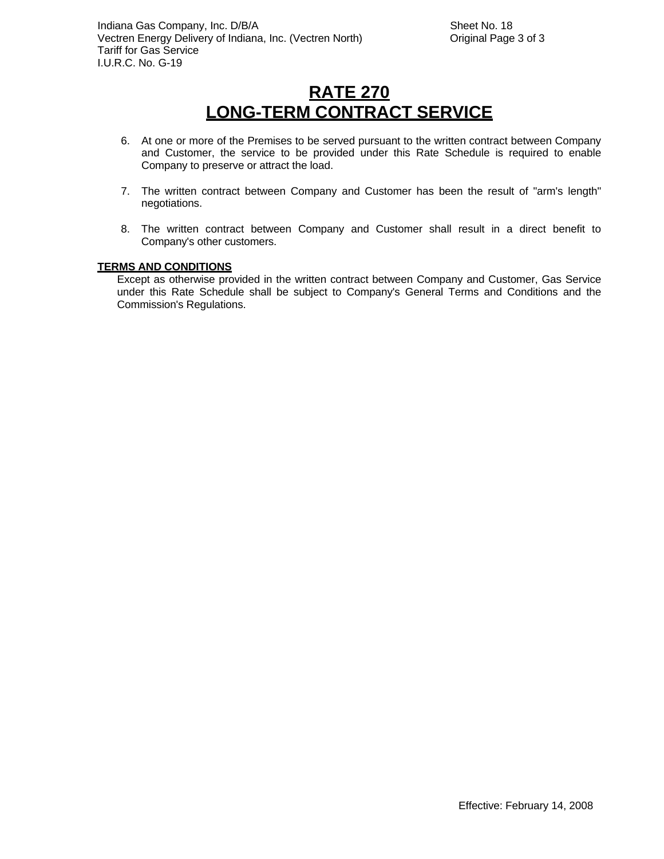# **RATE 270 LONG-TERM CONTRACT SERVICE**

- 6. At one or more of the Premises to be served pursuant to the written contract between Company and Customer, the service to be provided under this Rate Schedule is required to enable Company to preserve or attract the load.
- 7. The written contract between Company and Customer has been the result of "arm's length" negotiations.
- 8. The written contract between Company and Customer shall result in a direct benefit to Company's other customers.

## **TERMS AND CONDITIONS**

Except as otherwise provided in the written contract between Company and Customer, Gas Service under this Rate Schedule shall be subject to Company's General Terms and Conditions and the Commission's Regulations.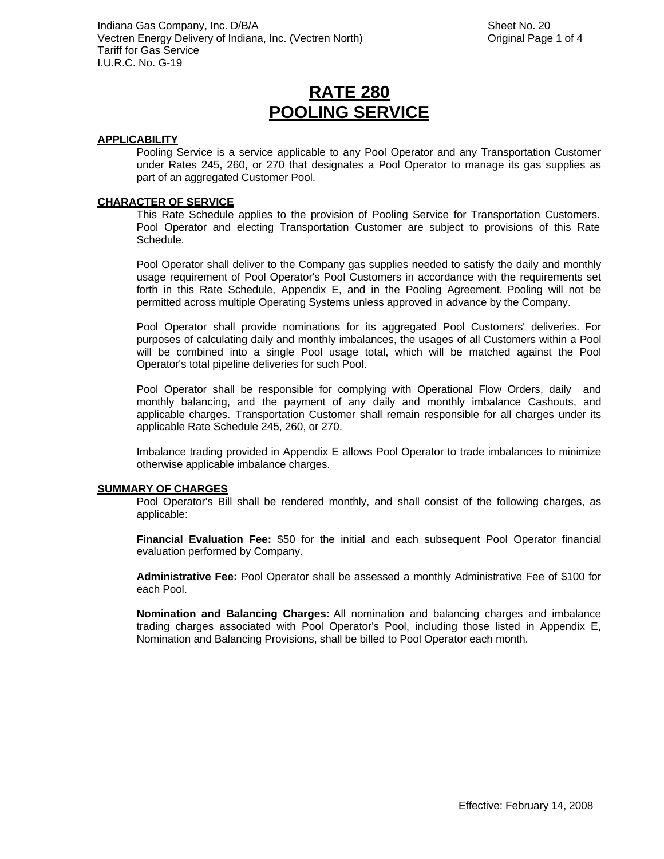#### **APPLICABILITY**

Pooling Service is a service applicable to any Pool Operator and any Transportation Customer under Rates 245, 260, or 270 that designates a Pool Operator to manage its gas supplies as part of an aggregated Customer Pool.

#### **CHARACTER OF SERVICE**

This Rate Schedule applies to the provision of Pooling Service for Transportation Customers. Pool Operator and electing Transportation Customer are subject to provisions of this Rate Schedule.

Pool Operator shall deliver to the Company gas supplies needed to satisfy the daily and monthly usage requirement of Pool Operator's Pool Customers in accordance with the requirements set forth in this Rate Schedule, Appendix E, and in the Pooling Agreement. Pooling will not be permitted across multiple Operating Systems unless approved in advance by the Company.

Pool Operator shall provide nominations for its aggregated Pool Customers' deliveries. For purposes of calculating daily and monthly imbalances, the usages of all Customers within a Pool will be combined into a single Pool usage total, which will be matched against the Pool Operator's total pipeline deliveries for such Pool.

Pool Operator shall be responsible for complying with Operational Flow Orders, daily and monthly balancing, and the payment of any daily and monthly imbalance Cashouts, and applicable charges. Transportation Customer shall remain responsible for all charges under its applicable Rate Schedule 245, 260, or 270.

Imbalance trading provided in Appendix E allows Pool Operator to trade imbalances to minimize otherwise applicable imbalance charges.

## **SUMMARY OF CHARGES**

Pool Operator's Bill shall be rendered monthly, and shall consist of the following charges, as applicable:

**Financial Evaluation Fee:** \$50 for the initial and each subsequent Pool Operator financial evaluation performed by Company.

**Administrative Fee:** Pool Operator shall be assessed a monthly Administrative Fee of \$100 for each Pool.

**Nomination and Balancing Charges:** All nomination and balancing charges and imbalance trading charges associated with Pool Operator's Pool, including those listed in Appendix E, Nomination and Balancing Provisions, shall be billed to Pool Operator each month.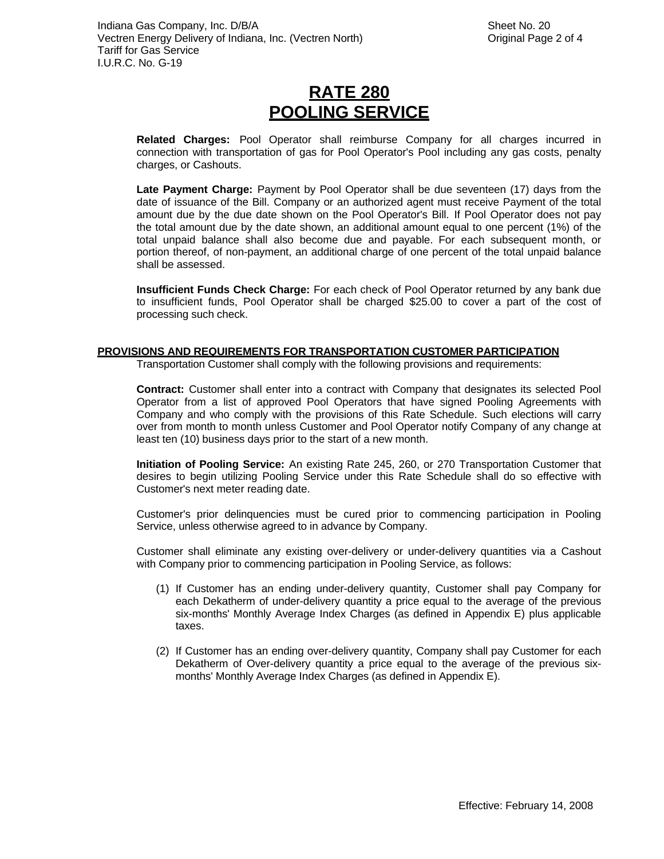**Related Charges:** Pool Operator shall reimburse Company for all charges incurred in connection with transportation of gas for Pool Operator's Pool including any gas costs, penalty charges, or Cashouts.

**Late Payment Charge:** Payment by Pool Operator shall be due seventeen (17) days from the date of issuance of the Bill. Company or an authorized agent must receive Payment of the total amount due by the due date shown on the Pool Operator's Bill. If Pool Operator does not pay the total amount due by the date shown, an additional amount equal to one percent (1%) of the total unpaid balance shall also become due and payable. For each subsequent month, or portion thereof, of non-payment, an additional charge of one percent of the total unpaid balance shall be assessed.

**Insufficient Funds Check Charge:** For each check of Pool Operator returned by any bank due to insufficient funds, Pool Operator shall be charged \$25.00 to cover a part of the cost of processing such check.

## **PROVISIONS AND REQUIREMENTS FOR TRANSPORTATION CUSTOMER PARTICIPATION**

Transportation Customer shall comply with the following provisions and requirements:

**Contract:** Customer shall enter into a contract with Company that designates its selected Pool Operator from a list of approved Pool Operators that have signed Pooling Agreements with Company and who comply with the provisions of this Rate Schedule. Such elections will carry over from month to month unless Customer and Pool Operator notify Company of any change at least ten (10) business days prior to the start of a new month.

**Initiation of Pooling Service:** An existing Rate 245, 260, or 270 Transportation Customer that desires to begin utilizing Pooling Service under this Rate Schedule shall do so effective with Customer's next meter reading date.

Customer's prior delinquencies must be cured prior to commencing participation in Pooling Service, unless otherwise agreed to in advance by Company.

Customer shall eliminate any existing over-delivery or under-delivery quantities via a Cashout with Company prior to commencing participation in Pooling Service, as follows:

- (1) If Customer has an ending under-delivery quantity, Customer shall pay Company for each Dekatherm of under-delivery quantity a price equal to the average of the previous six-months' Monthly Average Index Charges (as defined in Appendix E) plus applicable taxes.
- (2) If Customer has an ending over-delivery quantity, Company shall pay Customer for each Dekatherm of Over-delivery quantity a price equal to the average of the previous sixmonths' Monthly Average Index Charges (as defined in Appendix E).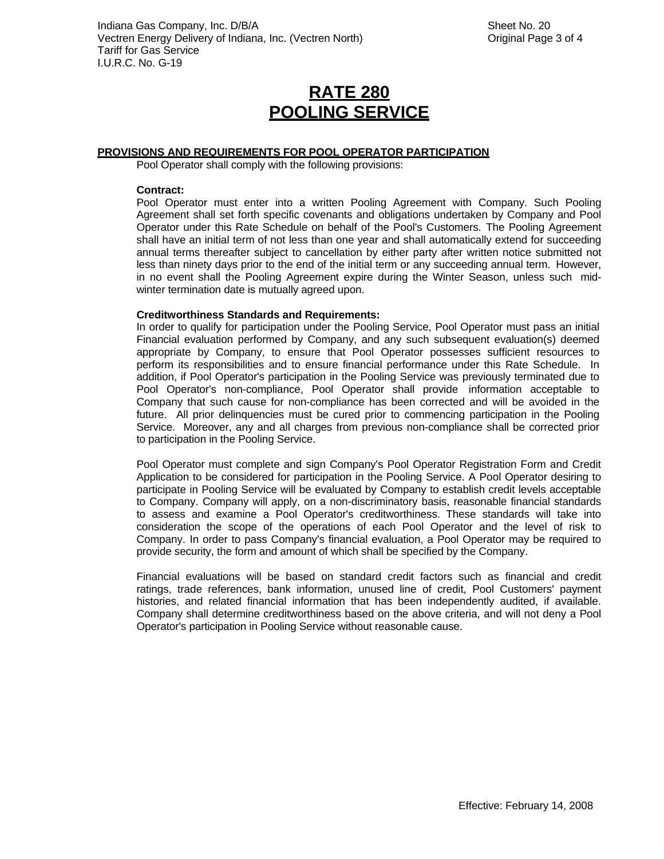## **PROVISIONS AND REQUIREMENTS FOR POOL OPERATOR PARTICIPATION**

Pool Operator shall comply with the following provisions:

#### **Contract:**

Pool Operator must enter into a written Pooling Agreement with Company. Such Pooling Agreement shall set forth specific covenants and obligations undertaken by Company and Pool Operator under this Rate Schedule on behalf of the Pool's Customers. The Pooling Agreement shall have an initial term of not less than one year and shall automatically extend for succeeding annual terms thereafter subject to cancellation by either party after written notice submitted not less than ninety days prior to the end of the initial term or any succeeding annual term. However, in no event shall the Pooling Agreement expire during the Winter Season, unless such midwinter termination date is mutually agreed upon.

## **Creditworthiness Standards and Requirements:**

In order to qualify for participation under the Pooling Service, Pool Operator must pass an initial Financial evaluation performed by Company, and any such subsequent evaluation(s) deemed appropriate by Company, to ensure that Pool Operator possesses sufficient resources to perform its responsibilities and to ensure financial performance under this Rate Schedule. In addition, if Pool Operator's participation in the Pooling Service was previously terminated due to Pool Operator's non-compliance, Pool Operator shall provide information acceptable to Company that such cause for non-compliance has been corrected and will be avoided in the future. All prior delinquencies must be cured prior to commencing participation in the Pooling Service. Moreover, any and all charges from previous non-compliance shall be corrected prior to participation in the Pooling Service.

Pool Operator must complete and sign Company's Pool Operator Registration Form and Credit Application to be considered for participation in the Pooling Service. A Pool Operator desiring to participate in Pooling Service will be evaluated by Company to establish credit levels acceptable to Company. Company will apply, on a non-discriminatory basis, reasonable financial standards to assess and examine a Pool Operator's creditworthiness. These standards will take into consideration the scope of the operations of each Pool Operator and the level of risk to Company. In order to pass Company's financial evaluation, a Pool Operator may be required to provide security, the form and amount of which shall be specified by the Company.

Financial evaluations will be based on standard credit factors such as financial and credit ratings, trade references, bank information, unused line of credit, Pool Customers' payment histories, and related financial information that has been independently audited, if available. Company shall determine creditworthiness based on the above criteria, and will not deny a Pool Operator's participation in Pooling Service without reasonable cause.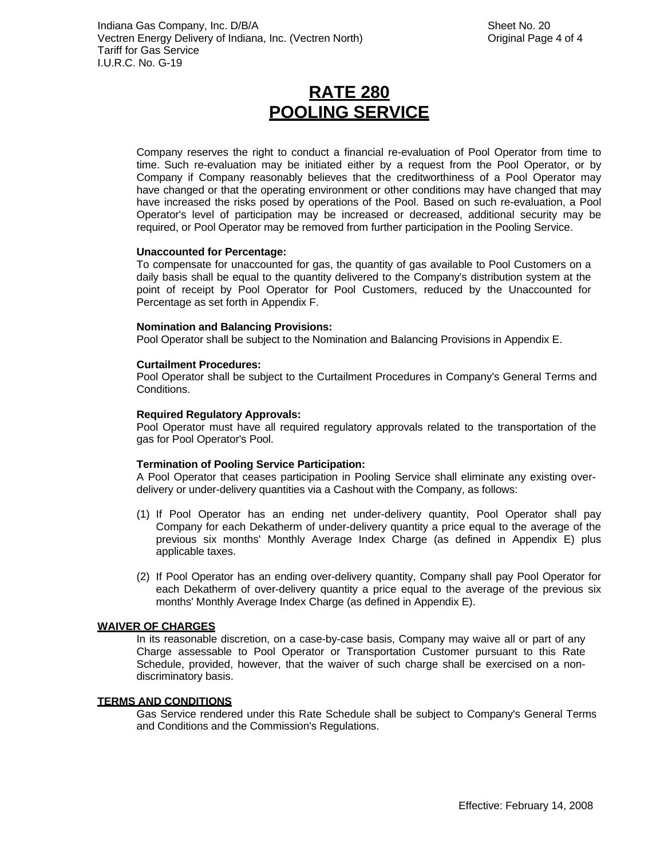Company reserves the right to conduct a financial re-evaluation of Pool Operator from time to time. Such re-evaluation may be initiated either by a request from the Pool Operator, or by Company if Company reasonably believes that the creditworthiness of a Pool Operator may have changed or that the operating environment or other conditions may have changed that may have increased the risks posed by operations of the Pool. Based on such re-evaluation, a Pool Operator's level of participation may be increased or decreased, additional security may be required, or Pool Operator may be removed from further participation in the Pooling Service.

#### **Unaccounted for Percentage:**

To compensate for unaccounted for gas, the quantity of gas available to Pool Customers on a daily basis shall be equal to the quantity delivered to the Company's distribution system at the point of receipt by Pool Operator for Pool Customers, reduced by the Unaccounted for Percentage as set forth in Appendix F.

#### **Nomination and Balancing Provisions:**

Pool Operator shall be subject to the Nomination and Balancing Provisions in Appendix E.

#### **Curtailment Procedures:**

Pool Operator shall be subject to the Curtailment Procedures in Company's General Terms and Conditions.

#### **Required Regulatory Approvals:**

Pool Operator must have all required regulatory approvals related to the transportation of the gas for Pool Operator's Pool.

## **Termination of Pooling Service Participation:**

A Pool Operator that ceases participation in Pooling Service shall eliminate any existing overdelivery or under-delivery quantities via a Cashout with the Company, as follows:

- (1) If Pool Operator has an ending net under-delivery quantity, Pool Operator shall pay Company for each Dekatherm of under-delivery quantity a price equal to the average of the previous six months' Monthly Average Index Charge (as defined in Appendix E) plus applicable taxes.
- (2) If Pool Operator has an ending over-delivery quantity, Company shall pay Pool Operator for each Dekatherm of over-delivery quantity a price equal to the average of the previous six months' Monthly Average Index Charge (as defined in Appendix E).

#### **WAIVER OF CHARGES**

In its reasonable discretion, on a case-by-case basis, Company may waive all or part of any Charge assessable to Pool Operator or Transportation Customer pursuant to this Rate Schedule, provided, however, that the waiver of such charge shall be exercised on a nondiscriminatory basis.

#### **TERMS AND CONDITIONS**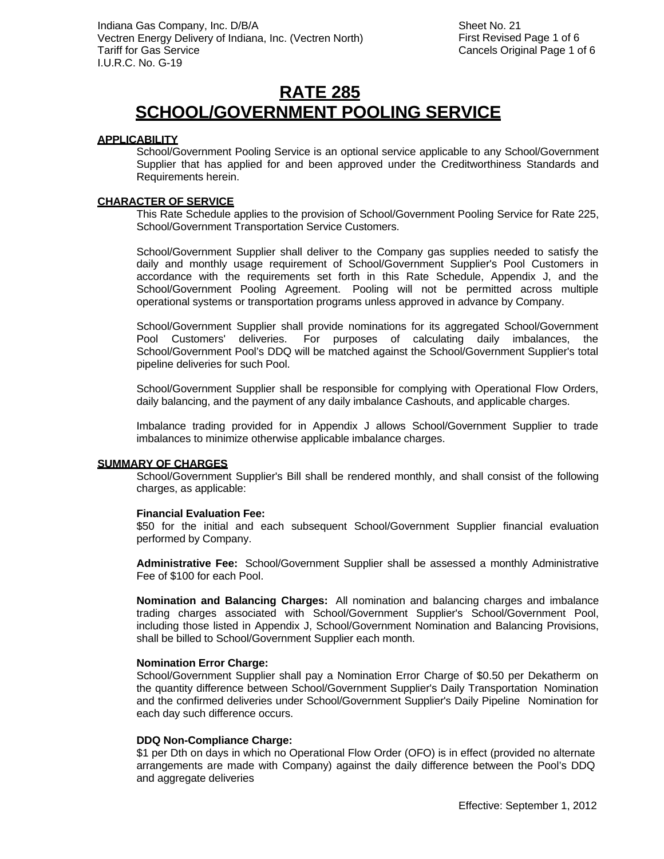## **RATE 285 SCHOOL/GOVERNMENT POOLING SERVICE**

## **APPLICABILITY**

School/Government Pooling Service is an optional service applicable to any School/Government Supplier that has applied for and been approved under the Creditworthiness Standards and Requirements herein.

## **CHARACTER OF SERVICE**

This Rate Schedule applies to the provision of School/Government Pooling Service for Rate 225, School/Government Transportation Service Customers.

School/Government Supplier shall deliver to the Company gas supplies needed to satisfy the daily and monthly usage requirement of School/Government Supplier's Pool Customers in accordance with the requirements set forth in this Rate Schedule, Appendix J, and the School/Government Pooling Agreement. Pooling will not be permitted across multiple operational systems or transportation programs unless approved in advance by Company.

School/Government Supplier shall provide nominations for its aggregated School/Government Pool Customers' deliveries. For purposes of calculating daily imbalances, the School/Government Pool's DDQ will be matched against the School/Government Supplier's total pipeline deliveries for such Pool.

School/Government Supplier shall be responsible for complying with Operational Flow Orders, daily balancing, and the payment of any daily imbalance Cashouts, and applicable charges.

Imbalance trading provided for in Appendix J allows School/Government Supplier to trade imbalances to minimize otherwise applicable imbalance charges.

#### **SUMMARY OF CHARGES**

School/Government Supplier's Bill shall be rendered monthly, and shall consist of the following charges, as applicable:

#### **Financial Evaluation Fee:**

\$50 for the initial and each subsequent School/Government Supplier financial evaluation performed by Company.

**Administrative Fee:** School/Government Supplier shall be assessed a monthly Administrative Fee of \$100 for each Pool.

**Nomination and Balancing Charges:** All nomination and balancing charges and imbalance trading charges associated with School/Government Supplier's School/Government Pool, including those listed in Appendix J, School/Government Nomination and Balancing Provisions, shall be billed to School/Government Supplier each month.

## **Nomination Error Charge:**

School/Government Supplier shall pay a Nomination Error Charge of \$0.50 per Dekatherm on the quantity difference between School/Government Supplier's Daily Transportation Nomination and the confirmed deliveries under School/Government Supplier's Daily Pipeline Nomination for each day such difference occurs.

## **DDQ Non-Compliance Charge:**

\$1 per Dth on days in which no Operational Flow Order (OFO) is in effect (provided no alternate arrangements are made with Company) against the daily difference between the Pool's DDQ and aggregate deliveries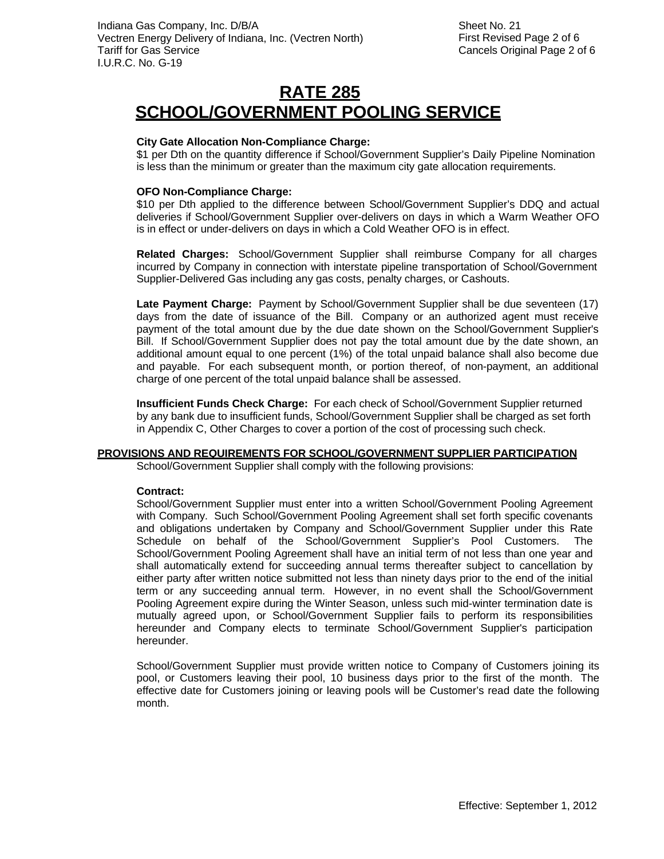#### **City Gate Allocation Non-Compliance Charge:**

\$1 per Dth on the quantity difference if School/Government Supplier's Daily Pipeline Nomination is less than the minimum or greater than the maximum city gate allocation requirements.

#### **OFO Non-Compliance Charge:**

\$10 per Dth applied to the difference between School/Government Supplier's DDQ and actual deliveries if School/Government Supplier over-delivers on days in which a Warm Weather OFO is in effect or under-delivers on days in which a Cold Weather OFO is in effect.

**Related Charges:** School/Government Supplier shall reimburse Company for all charges incurred by Company in connection with interstate pipeline transportation of School/Government Supplier-Delivered Gas including any gas costs, penalty charges, or Cashouts.

**Late Payment Charge:** Payment by School/Government Supplier shall be due seventeen (17) days from the date of issuance of the Bill. Company or an authorized agent must receive payment of the total amount due by the due date shown on the School/Government Supplier's Bill. If School/Government Supplier does not pay the total amount due by the date shown, an additional amount equal to one percent (1%) of the total unpaid balance shall also become due and payable. For each subsequent month, or portion thereof, of non-payment, an additional charge of one percent of the total unpaid balance shall be assessed.

**Insufficient Funds Check Charge:** For each check of School/Government Supplier returned by any bank due to insufficient funds, School/Government Supplier shall be charged as set forth in Appendix C, Other Charges to cover a portion of the cost of processing such check.

#### **PROVISIONS AND REQUIREMENTS FOR SCHOOL/GOVERNMENT SUPPLIER PARTICIPATION**

School/Government Supplier shall comply with the following provisions:

#### **Contract:**

School/Government Supplier must enter into a written School/Government Pooling Agreement with Company. Such School/Government Pooling Agreement shall set forth specific covenants and obligations undertaken by Company and School/Government Supplier under this Rate Schedule on behalf of the School/Government Supplier's Pool Customers. School/Government Pooling Agreement shall have an initial term of not less than one year and shall automatically extend for succeeding annual terms thereafter subject to cancellation by either party after written notice submitted not less than ninety days prior to the end of the initial term or any succeeding annual term. However, in no event shall the School/Government Pooling Agreement expire during the Winter Season, unless such mid-winter termination date is mutually agreed upon, or School/Government Supplier fails to perform its responsibilities hereunder and Company elects to terminate School/Government Supplier's participation hereunder.

School/Government Supplier must provide written notice to Company of Customers joining its pool, or Customers leaving their pool, 10 business days prior to the first of the month. The effective date for Customers joining or leaving pools will be Customer's read date the following month.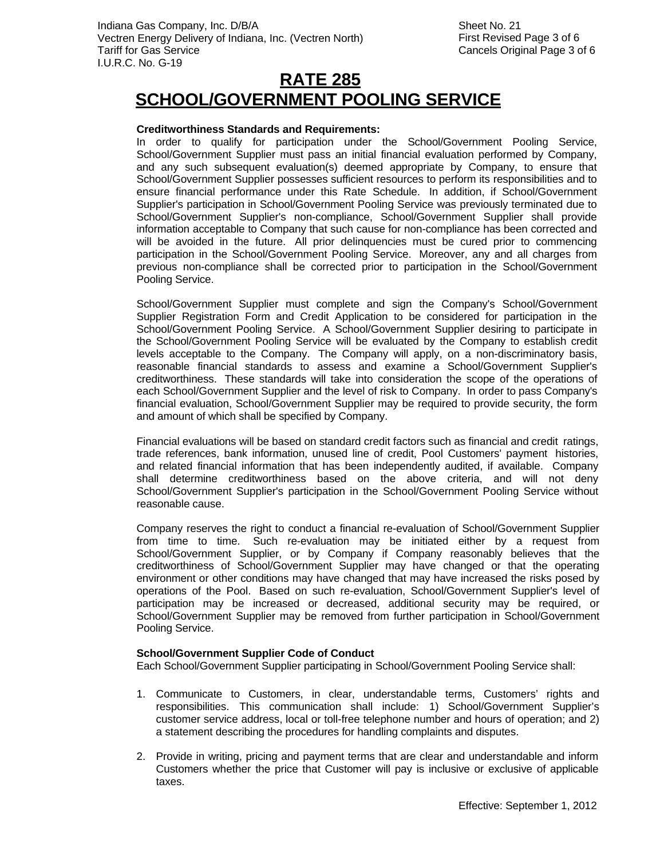#### **Creditworthiness Standards and Requirements:**

In order to qualify for participation under the School/Government Pooling Service, School/Government Supplier must pass an initial financial evaluation performed by Company, and any such subsequent evaluation(s) deemed appropriate by Company, to ensure that School/Government Supplier possesses sufficient resources to perform its responsibilities and to ensure financial performance under this Rate Schedule. In addition, if School/Government Supplier's participation in School/Government Pooling Service was previously terminated due to School/Government Supplier's non-compliance, School/Government Supplier shall provide information acceptable to Company that such cause for non-compliance has been corrected and will be avoided in the future. All prior delinquencies must be cured prior to commencing participation in the School/Government Pooling Service. Moreover, any and all charges from previous non-compliance shall be corrected prior to participation in the School/Government Pooling Service.

School/Government Supplier must complete and sign the Company's School/Government Supplier Registration Form and Credit Application to be considered for participation in the School/Government Pooling Service. A School/Government Supplier desiring to participate in the School/Government Pooling Service will be evaluated by the Company to establish credit levels acceptable to the Company. The Company will apply, on a non-discriminatory basis, reasonable financial standards to assess and examine a School/Government Supplier's creditworthiness. These standards will take into consideration the scope of the operations of each School/Government Supplier and the level of risk to Company. In order to pass Company's financial evaluation, School/Government Supplier may be required to provide security, the form and amount of which shall be specified by Company.

Financial evaluations will be based on standard credit factors such as financial and credit ratings, trade references, bank information, unused line of credit, Pool Customers' payment histories, and related financial information that has been independently audited, if available. Company shall determine creditworthiness based on the above criteria, and will not deny School/Government Supplier's participation in the School/Government Pooling Service without reasonable cause.

Company reserves the right to conduct a financial re-evaluation of School/Government Supplier from time to time. Such re-evaluation may be initiated either by a request from School/Government Supplier, or by Company if Company reasonably believes that the creditworthiness of School/Government Supplier may have changed or that the operating environment or other conditions may have changed that may have increased the risks posed by operations of the Pool. Based on such re-evaluation, School/Government Supplier's level of participation may be increased or decreased, additional security may be required, or School/Government Supplier may be removed from further participation in School/Government Pooling Service.

#### **School/Government Supplier Code of Conduct**

Each School/Government Supplier participating in School/Government Pooling Service shall:

- 1. Communicate to Customers, in clear, understandable terms, Customers' rights and responsibilities. This communication shall include: 1) School/Government Supplier's customer service address, local or toll-free telephone number and hours of operation; and 2) a statement describing the procedures for handling complaints and disputes.
- 2. Provide in writing, pricing and payment terms that are clear and understandable and inform Customers whether the price that Customer will pay is inclusive or exclusive of applicable taxes.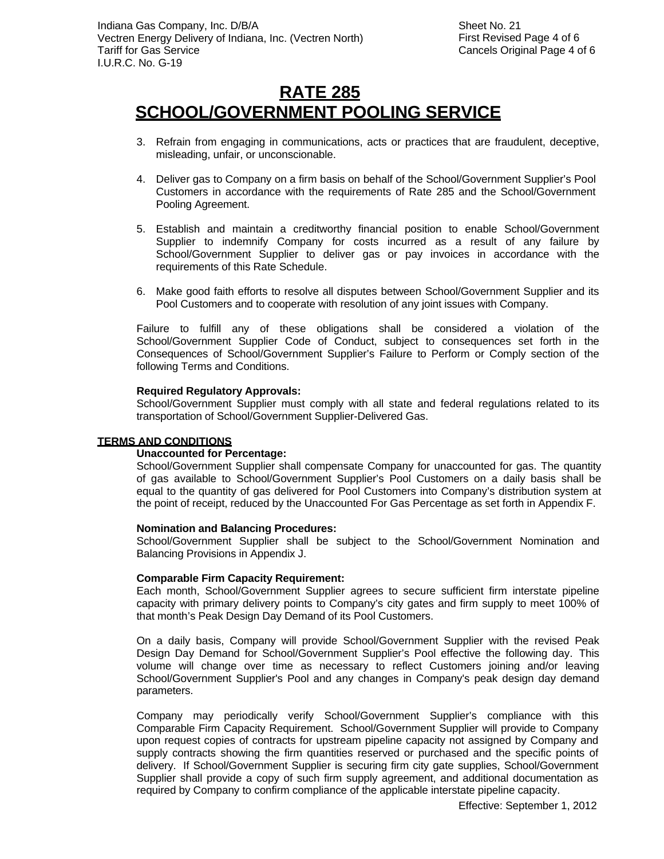- 3. Refrain from engaging in communications, acts or practices that are fraudulent, deceptive, misleading, unfair, or unconscionable.
- 4. Deliver gas to Company on a firm basis on behalf of the School/Government Supplier's Pool Customers in accordance with the requirements of Rate 285 and the School/Government Pooling Agreement.
- 5. Establish and maintain a creditworthy financial position to enable School/Government Supplier to indemnify Company for costs incurred as a result of any failure by School/Government Supplier to deliver gas or pay invoices in accordance with the requirements of this Rate Schedule.
- 6. Make good faith efforts to resolve all disputes between School/Government Supplier and its Pool Customers and to cooperate with resolution of any joint issues with Company.

Failure to fulfill any of these obligations shall be considered a violation of the School/Government Supplier Code of Conduct, subject to consequences set forth in the Consequences of School/Government Supplier's Failure to Perform or Comply section of the following Terms and Conditions.

#### **Required Regulatory Approvals:**

School/Government Supplier must comply with all state and federal regulations related to its transportation of School/Government Supplier-Delivered Gas.

#### **TERMS AND CONDITIONS**

#### **Unaccounted for Percentage:**

School/Government Supplier shall compensate Company for unaccounted for gas. The quantity of gas available to School/Government Supplier's Pool Customers on a daily basis shall be equal to the quantity of gas delivered for Pool Customers into Company's distribution system at the point of receipt, reduced by the Unaccounted For Gas Percentage as set forth in Appendix F.

#### **Nomination and Balancing Procedures:**

School/Government Supplier shall be subject to the School/Government Nomination and Balancing Provisions in Appendix J.

#### **Comparable Firm Capacity Requirement:**

Each month, School/Government Supplier agrees to secure sufficient firm interstate pipeline capacity with primary delivery points to Company's city gates and firm supply to meet 100% of that month's Peak Design Day Demand of its Pool Customers.

On a daily basis, Company will provide School/Government Supplier with the revised Peak Design Day Demand for School/Government Supplier's Pool effective the following day. This volume will change over time as necessary to reflect Customers joining and/or leaving School/Government Supplier's Pool and any changes in Company's peak design day demand parameters.

Company may periodically verify School/Government Supplier's compliance with this Comparable Firm Capacity Requirement. School/Government Supplier will provide to Company upon request copies of contracts for upstream pipeline capacity not assigned by Company and supply contracts showing the firm quantities reserved or purchased and the specific points of delivery. If School/Government Supplier is securing firm city gate supplies, School/Government Supplier shall provide a copy of such firm supply agreement, and additional documentation as required by Company to confirm compliance of the applicable interstate pipeline capacity.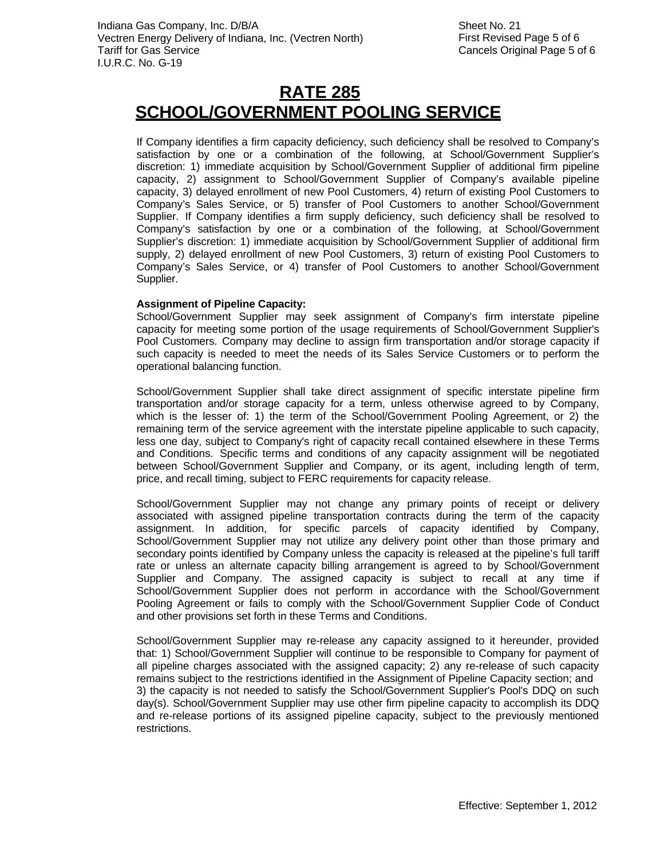If Company identifies a firm capacity deficiency, such deficiency shall be resolved to Company's satisfaction by one or a combination of the following, at School/Government Supplier's discretion: 1) immediate acquisition by School/Government Supplier of additional firm pipeline capacity, 2) assignment to School/Government Supplier of Company's available pipeline capacity, 3) delayed enrollment of new Pool Customers, 4) return of existing Pool Customers to Company's Sales Service, or 5) transfer of Pool Customers to another School/Government Supplier. If Company identifies a firm supply deficiency, such deficiency shall be resolved to Company's satisfaction by one or a combination of the following, at School/Government Supplier's discretion: 1) immediate acquisition by School/Government Supplier of additional firm supply, 2) delayed enrollment of new Pool Customers, 3) return of existing Pool Customers to Company's Sales Service, or 4) transfer of Pool Customers to another School/Government Supplier.

#### **Assignment of Pipeline Capacity:**

School/Government Supplier may seek assignment of Company's firm interstate pipeline capacity for meeting some portion of the usage requirements of School/Government Supplier's Pool Customers. Company may decline to assign firm transportation and/or storage capacity if such capacity is needed to meet the needs of its Sales Service Customers or to perform the operational balancing function.

School/Government Supplier shall take direct assignment of specific interstate pipeline firm transportation and/or storage capacity for a term, unless otherwise agreed to by Company, which is the lesser of: 1) the term of the School/Government Pooling Agreement, or 2) the remaining term of the service agreement with the interstate pipeline applicable to such capacity, less one day, subject to Company's right of capacity recall contained elsewhere in these Terms and Conditions. Specific terms and conditions of any capacity assignment will be negotiated between School/Government Supplier and Company, or its agent, including length of term, price, and recall timing, subject to FERC requirements for capacity release.

School/Government Supplier may not change any primary points of receipt or delivery associated with assigned pipeline transportation contracts during the term of the capacity assignment. In addition, for specific parcels of capacity identified by Company, School/Government Supplier may not utilize any delivery point other than those primary and secondary points identified by Company unless the capacity is released at the pipeline's full tariff rate or unless an alternate capacity billing arrangement is agreed to by School/Government Supplier and Company. The assigned capacity is subject to recall at any time if School/Government Supplier does not perform in accordance with the School/Government Pooling Agreement or fails to comply with the School/Government Supplier Code of Conduct and other provisions set forth in these Terms and Conditions.

School/Government Supplier may re-release any capacity assigned to it hereunder, provided that: 1) School/Government Supplier will continue to be responsible to Company for payment of all pipeline charges associated with the assigned capacity; 2) any re-release of such capacity remains subject to the restrictions identified in the Assignment of Pipeline Capacity section; and 3) the capacity is not needed to satisfy the School/Government Supplier's Pool's DDQ on such day(s). School/Government Supplier may use other firm pipeline capacity to accomplish its DDQ and re-release portions of its assigned pipeline capacity, subject to the previously mentioned restrictions.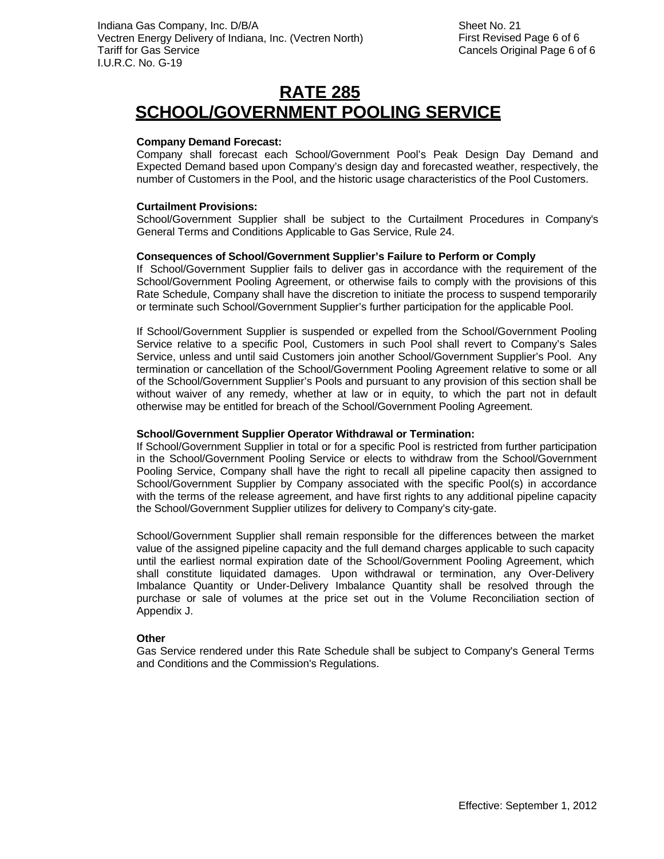#### **Company Demand Forecast:**

Company shall forecast each School/Government Pool's Peak Design Day Demand and Expected Demand based upon Company's design day and forecasted weather, respectively, the number of Customers in the Pool, and the historic usage characteristics of the Pool Customers.

#### **Curtailment Provisions:**

School/Government Supplier shall be subject to the Curtailment Procedures in Company's General Terms and Conditions Applicable to Gas Service, Rule 24.

#### **Consequences of School/Government Supplier's Failure to Perform or Comply**

If School/Government Supplier fails to deliver gas in accordance with the requirement of the School/Government Pooling Agreement, or otherwise fails to comply with the provisions of this Rate Schedule, Company shall have the discretion to initiate the process to suspend temporarily or terminate such School/Government Supplier's further participation for the applicable Pool.

If School/Government Supplier is suspended or expelled from the School/Government Pooling Service relative to a specific Pool, Customers in such Pool shall revert to Company's Sales Service, unless and until said Customers join another School/Government Supplier's Pool. Any termination or cancellation of the School/Government Pooling Agreement relative to some or all of the School/Government Supplier's Pools and pursuant to any provision of this section shall be without waiver of any remedy, whether at law or in equity, to which the part not in default otherwise may be entitled for breach of the School/Government Pooling Agreement.

#### **School/Government Supplier Operator Withdrawal or Termination:**

If School/Government Supplier in total or for a specific Pool is restricted from further participation in the School/Government Pooling Service or elects to withdraw from the School/Government Pooling Service, Company shall have the right to recall all pipeline capacity then assigned to School/Government Supplier by Company associated with the specific Pool(s) in accordance with the terms of the release agreement, and have first rights to any additional pipeline capacity the School/Government Supplier utilizes for delivery to Company's city-gate.

School/Government Supplier shall remain responsible for the differences between the market value of the assigned pipeline capacity and the full demand charges applicable to such capacity until the earliest normal expiration date of the School/Government Pooling Agreement, which shall constitute liquidated damages. Upon withdrawal or termination, any Over-Delivery Imbalance Quantity or Under-Delivery Imbalance Quantity shall be resolved through the purchase or sale of volumes at the price set out in the Volume Reconciliation section of Appendix J.

#### **Other**

Gas Service rendered under this Rate Schedule shall be subject to Company's General Terms and Conditions and the Commission's Regulations.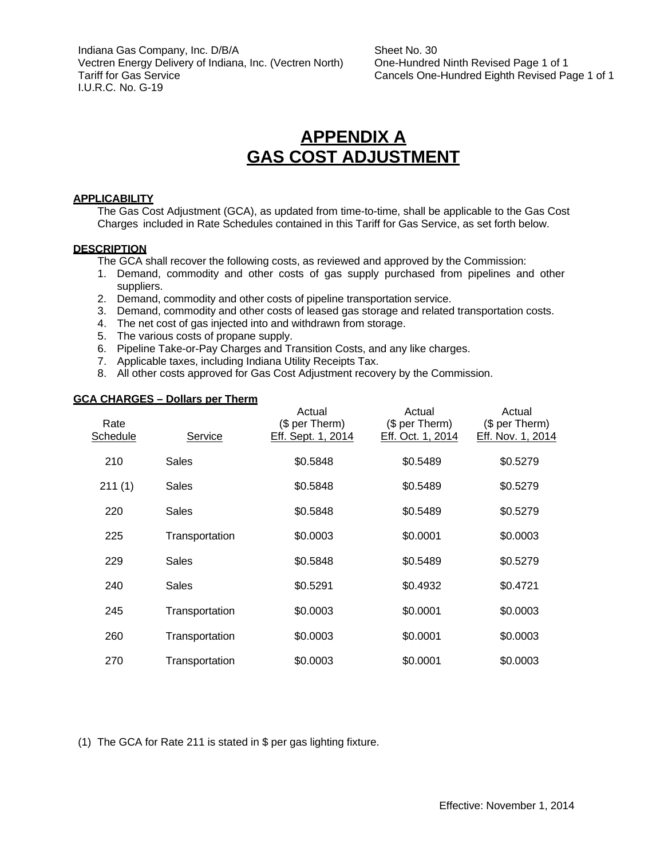Indiana Gas Company, Inc. D/B/A Vectren Energy Delivery of Indiana, Inc. (Vectren North) Tariff for Gas Service I.U.R.C. No. G-19

Sheet No. 30 One-Hundred Ninth Revised Page 1 of 1 Cancels One-Hundred Eighth Revised Page 1 of 1

## **APPENDIX A GAS COST ADJUSTMENT**

#### **APPLICABILITY**

The Gas Cost Adjustment (GCA), as updated from time-to-time, shall be applicable to the Gas Cost Charges included in Rate Schedules contained in this Tariff for Gas Service, as set forth below.

#### **DESCRIPTION**

- The GCA shall recover the following costs, as reviewed and approved by the Commission:
- 1. Demand, commodity and other costs of gas supply purchased from pipelines and other suppliers.
- 2. Demand, commodity and other costs of pipeline transportation service.
- 3. Demand, commodity and other costs of leased gas storage and related transportation costs.
- 4. The net cost of gas injected into and withdrawn from storage.
- 5. The various costs of propane supply.
- 6. Pipeline Take-or-Pay Charges and Transition Costs, and any like charges.
- 7. Applicable taxes, including Indiana Utility Receipts Tax.
- 8. All other costs approved for Gas Cost Adjustment recovery by the Commission.

#### **GCA CHARGES – Dollars per Therm**

| Rate<br>Schedule | Service        | Actual<br>(\$ per Therm)<br>Eff. Sept. 1, 2014 | Actual<br>(\$ per Therm)<br>Eff. Oct. 1, 2014 | Actual<br>(\$ per Therm)<br>Eff. Nov. 1, 2014 |
|------------------|----------------|------------------------------------------------|-----------------------------------------------|-----------------------------------------------|
| 210              | Sales          | \$0.5848                                       | \$0.5489                                      | \$0.5279                                      |
| 211(1)           | <b>Sales</b>   | \$0.5848                                       | \$0.5489                                      | \$0.5279                                      |
| 220              | Sales          | \$0.5848                                       | \$0.5489                                      | \$0.5279                                      |
| 225              | Transportation | \$0.0003                                       | \$0.0001                                      | \$0.0003                                      |
| 229              | <b>Sales</b>   | \$0.5848                                       | \$0.5489                                      | \$0.5279                                      |
| 240              | Sales          | \$0.5291                                       | \$0.4932                                      | \$0.4721                                      |
| 245              | Transportation | \$0.0003                                       | \$0.0001                                      | \$0.0003                                      |
| 260              | Transportation | \$0.0003                                       | \$0.0001                                      | \$0.0003                                      |
| 270              | Transportation | \$0.0003                                       | \$0.0001                                      | \$0.0003                                      |

(1) The GCA for Rate 211 is stated in \$ per gas lighting fixture.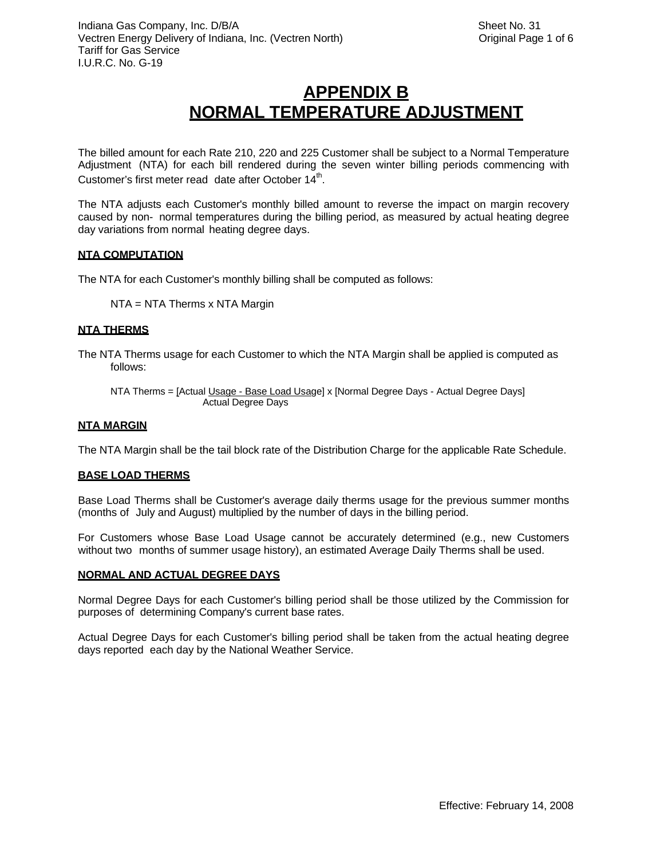The billed amount for each Rate 210, 220 and 225 Customer shall be subject to a Normal Temperature Adjustment (NTA) for each bill rendered during the seven winter billing periods commencing with Customer's first meter read date after October  $14<sup>th</sup>$ .

The NTA adjusts each Customer's monthly billed amount to reverse the impact on margin recovery caused by non- normal temperatures during the billing period, as measured by actual heating degree day variations from normal heating degree days.

#### **NTA COMPUTATION**

The NTA for each Customer's monthly billing shall be computed as follows:

NTA = NTA Therms x NTA Margin

#### **NTA THERMS**

- The NTA Therms usage for each Customer to which the NTA Margin shall be applied is computed as follows:
	- NTA Therms = [Actual Usage Base Load Usage] x [Normal Degree Days Actual Degree Days] Actual Degree Days

#### **NTA MARGIN**

The NTA Margin shall be the tail block rate of the Distribution Charge for the applicable Rate Schedule.

#### **BASE LOAD THERMS**

Base Load Therms shall be Customer's average daily therms usage for the previous summer months (months of July and August) multiplied by the number of days in the billing period.

For Customers whose Base Load Usage cannot be accurately determined (e.g., new Customers without two months of summer usage history), an estimated Average Daily Therms shall be used.

#### **NORMAL AND ACTUAL DEGREE DAYS**

Normal Degree Days for each Customer's billing period shall be those utilized by the Commission for purposes of determining Company's current base rates.

Actual Degree Days for each Customer's billing period shall be taken from the actual heating degree days reported each day by the National Weather Service.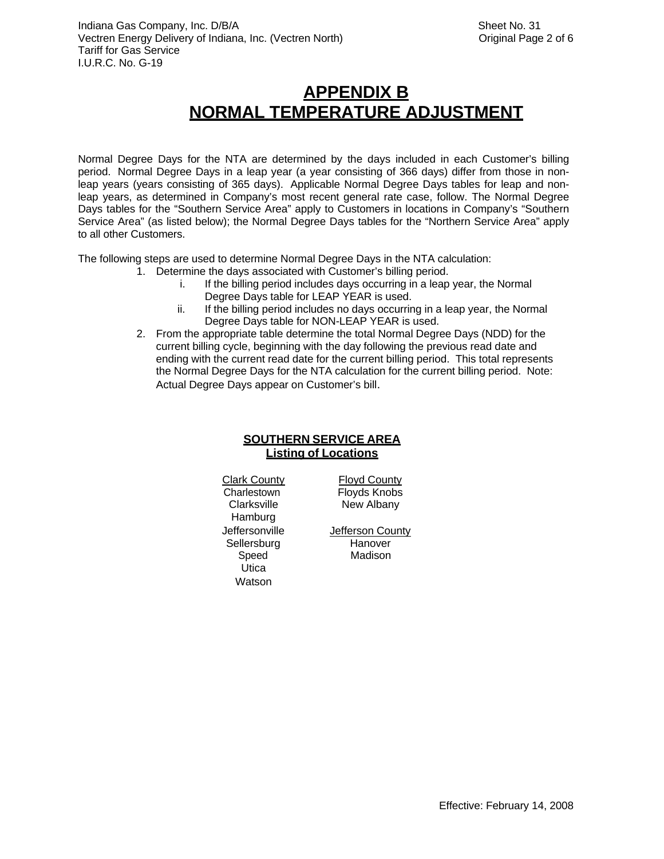Normal Degree Days for the NTA are determined by the days included in each Customer's billing period. Normal Degree Days in a leap year (a year consisting of 366 days) differ from those in nonleap years (years consisting of 365 days). Applicable Normal Degree Days tables for leap and nonleap years, as determined in Company's most recent general rate case, follow. The Normal Degree Days tables for the "Southern Service Area" apply to Customers in locations in Company's "Southern Service Area" (as listed below); the Normal Degree Days tables for the "Northern Service Area" apply to all other Customers.

The following steps are used to determine Normal Degree Days in the NTA calculation:

- 1. Determine the days associated with Customer's billing period.
	- i. If the billing period includes days occurring in a leap year, the Normal Degree Days table for LEAP YEAR is used.
	- ii. If the billing period includes no days occurring in a leap year, the Normal Degree Days table for NON-LEAP YEAR is used.
- 2. From the appropriate table determine the total Normal Degree Days (NDD) for the current billing cycle, beginning with the day following the previous read date and ending with the current read date for the current billing period. This total represents the Normal Degree Days for the NTA calculation for the current billing period. Note: Actual Degree Days appear on Customer's bill.

### **SOUTHERN SERVICE AREA Listing of Locations**

Clark County Floyd County Charlestown **Floyds Knobs** Clarksville New Albany Hamburg Sellersburg Hanover Speed Madison Utica Watson

Jeffersonville **Jefferson County**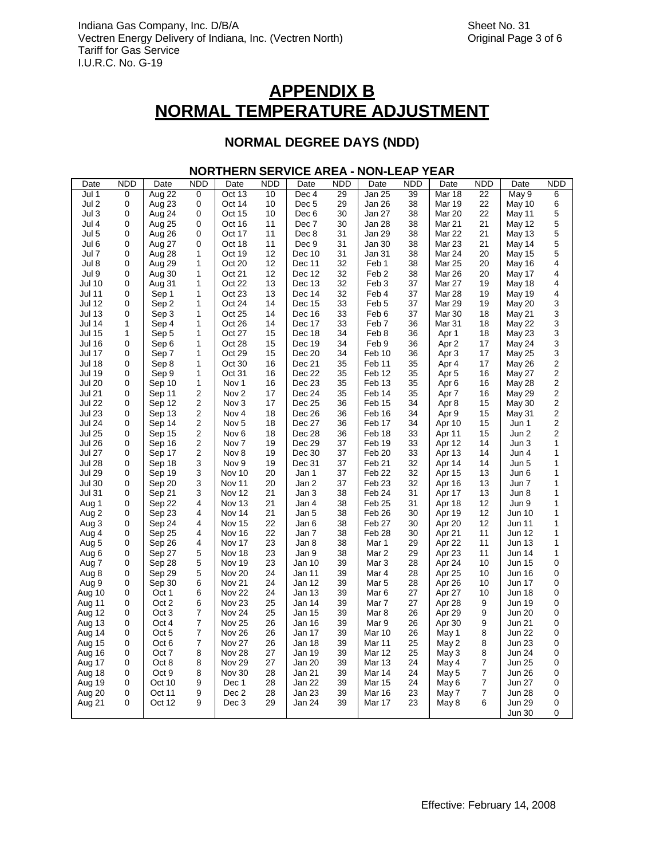### **NORMAL DEGREE DAYS (NDD)**

### **NORTHERN SERVICE AREA - NON-LEAP YEAR**

| Date          | <b>NDD</b> | Date   | <b>NDD</b>              | Date              | <b>NDD</b> | Date             | <b>NDD</b> | Date              | <b>NDD</b> | Date             | <b>NDD</b> | Date          | <b>NDD</b>                |
|---------------|------------|--------|-------------------------|-------------------|------------|------------------|------------|-------------------|------------|------------------|------------|---------------|---------------------------|
| Jul 1         | 0          | Aug 22 | 0                       | Oct 13            | 10         | Dec 4            | 29         | Jan 25            | 39         | Mar 18           | 22         | May 9         | 6                         |
| Jul 2         | 0          | Aug 23 | 0                       | Oct 14            | 10         | Dec <sub>5</sub> | 29         | Jan 26            | 38         | Mar 19           | 22         | May 10        | 6                         |
| Jul 3         | 0          | Aug 24 | 0                       | Oct 15            | 10         | Dec <sub>6</sub> | 30         | Jan 27            | 38         | Mar 20           | 22         | May 11        | $\mathbf 5$               |
| Jul 4         | 0          | Aug 25 | 0                       | Oct 16            | 11         | Dec 7            | 30         | Jan 28            | 38         | Mar 21           | 21         | May 12        | $\mathbf 5$               |
| Jul 5         | 0          | Aug 26 | 0                       | Oct 17            | 11         | Dec 8            | 31         | Jan 29            | 38         | Mar 22           | 21         | May 13        | 5                         |
| Jul 6         | 0          | Aug 27 | 0                       | Oct 18            | 11         | Dec 9            | 31         | Jan 30            | 38         | Mar 23           | 21         | May 14        | $\mathbf 5$               |
| Jul 7         | 0          | Aug 28 | 1                       | Oct 19            | 12         | Dec 10           | 31         | Jan 31            | 38         | Mar 24           | 20         | May 15        | 5                         |
| Jul 8         | 0          | Aug 29 | 1                       | Oct 20            | 12         | Dec 11           | 32         | Feb 1             | 38         | <b>Mar 25</b>    | 20         | May 16        | 4                         |
| Jul 9         | 0          | Aug 30 | 1                       | Oct 21            | 12         | Dec 12           | 32         | Feb <sub>2</sub>  | 38         | Mar 26           | 20         | May 17        | 4                         |
| <b>Jul 10</b> | 0          | Aug 31 | 1                       | Oct 22            | 13         | Dec 13           | 32         | Feb <sub>3</sub>  | 37         | Mar 27           | 19         | May 18        | 4                         |
| <b>Jul 11</b> | 0          | Sep 1  | 1                       | Oct 23            | 13         | Dec 14           | 32         | Feb 4             | 37         | Mar 28           | 19         | <b>May 19</b> | 4                         |
| <b>Jul 12</b> | 0          | Sep 2  | 1                       | Oct 24            | 14         | Dec 15           | 33         | Feb <sub>5</sub>  | 37         | Mar 29           | 19         | May 20        | 3                         |
| <b>Jul 13</b> | 0          | Sep 3  | 1                       | Oct 25            | 14         | Dec 16           | 33         | Feb 6             | 37         | Mar 30           | 18         | May 21        | 3                         |
| <b>Jul 14</b> | 1          | Sep 4  | 1                       | Oct 26            | 14         | Dec 17           | 33         | Feb <sub>7</sub>  | 36         | Mar 31           | 18         | <b>May 22</b> | $\ensuremath{\mathsf{3}}$ |
| <b>Jul 15</b> | 1          | Sep 5  | 1                       | Oct 27            | 15         | Dec 18           | 34         | Feb 8             | 36         | Apr 1            | 18         | <b>May 23</b> | 3                         |
| <b>Jul 16</b> | 0          | Sep 6  | 1                       | Oct 28            | 15         | Dec 19           | 34         | Feb 9             | 36         | Apr 2            | 17         | May 24        | $\ensuremath{\mathsf{3}}$ |
| Jul 17        | 0          | Sep 7  | 1                       | Oct 29            | 15         | Dec 20           | 34         | Feb 10            | 36         | Apr <sub>3</sub> | 17         | May 25        | $\mathsf 3$               |
| <b>Jul 18</b> | 0          | Sep 8  | 1                       | Oct 30            | 16         | Dec 21           | 35         | Feb 11            | 35         | Apr 4            | 17         | <b>May 26</b> | $\boldsymbol{2}$          |
| <b>Jul 19</b> | 0          | Sep 9  | 1                       | Oct 31            | 16         | Dec 22           | 35         | Feb <sub>12</sub> | 35         | Apr <sub>5</sub> | 16         | <b>May 27</b> | $\overline{c}$            |
| <b>Jul 20</b> | 0          | Sep 10 | 1                       | Nov 1             | 16         | Dec 23           | 35         | Feb <sub>13</sub> | 35         | Apr <sub>6</sub> | 16         | May 28        | $\sqrt{2}$                |
| <b>Jul 21</b> | 0          | Sep 11 | 2                       | Nov <sub>2</sub>  | 17         | Dec 24           | 35         | Feb 14            | 35         | Apr <sub>7</sub> | 16         | <b>May 29</b> | $\mathbf 2$               |
| <b>Jul 22</b> | 0          | Sep 12 | 2                       | Nov <sub>3</sub>  | 17         | Dec 25           | 36         | Feb 15            | 34         | Apr 8            | 15         | May 30        | $\mathbf 2$               |
| <b>Jul 23</b> | 0          | Sep 13 | 2                       | Nov <sub>4</sub>  | 18         | Dec 26           | 36         | Feb 16            | 34         | Apr 9            | 15         | May 31        | $\mathbf 2$               |
| <b>Jul 24</b> | 0          | Sep 14 | 2                       | Nov <sub>5</sub>  | 18         | Dec 27           | 36         | Feb 17            | 34         | Apr 10           | 15         | Jun 1         | $\mathbf 2$               |
| <b>Jul 25</b> | 0          | Sep 15 | $\mathbf 2$             | Nov <sub>6</sub>  | 18         | Dec 28           | 36         | Feb 18            | 33         | Apr 11           | 15         | Jun 2         | $\mathbf 2$               |
| <b>Jul 26</b> | 0          | Sep 16 | $\overline{\mathbf{c}}$ | Nov 7             | 19         | Dec 29           | 37         | Feb 19            | 33         | Apr 12           | 14         | Jun 3         | $\mathbf{1}$              |
| <b>Jul 27</b> | 0          | Sep 17 | 2                       | Nov 8             | 19         | Dec 30           | 37         | Feb 20            | 33         | Apr 13           | 14         | Jun 4         | 1                         |
| <b>Jul 28</b> | 0          | Sep 18 | 3                       | Nov <sub>9</sub>  | 19         | Dec 31           | 37         | Feb 21            | 32         | Apr 14           | 14         | Jun 5         | $\mathbf{1}$              |
| <b>Jul 29</b> | 0          | Sep 19 | 3                       | Nov 10            | 20         | Jan 1            | 37         | Feb 22            | 32         | Apr 15           | 13         | Jun 6         | 1                         |
| <b>Jul 30</b> | 0          | Sep 20 | 3                       | Nov 11            | 20         | Jan 2            | 37         | Feb <sub>23</sub> | 32         | Apr 16           | 13         | Jun 7         | 1                         |
| <b>Jul 31</b> | 0          | Sep 21 | 3                       | Nov 12            | 21         | Jan 3            | 38         | Feb 24            | 31         | Apr 17           | 13         | Jun 8         | 1                         |
| Aug 1         | 0          | Sep 22 | 4                       | Nov 13            | 21         | Jan 4            | 38         | Feb <sub>25</sub> | 31         | Apr 18           | 12         | Jun 9         | $\mathbf{1}$              |
| Aug 2         | 0          | Sep 23 | 4                       | Nov 14            | 21         | Jan 5            | 38         | Feb 26            | 30         | Apr 19           | 12         | <b>Jun 10</b> | $\mathbf{1}$              |
| Aug 3         | 0          | Sep 24 | 4                       | Nov 15            | 22         | Jan 6            | 38         | Feb 27            | 30         | Apr 20           | 12         | <b>Jun 11</b> | $\mathbf{1}$              |
| Aug 4         | 0          | Sep 25 | 4                       | Nov 16            | 22         | Jan 7            | 38         | Feb 28            | 30         | Apr 21           | 11         | Jun 12        | 1                         |
| Aug 5         | 0          | Sep 26 | 4                       | Nov 17            | 23         | Jan 8            | 38         | Mar 1             | 29         | Apr 22           | 11         | <b>Jun 13</b> | $\mathbf{1}$              |
| Aug 6         | 0          | Sep 27 | 5                       | Nov 18            | 23         | Jan 9            | 38         | Mar 2             | 29         | Apr 23           | 11         | <b>Jun 14</b> | $\mathbf{1}$              |
| Aug 7         | 0          | Sep 28 | 5                       | Nov 19            | 23         | Jan 10           | 39         | Mar 3             | 28         | Apr 24           | 10         | <b>Jun 15</b> | 0                         |
| Aug 8         | 0          | Sep 29 | 5                       | Nov 20            | 24         | Jan 11           | 39         | Mar 4             | 28         | Apr 25           | 10         | <b>Jun 16</b> | 0                         |
| Aug 9         | 0          | Sep 30 | 6                       | <b>Nov 21</b>     | 24         | Jan 12           | 39         | Mar <sub>5</sub>  | 28         | Apr 26           | 10         | <b>Jun 17</b> | 0                         |
| Aug 10        | 0          | Oct 1  | 6                       | <b>Nov 22</b>     | 24         | Jan 13           | 39         | Mar 6             | 27         | Apr 27           | 10         | <b>Jun 18</b> | 0                         |
| Aug 11        | 0          | Oct 2  | 6                       | Nov <sub>23</sub> | 25         | Jan 14           | 39         | Mar 7             | 27         | Apr 28           | 9          | <b>Jun 19</b> | 0                         |
| Aug 12        | 0          | Oct 3  | 7                       | Nov <sub>24</sub> | 25         | Jan 15           | 39         | Mar 8             | 26         | Apr 29           | 9          | <b>Jun 20</b> | 0                         |
| Aug 13        | 0          | Oct 4  | 7                       | Nov 25            | 26         | Jan 16           | 39         | Mar 9             | 26         | Apr 30           | 9          | <b>Jun 21</b> | 0                         |
| Aug 14        | 0          | Oct 5  | $\overline{7}$          | <b>Nov 26</b>     | 26         | Jan 17           | 39         | Mar 10            | 26         | May 1            | 8          | <b>Jun 22</b> | 0                         |
| Aug 15        | 0          | Oct 6  | 7                       | Nov 27            | 26         | Jan 18           | 39         | Mar 11            | 25         | May 2            | 8          | <b>Jun 23</b> | 0                         |
| Aug 16        | 0          | Oct 7  | 8                       | Nov 28            | 27         | Jan 19           | 39         | <b>Mar 12</b>     | 25         | May 3            | 8          | <b>Jun 24</b> | 0                         |
| Aug 17        | 0          | Oct 8  | 8                       | Nov 29            | 27         | Jan 20           | 39         | <b>Mar 13</b>     | 24         | May 4            | 7          | <b>Jun 25</b> | 0                         |
| Aug 18        | 0          | Oct 9  | 8                       | Nov 30            | 28         | Jan 21           | 39         | Mar 14            | 24         | May 5            | 7          | <b>Jun 26</b> | 0                         |
| Aug 19        | 0          | Oct 10 | 9                       | Dec 1             | 28         | Jan 22           | 39         | <b>Mar 15</b>     | 24         | May 6            | 7          | <b>Jun 27</b> | 0                         |
| Aug 20        | 0          | Oct 11 | 9                       | Dec 2             | 28         | Jan 23           | 39         | <b>Mar 16</b>     | 23         | May 7            | 7          | <b>Jun 28</b> | 0                         |
| Aug 21        | 0          | Oct 12 | 9                       | Dec 3             | 29         | Jan 24           | 39         | Mar 17            | 23         | May 8            | 6          | <b>Jun 29</b> | 0                         |
|               |            |        |                         |                   |            |                  |            |                   |            |                  |            | Jun 30        | 0                         |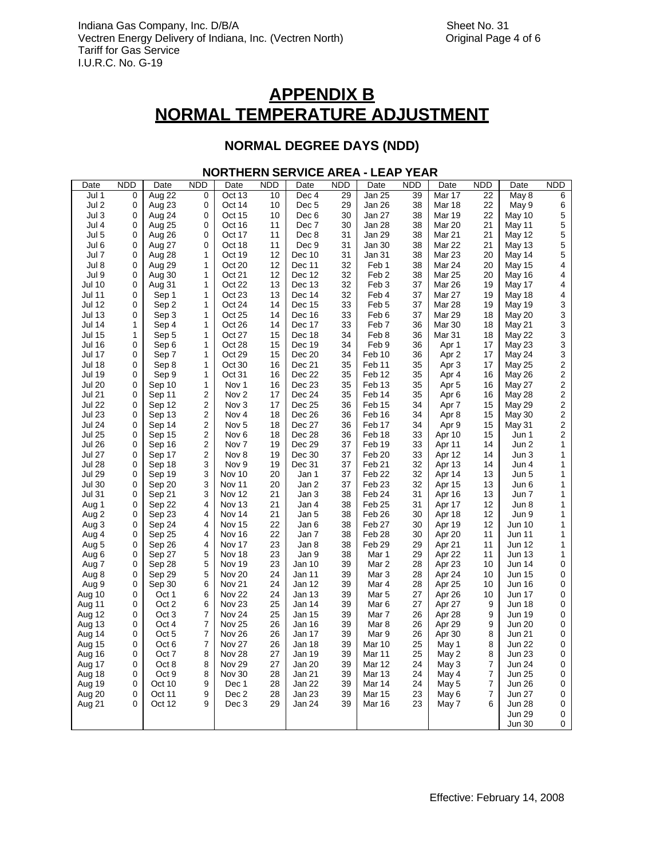### **NORMAL DEGREE DAYS (NDD)**

### **NORTHERN SERVICE AREA - LEAP YEAR**

| Date          | <b>NDD</b>   | Date             | <b>NDD</b>              | Date              | <b>NDD</b> | Date             | <b>NDD</b> | Date              | <b>NDD</b> | Date              | <b>NDD</b> | Date          | <b>NDD</b>              |
|---------------|--------------|------------------|-------------------------|-------------------|------------|------------------|------------|-------------------|------------|-------------------|------------|---------------|-------------------------|
| Jul 1         | 0            | Aug 22           | 0                       | Oct 13            | 10         | Dec 4            | 29         | Jan 25            | 39         | Mar 17            | 22         | May 8         | 6                       |
| Jul 2         | 0            | Aug 23           | 0                       | Oct 14            | 10         | Dec <sub>5</sub> | 29         | Jan 26            | 38         | Mar 18            | 22         | May 9         | 6                       |
| Jul 3         | 0            | Aug 24           | 0                       | Oct 15            | 10         | Dec <sub>6</sub> | 30         | Jan 27            | 38         | Mar 19            | 22         | May 10        | 5                       |
| Jul 4         | 0            | Aug 25           | 0                       | Oct 16            | 11         | Dec 7            | 30         | Jan 28            | 38         | Mar 20            | 21         | May 11        | 5                       |
| Jul 5         | 0            | Aug 26           | 0                       | Oct 17            | 11         | Dec 8            | 31         | Jan 29            | 38         | Mar 21            | 21         | <b>May 12</b> | 5                       |
| Jul 6         | 0            | Aug 27           | 0                       | Oct 18            | 11         | Dec 9            | 31         | Jan 30            | 38         | Mar 22            | 21         | <b>May 13</b> | $\mathbf 5$             |
| Jul 7         | 0            | Aug 28           | 1                       | Oct 19            | 12         | Dec 10           | 31         | Jan 31            | 38         | Mar 23            | 20         | May 14        | 5                       |
| Jul 8         | 0            | Aug 29           | 1                       | Oct 20            | 12         | Dec 11           | 32         | Feb 1             | 38         | Mar 24            | 20         | May 15        | 4                       |
| Jul 9         | 0            | Aug 30           | 1                       | Oct 21            | 12         | Dec 12           | 32         | Feb <sub>2</sub>  | 38         | <b>Mar 25</b>     | 20         | May 16        | 4                       |
| <b>Jul 10</b> | 0            | Aug 31           | 1                       | Oct 22            | 13         | Dec 13           | 32         | Feb <sub>3</sub>  | 37         | Mar 26            | 19         | May 17        | 4                       |
| Jul 11        | 0            | Sep 1            | 1                       | Oct 23            | 13         | Dec 14           | 32         | Feb 4             | 37         | Mar 27            | 19         | May 18        | 4                       |
| Jul 12        | 0            | Sep 2            | 1                       | Oct 24            | 14         | Dec 15           | 33         | Feb <sub>5</sub>  | 37         | Mar 28            | 19         | <b>May 19</b> | 3                       |
| Jul 13        | 0            | Sep 3            | 1                       | Oct 25            | 14         | Dec 16           | 33         | Feb <sub>6</sub>  | 37         | Mar 29            | 18         | <b>May 20</b> | 3                       |
| Jul 14        | $\mathbf{1}$ | Sep 4            | 1                       | Oct 26            | 14         | Dec 17           | 33         | Feb 7             | 36         | Mar 30            | 18         | May 21        | 3                       |
| Jul 15        | $\mathbf{1}$ | Sep 5            | 1                       | Oct 27            | 15         | Dec 18           | 34         | Feb 8             | 36         | Mar <sub>31</sub> | 18         | <b>May 22</b> | 3                       |
| <b>Jul 16</b> | 0            | Sep 6            | 1                       | Oct 28            | 15         | Dec 19           | 34         | Feb 9             | 36         | Apr 1             | 17         | May 23        | 3                       |
| <b>Jul 17</b> | 0            | Sep 7            | 1                       | Oct 29            | 15         | Dec 20           | 34         | Feb 10            | 36         | Apr 2             | 17         | May 24        | 3                       |
| <b>Jul 18</b> | 0            | Sep 8            | 1                       | Oct 30            | 16         | Dec 21           | 35         | Feb <sub>11</sub> | 35         | Apr <sub>3</sub>  | 17         | <b>May 25</b> | $\overline{\mathbf{c}}$ |
| <b>Jul 19</b> | 0            | Sep 9            | 1                       | Oct 31            | 16         | Dec 22           | 35         | Feb <sub>12</sub> | 35         | Apr 4             | 16         | May 26        | $\overline{\mathbf{c}}$ |
| <b>Jul 20</b> | 0            | Sep 10           | 1                       | Nov 1             | 16         | Dec 23           | 35         | Feb <sub>13</sub> | 35         | Apr <sub>5</sub>  | 16         | May 27        | $\overline{\mathbf{c}}$ |
| Jul 21        | 0            | Sep 11           | $\overline{\mathbf{c}}$ | Nov <sub>2</sub>  | 17         | Dec 24           | 35         | Feb 14            | 35         | Apr <sub>6</sub>  | 16         | May 28        | $\overline{\mathbf{c}}$ |
| <b>Jul 22</b> | 0            | Sep 12           | 2                       | Nov 3             | 17         | Dec 25           | 36         | Feb <sub>15</sub> | 34         | Apr 7             | 15         | <b>May 29</b> | $\overline{\mathbf{c}}$ |
| <b>Jul 23</b> | 0            | Sep 13           | 2                       | Nov 4             | 18         | Dec 26           | 36         | Feb 16            | 34         | Apr 8             | 15         | May 30        | $\overline{\mathbf{c}}$ |
| <b>Jul 24</b> | 0            | Sep 14           | $\overline{\mathbf{c}}$ | Nov <sub>5</sub>  | 18         | Dec 27           | 36         | Feb 17            | 34         | Apr 9             | 15         | May 31        | $\overline{\mathbf{c}}$ |
| <b>Jul 25</b> | 0            | Sep 15           | $\overline{\mathbf{c}}$ | Nov <sub>6</sub>  | 18         | Dec 28           | 36         | Feb <sub>18</sub> | 33         | Apr 10            | 15         | Jun 1         | $\overline{c}$          |
| <b>Jul 26</b> | 0            | Sep 16           | 2                       | Nov <sub>7</sub>  | 19         | Dec 29           | 37         | Feb <sub>19</sub> | 33         | Apr 11            | 14         | Jun 2         | $\mathbf{1}$            |
| Jul 27        | 0            | Sep 17           | 2                       | Nov 8             | 19         | Dec 30           | 37         | Feb <sub>20</sub> | 33         | Apr 12            | 14         | Jun 3         | $\mathbf{1}$            |
| <b>Jul 28</b> | 0            | Sep 18           | 3                       | Nov 9             | 19         | Dec 31           | 37         | Feb <sub>21</sub> | 32         | Apr 13            | 14         | Jun 4         | 1                       |
| <b>Jul 29</b> | 0            | Sep 19           | 3                       | Nov 10            | 20         | Jan 1            | 37         | Feb <sub>22</sub> | 32         | Apr 14            | 13         | Jun 5         | $\mathbf{1}$            |
| <b>Jul 30</b> | 0            | Sep 20           | 3                       | Nov 11            | 20         | Jan 2            | 37         | Feb <sub>23</sub> | 32         | Apr 15            | 13         | Jun 6         | 1                       |
| Jul 31        | 0            |                  | 3                       | Nov 12            | 21         |                  | 38         | Feb <sub>24</sub> | 31         |                   | 13         | Jun 7         | 1                       |
|               |              | Sep 21           |                         |                   |            | Jan 3            |            |                   |            | Apr 16            |            |               |                         |
| Aug 1         | 0            | Sep 22           | 4                       | Nov 13            | 21         | Jan 4            | 38         | Feb <sub>25</sub> | 31         | Apr 17            | 12         | Jun 8         | 1                       |
| Aug 2         | 0            | Sep 23           | 4                       | Nov 14            | 21         | Jan 5            | 38         | Feb <sub>26</sub> | 30         | Apr 18            | 12         | Jun 9         | 1                       |
| Aug 3         | 0            | Sep 24           | 4                       | <b>Nov 15</b>     | 22         | Jan 6            | 38         | Feb 27            | 30         | Apr 19            | 12         | Jun 10        | 1                       |
| Aug 4         | 0            | Sep 25           | 4                       | Nov 16            | 22         | Jan 7            | 38         | Feb <sub>28</sub> | 30         | Apr 20            | 11         | Jun 11        | 1                       |
| Aug 5         | 0            | Sep 26           | 4                       | Nov 17            | 23         | Jan 8            | 38         | Feb <sub>29</sub> | 29         | Apr 21            | 11         | Jun 12        | 1                       |
| Aug 6         | 0            | Sep 27           | 5                       | Nov 18            | 23         | Jan 9            | 38         | Mar 1             | 29         | Apr 22            | 11         | <b>Jun 13</b> | 1                       |
| Aug 7         | 0            | Sep 28           | 5                       | Nov 19            | 23         | Jan 10           | 39         | Mar 2             | 28         | Apr 23            | 10         | Jun 14        | $\pmb{0}$               |
| Aug 8         | 0            | Sep 29           | 5                       | Nov 20            | 24         | Jan 11           | 39         | Mar <sub>3</sub>  | 28         | Apr 24            | 10         | Jun 15        | $\mathbf 0$             |
| Aug 9         | 0            | Sep 30           | 6                       | <b>Nov 21</b>     | 24         | Jan 12           | 39         | Mar 4             | 28         | Apr 25            | 10         | Jun 16        | $\mathbf 0$             |
| Aug 10        | 0            | Oct 1            | 6                       | Nov 22            | 24         | Jan 13           | 39         | Mar 5             | 27         | Apr 26            | 10         | Jun 17        | 0                       |
| Aug 11        | 0            | Oct 2            | 6                       | Nov <sub>23</sub> | 25         | Jan 14           | 39         | Mar <sub>6</sub>  | 27         | Apr 27            | 9          | Jun 18        | 0                       |
| Aug 12        | 0            | Oct <sub>3</sub> | 7                       | Nov 24            | 25         | Jan 15           | 39         | Mar 7             | 26         | Apr 28            | 9          | <b>Jun 19</b> | 0                       |
| Aug 13        | 0            | Oct 4            | 7                       | <b>Nov 25</b>     | 26         | Jan 16           | 39         | Mar 8             | 26         | Apr 29            | 9          | Jun 20        | 0                       |
| Aug 14        | 0            | Oct 5            | 7                       | Nov 26            | 26         | Jan 17           | 39         | Mar 9             | 26         | Apr 30            | 8          | Jun 21        | 0                       |
| Aug 15        | 0            | Oct 6            | 7                       | Nov 27            | 26         | Jan 18           | 39         | Mar 10            | 25         | May 1             | 8          | <b>Jun 22</b> | 0                       |
| Aug 16        | 0            | Oct 7            | 8                       | Nov 28            | 27         | Jan 19           | 39         | Mar 11            | 25         | May 2             | 8          | Jun 23        | 0                       |
| Aug 17        | 0            | Oct 8            | 8                       | Nov 29            | 27         | Jan 20           | 39         | Mar 12            | 24         | May 3             | 7          | Jun 24        | 0                       |
| Aug 18        | 0            | Oct 9            | 8                       | Nov 30            | 28         | Jan 21           | 39         | <b>Mar 13</b>     | 24         | May 4             | 7          | Jun 25        | 0                       |
| Aug 19        | 0            | Oct 10           | 9                       | Dec 1             | 28         | Jan 22           | 39         | Mar 14            | 24         | May 5             | 7          | Jun 26        | $\pmb{0}$               |
| Aug 20        | 0            | Oct 11           | 9                       | Dec 2             | 28         | Jan 23           | 39         | <b>Mar 15</b>     | 23         | May 6             | 7          | Jun 27        | 0                       |
| Aug 21        | 0            | Oct 12           | 9                       | Dec 3             | 29         | Jan 24           | 39         | Mar 16            | 23         | May 7             | 6          | Jun 28        | 0                       |
|               |              |                  |                         |                   |            |                  |            |                   |            |                   |            | Jun 29        | 0                       |
|               |              |                  |                         |                   |            |                  |            |                   |            |                   |            | Jun 30        | 0                       |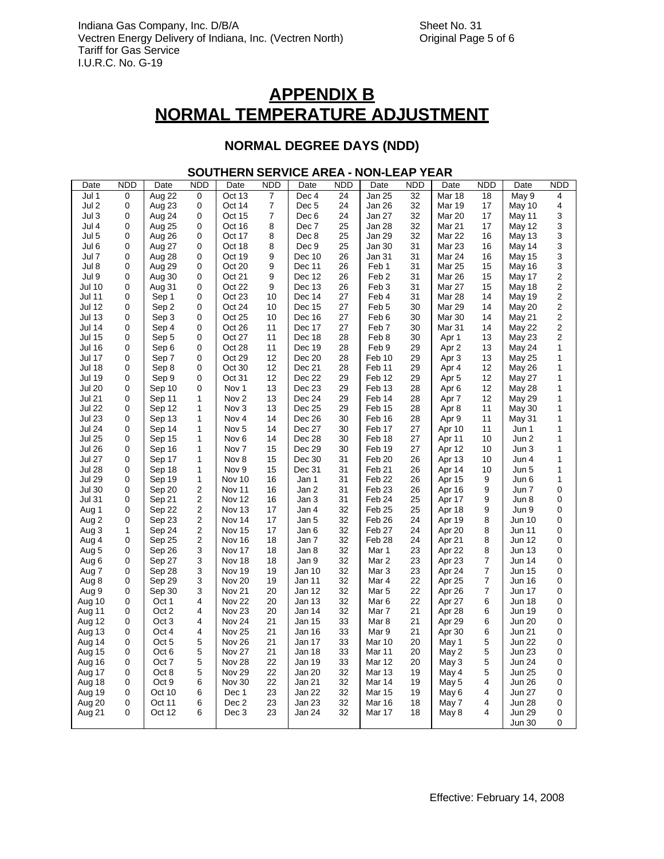### **NORMAL DEGREE DAYS (NDD)**

### **SOUTHERN SERVICE AREA - NON-LEAP YEAR**

| Date             | <b>NDD</b> | Date             | <b>NDD</b>     | Date              | <b>NDD</b> | Date             | <b>NDD</b> | Date              | <b>NDD</b> | Date             | <b>NDD</b>     | Date          | <b>NDD</b>                |
|------------------|------------|------------------|----------------|-------------------|------------|------------------|------------|-------------------|------------|------------------|----------------|---------------|---------------------------|
| Jul 1            | 0          | Aug 22           | 0              | Oct 13            | 7          | Dec 4            | 24         | Jan 25            | 32         | <b>Mar 18</b>    | 18             | May 9         | 4                         |
| Jul 2            | 0          | Aug 23           | 0              | Oct 14            | 7          | Dec <sub>5</sub> | 24         | Jan 26            | 32         | <b>Mar 19</b>    | 17             | May 10        | 4                         |
| Jul 3            | 0          | Aug 24           | 0              | Oct 15            | 7          | Dec <sub>6</sub> | 24         | Jan 27            | 32         | Mar 20           | 17             | May 11        | 3                         |
| Jul 4            | 0          | Aug 25           | 0              | Oct 16            | 8          | Dec 7            | 25         | Jan 28            | 32         | Mar 21           | 17             | May 12        | $\mathsf 3$               |
| Jul 5            | 0          | Aug 26           | 0              | Oct 17            | 8          | Dec 8            | 25         | Jan 29            | 32         | <b>Mar 22</b>    | 16             | <b>May 13</b> | $\mathsf 3$               |
| Jul 6            | 0          | Aug 27           | 0              | Oct 18            | 8          | Dec 9            | 25         | Jan 30            | 31         | Mar 23           | 16             | May 14        | $\ensuremath{\mathsf{3}}$ |
| Jul 7            | 0          | Aug 28           | 0              | Oct 19            | 9          | Dec 10           | 26         | Jan 31            | 31         | Mar 24           | 16             | <b>May 15</b> | 3                         |
| Jul 8            | 0          | Aug 29           | 0              | Oct 20            | 9          | Dec 11           | 26         | Feb 1             | 31         | <b>Mar 25</b>    | 15             | May 16        | $\ensuremath{\mathsf{3}}$ |
| Jul 9            | 0          | Aug 30           | 0              | Oct 21            | 9          | Dec 12           | 26         | Feb <sub>2</sub>  | 31         | <b>Mar 26</b>    | 15             | May 17        | $\mathbf 2$               |
| <b>Jul 10</b>    | 0          | Aug 31           | 0              | Oct 22            | 9          | Dec 13           | 26         | Feb <sub>3</sub>  | 31         | Mar 27           | 15             | May 18        | $\sqrt{2}$                |
| Jul 11           | 0          | Sep 1            | 0              | Oct 23            | 10         | Dec 14           | 27         | Feb 4             | 31         | Mar 28           | 14             | May 19        | $\mathbf 2$               |
| <b>Jul 12</b>    | 0          | Sep 2            | 0              | Oct 24            | 10         | Dec 15           | 27         | Feb <sub>5</sub>  | 30         | Mar 29           | 14             | <b>May 20</b> | $\mathbf 2$               |
| <b>Jul 13</b>    | 0          | Sep 3            | 0              | Oct 25            | 10         | Dec 16           | 27         | Feb 6             | 30         | Mar 30           | 14             | May 21        | $\mathbf 2$               |
| <b>Jul 14</b>    | 0          | Sep 4            | 0              | Oct 26            | 11         | Dec 17           | 27         | Feb <sub>7</sub>  | 30         | Mar 31           | 14             | May 22        | $\overline{c}$            |
| <b>Jul 15</b>    | 0          | Sep 5            | 0              | Oct 27            | 11         | Dec 18           | 28         | Feb 8             | 30         | Apr 1            | 13             | May 23        | 2                         |
| <b>Jul 16</b>    | 0          | Sep 6            | 0              | Oct 28            | 11         | Dec 19           | 28         | Feb 9             | 29         | Apr <sub>2</sub> | 13             | May 24        | 1                         |
| <b>Jul 17</b>    | 0          | Sep 7            | 0              | Oct 29            | 12         | Dec 20           | 28         | Feb 10            | 29         | Apr <sub>3</sub> | 13             | May 25        | 1                         |
| <b>Jul 18</b>    | 0          | Sep 8            | 0              | Oct 30            | 12         | Dec 21           | 28         | Feb 11            | 29         | Apr 4            | 12             | May 26        | 1                         |
| <b>Jul 19</b>    | 0          | Sep 9            | 0              | Oct 31            | 12         | Dec 22           | 29         | Feb 12            | 29         | Apr <sub>5</sub> | 12             | <b>May 27</b> | 1                         |
| <b>Jul 20</b>    | 0          | Sep 10           | 0              | Nov 1             | 13         | Dec 23           | 29         | Feb <sub>13</sub> | 28         | Apr <sub>6</sub> | 12             | May 28        | 1                         |
| <b>Jul 21</b>    | 0          | Sep 11           | 1              | Nov <sub>2</sub>  | 13         | Dec 24           | 29         | Feb 14            | 28         | Apr 7            | 12             | May 29        | 1                         |
| <b>Jul 22</b>    | 0          | Sep 12           | 1              | Nov <sub>3</sub>  | 13         | Dec 25           | 29         | Feb 15            | 28         | Apr 8            | 11             | May 30        | 1                         |
| <b>Jul 23</b>    | 0          | Sep 13           | 1              | Nov <sub>4</sub>  | 14         | Dec 26           | 30         | Feb 16            | 28         | Apr 9            | 11             | May 31        | 1                         |
| <b>Jul 24</b>    | 0          | Sep 14           | 1              | Nov <sub>5</sub>  | 14         | Dec 27           | 30         | Feb 17            | 27         | Apr 10           | 11             | Jun 1         | 1                         |
| <b>Jul 25</b>    | 0          | Sep 15           | 1              | Nov <sub>6</sub>  | 14         | Dec 28           | 30         | Feb 18            | 27         | Apr 11           | 10             | Jun 2         | 1                         |
| <b>Jul 26</b>    | 0          | Sep 16           | 1              | Nov <sub>7</sub>  | 15         | Dec 29           | 30         | Feb 19            | 27         | Apr 12           | 10             | Jun 3         | 1                         |
| <b>Jul 27</b>    | 0          | Sep 17           | 1              | Nov 8             | 15         | Dec 30           | 31         | Feb 20            | 26         | Apr 13           | 10             | Jun 4         | 1                         |
| <b>Jul 28</b>    | 0          | Sep 18           | 1              | Nov 9             | 15         | Dec 31           | 31         | Feb 21            | 26         | Apr 14           | 10             | Jun 5         | 1                         |
| <b>Jul 29</b>    | 0          | Sep 19           | 1              | Nov 10            | 16         | Jan 1            | 31         | Feb 22            | 26         | Apr 15           | 9              | Jun 6         | $\mathbf{1}$              |
| <b>Jul 30</b>    | 0          | Sep 20           | 2              | Nov 11            | 16         | Jan 2            | 31         | Feb <sub>23</sub> | 26         | Apr 16           | 9              | Jun 7         | 0                         |
| <b>Jul 31</b>    | 0          | Sep 21           | 2              | Nov 12            | 16         | Jan 3            | 31         | Feb 24            | 25         | Apr 17           | 9              | Jun 8         | 0                         |
| Aug 1            | 0          | Sep 22           | $\overline{c}$ | Nov 13            | 17         | Jan 4            | 32         | Feb <sub>25</sub> | 25         | Apr 18           | 9              | Jun 9         | $\mathbf 0$               |
| Aug <sub>2</sub> | 0          | Sep 23           | 2              | Nov 14            | 17         | Jan 5            | 32         | Feb 26            | 24         | Apr 19           | 8              | Jun 10        | 0                         |
| Aug <sub>3</sub> | 1          | Sep 24           | 2              | Nov 15            | 17         | Jan 6            | 32         | Feb 27            | 24         | Apr 20           | 8              | Jun 11        | $\mathbf 0$               |
| Aug 4            | 0          | Sep 25           | $\overline{2}$ | Nov 16            | 18         | Jan 7            | 32         | Feb 28            | 24         | Apr 21           | 8              | <b>Jun 12</b> | 0                         |
| Aug 5            | 0          | Sep 26           | 3              | Nov 17            | 18         | Jan 8            | 32         | Mar 1             | 23         | Apr 22           | 8              | Jun 13        | $\mathbf 0$               |
| Aug 6            | 0          | Sep 27           | 3              | Nov 18            | 18         | Jan 9            | 32         | Mar 2             | 23         | Apr 23           | $\overline{7}$ | <b>Jun 14</b> | 0                         |
| Aug 7            | 0          | Sep 28           | 3              | Nov 19            | 19         | Jan 10           | 32         | Mar 3             | 23         | Apr 24           | 7              | <b>Jun 15</b> | $\mathbf 0$               |
| Aug 8            | 0          | Sep 29           | 3              | Nov 20            | 19         | Jan 11           | 32         | Mar 4             | 22         | Apr 25           | 7              | <b>Jun 16</b> | 0                         |
| Aug 9            | 0          | Sep 30           | 3              | Nov <sub>21</sub> | 20         | Jan 12           | 32         | Mar 5             | 22         | Apr 26           | $\overline{7}$ | <b>Jun 17</b> | $\mathbf 0$               |
| Aug 10           | 0          | Oct 1            | 4              | Nov <sub>22</sub> | 20         | <b>Jan 13</b>    | 32         | Mar <sub>6</sub>  | 22         | Apr 27           | 6              | Jun 18        | 0                         |
| Aug 11           | 0          | Oct 2            | 4              | Nov <sub>23</sub> | 20         | Jan 14           | 32         | Mar 7             | 21         | Apr 28           | 6              | Jun 19        | $\mathbf 0$               |
| Aug 12           | 0          | Oct <sub>3</sub> | 4              | Nov 24            | 21         | Jan 15           | 33         | Mar 8             | 21         | Apr 29           | 6              | <b>Jun 20</b> | $\mathbf 0$               |
| Aug 13           | 0          | Oct 4            | 4              | Nov <sub>25</sub> | 21         | Jan 16           | 33         | Mar 9             | 21         | Apr 30           | 6              | Jun 21        | 0                         |
| Aug 14           | 0          | Oct <sub>5</sub> | 5              | Nov 26            | 21         | Jan 17           | 33         | Mar 10            | 20         | May 1            | 5              | <b>Jun 22</b> | $\mathbf 0$               |
| Aug 15           | 0          | Oct <sub>6</sub> | 5              | Nov <sub>27</sub> | 21         | Jan 18           | 33         | <b>Mar 11</b>     | 20         | May 2            | 5              | <b>Jun 23</b> | $\mathbf 0$               |
| Aug 16           | 0          | Oct 7            | 5              | Nov 28            | 22         | Jan 19           | 33         | Mar 12            | 20         | May 3            | 5              | <b>Jun 24</b> | $\mathbf 0$               |
| Aug 17           | 0          | Oct 8            | 5              | Nov 29            | 22         | Jan 20           | 32         | <b>Mar 13</b>     | 19         | May 4            | 5              | <b>Jun 25</b> | $\mathbf 0$               |
| Aug 18           | 0          | Oct 9            | 6              | Nov 30            | 22         | Jan 21           | 32         | Mar 14            | 19         | May 5            | 4              | <b>Jun 26</b> | 0                         |
| Aug 19           | 0          | Oct 10           | 6              | Dec 1             | 23         | Jan 22           | 32         | <b>Mar 15</b>     | 19         | May 6            | 4              | <b>Jun 27</b> | $\pmb{0}$                 |
| Aug 20           | 0          | Oct 11           | 6              | Dec 2             | 23         | Jan 23           | 32         | Mar 16            | 18         | May 7            | 4              | <b>Jun 28</b> | $\pmb{0}$                 |
| Aug 21           | 0          | Oct 12           | 6              | Dec 3             | 23         | Jan 24           | 32         | Mar 17            | 18         | May 8            | 4              | <b>Jun 29</b> | $\pmb{0}$                 |
|                  |            |                  |                |                   |            |                  |            |                   |            |                  |                | Jun 30        | 0                         |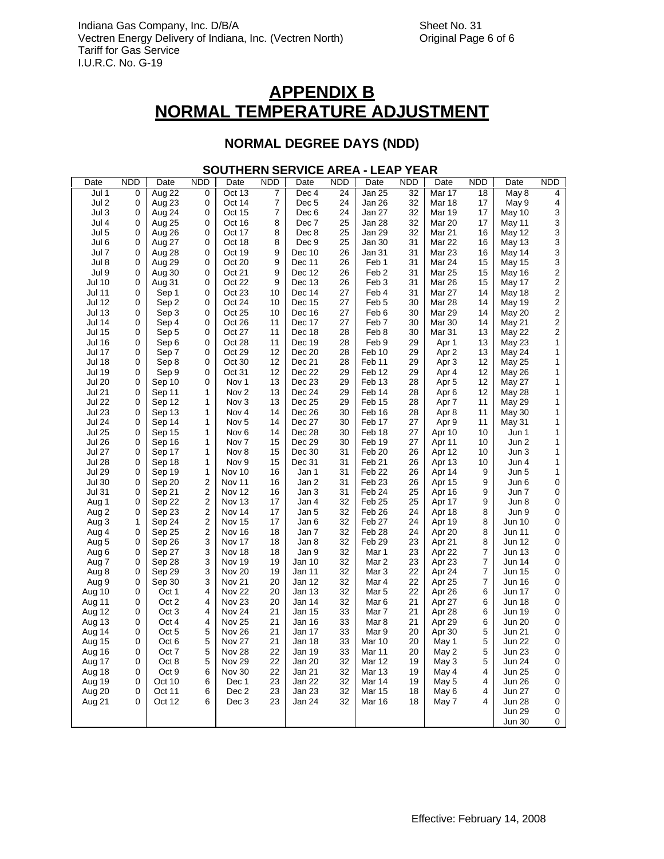### **NORMAL DEGREE DAYS (NDD)**

### **SOUTHERN SERVICE AREA - LEAP YEAR**

| Date          | <b>NDD</b> | Date             | <b>NDD</b>              | Date              | <b>NDD</b> | Date             | <b>NDD</b> | Date              | <b>NDD</b> | Date             | <b>NDD</b>     | Date          | <b>NDD</b>              |
|---------------|------------|------------------|-------------------------|-------------------|------------|------------------|------------|-------------------|------------|------------------|----------------|---------------|-------------------------|
| Jul 1         | 0          | Aug 22           | 0                       | Oct 13            | 7          | Dec 4            | 24         | Jan 25            | 32         | Mar 17           | 18             | May 8         | 4                       |
| Jul 2         | 0          | Aug 23           | 0                       | Oct 14            | 7          | Dec <sub>5</sub> | 24         | Jan 26            | 32         | Mar 18           | 17             | May 9         | 4                       |
| Jul 3         | 0          | Aug 24           | 0                       | Oct 15            | 7          | Dec 6            | 24         | Jan 27            | 32         | Mar 19           | 17             | May 10        | 3                       |
| Jul 4         | 0          | Aug 25           | 0                       | Oct 16            | 8          | Dec 7            | 25         | Jan 28            | 32         | Mar 20           | 17             | May 11        | 3                       |
| Jul 5         | 0          | Aug 26           | 0                       | Oct 17            | 8          | Dec 8            | 25         | Jan 29            | 32         | Mar 21           | 16             | May 12        | 3                       |
| Jul 6         | 0          | Aug 27           | 0                       | Oct 18            | 8          | Dec 9            | 25         | Jan 30            | 31         | <b>Mar 22</b>    | 16             | May 13        | 3                       |
| Jul 7         | 0          | Aug 28           | 0                       | Oct 19            | 9          | Dec 10           | 26         | Jan 31            | 31         | Mar 23           | 16             | May 14        | 3                       |
| Jul 8         | 0          | Aug 29           | 0                       | Oct 20            | 9          | Dec 11           | 26         | Feb 1             | 31         | Mar 24           | 15             | May 15        | 3                       |
| Jul 9         | 0          | Aug 30           | 0                       | Oct 21            | 9          | Dec 12           | 26         | Feb <sub>2</sub>  | 31         | <b>Mar 25</b>    | 15             | May 16        | $\overline{\mathbf{c}}$ |
| Jul 10        | 0          | Aug 31           | 0                       | Oct 22            | 9          | Dec 13           | 26         | Feb <sub>3</sub>  | 31         | Mar 26           | 15             | May 17        | $\overline{\mathbf{c}}$ |
| <b>Jul 11</b> | 0          | Sep 1            | 0                       | Oct 23            | 10         | Dec 14           | 27         | Feb 4             | 31         | Mar 27           | 14             | May 18        | 2                       |
| <b>Jul 12</b> | 0          | Sep 2            | 0                       | Oct 24            | 10         | Dec 15           | 27         | Feb 5             | 30         | Mar 28           | 14             | May 19        | $\overline{\mathbf{c}}$ |
| <b>Jul 13</b> | 0          | Sep 3            | 0                       | Oct 25            | 10         | Dec 16           | 27         | Feb <sub>6</sub>  | 30         | Mar 29           | 14             | May 20        | $\overline{\mathbf{c}}$ |
| <b>Jul 14</b> | 0          | Sep 4            | 0                       | Oct 26            | 11         | Dec 17           | 27         | Feb <sub>7</sub>  | 30         | Mar 30           | 14             | May 21        | 2                       |
| <b>Jul 15</b> | 0          | Sep 5            | 0                       | Oct 27            | 11         | Dec 18           | 28         | Feb 8             | 30         | Mar 31           | 13             | <b>May 22</b> | $\overline{\mathbf{c}}$ |
| <b>Jul 16</b> | 0          | Sep 6            | 0                       | Oct 28            | 11         | Dec 19           | 28         | Feb 9             | 29         | Apr 1            | 13             | May 23        | 1                       |
| <b>Jul 17</b> | 0          | Sep 7            | 0                       | Oct 29            | 12         | Dec 20           | 28         | Feb <sub>10</sub> | 29         | Apr 2            | 13             | May 24        | 1                       |
| <b>Jul 18</b> | 0          | Sep 8            | 0                       | Oct 30            | 12         | Dec 21           | 28         | Feb 11            | 29         | Apr <sub>3</sub> | 12             | May 25        | 1                       |
| <b>Jul 19</b> | 0          | Sep 9            | 0                       | Oct 31            | 12         | Dec 22           | 29         | Feb <sub>12</sub> | 29         | Apr 4            | 12             | <b>May 26</b> | 1                       |
| <b>Jul 20</b> | 0          | Sep 10           | 0                       | Nov 1             | 13         | Dec 23           | 29         | Feb <sub>13</sub> | 28         | Apr <sub>5</sub> | 12             | May 27        | 1                       |
| <b>Jul 21</b> | 0          | Sep 11           | 1                       | Nov <sub>2</sub>  | 13         | Dec 24           | 29         | Feb 14            | 28         | Apr <sub>6</sub> | 12             | May 28        | 1                       |
| <b>Jul 22</b> | 0          | Sep 12           | 1                       | Nov 3             | 13         | Dec 25           | 29         | Feb <sub>15</sub> | 28         | Apr <sub>7</sub> | 11             | <b>May 29</b> | 1                       |
| <b>Jul 23</b> | 0          | Sep 13           | 1                       | Nov 4             | 14         | Dec 26           | 30         | Feb 16            | 28         | Apr 8            | 11             | May 30        | 1                       |
| <b>Jul 24</b> | 0          | Sep 14           | 1                       | Nov <sub>5</sub>  | 14         | Dec 27           | 30         | Feb 17            | 27         | Apr 9            | 11             | May 31        | 1                       |
| <b>Jul 25</b> | 0          | Sep 15           | 1                       | Nov <sub>6</sub>  | 14         | Dec 28           | 30         | Feb 18            | 27         | Apr 10           | 10             | Jun 1         | 1                       |
| <b>Jul 26</b> | 0          | Sep 16           | 1                       | Nov <sub>7</sub>  | 15         | Dec 29           | 30         | Feb 19            | 27         | Apr 11           | 10             | Jun 2         | 1                       |
| <b>Jul 27</b> | 0          | Sep 17           | 1                       | Nov 8             | 15         | Dec 30           | 31         | Feb <sub>20</sub> | 26         | Apr 12           | 10             | Jun 3         | 1                       |
| <b>Jul 28</b> | 0          | Sep 18           | 1                       | Nov 9             | 15         | Dec 31           | 31         | Feb <sub>21</sub> | 26         | Apr 13           | 10             | Jun 4         | 1                       |
| <b>Jul 29</b> | 0          | Sep 19           | 1                       | Nov 10            | 16         | Jan 1            | 31         | Feb <sub>22</sub> | 26         | Apr 14           | 9              | Jun 5         | 1                       |
| <b>Jul 30</b> | 0          | Sep 20           | $\overline{\mathbf{c}}$ | Nov 11            | 16         | Jan 2            | 31         | Feb <sub>23</sub> | 26         | Apr 15           | 9              | Jun 6         | 0                       |
| <b>Jul 31</b> | 0          | Sep 21           | $\overline{\mathbf{c}}$ | Nov 12            | 16         | Jan 3            | 31         | Feb 24            | 25         | Apr 16           | 9              | Jun 7         | 0                       |
| Aug 1         | 0          | Sep 22           | $\overline{\mathbf{c}}$ | Nov 13            | 17         | Jan 4            | 32         | Feb <sub>25</sub> | 25         | Apr 17           | 9              | Jun 8         | 0                       |
| Aug 2         | 0          | Sep 23           | $\overline{\mathbf{c}}$ | Nov 14            | 17         | Jan 5            | 32         | Feb <sub>26</sub> | 24         | Apr 18           | 8              | Jun 9         | 0                       |
| Aug 3         | 1          | Sep 24           | $\overline{\mathbf{c}}$ | Nov 15            | 17         | Jan 6            | 32         | Feb 27            | 24         | Apr 19           | 8              | Jun 10        | 0                       |
| Aug 4         | 0          | Sep 25           | $\boldsymbol{2}$        | Nov 16            | 18         | Jan 7            | 32         | Feb <sub>28</sub> | 24         | Apr 20           | 8              | Jun 11        | 0                       |
| Aug 5         | 0          | Sep 26           | 3                       | Nov 17            | 18         | Jan 8            | 32         | Feb <sub>29</sub> | 23         | Apr 21           | 8              | Jun 12        | 0                       |
| Aug 6         | 0          | Sep 27           | 3                       | Nov 18            | 18         | Jan 9            | 32         | Mar 1             | 23         | Apr 22           | 7              | <b>Jun 13</b> | 0                       |
| Aug 7         | 0          | Sep 28           | 3                       | Nov 19            | 19         | Jan 10           | 32         | Mar 2             | 23         | Apr 23           | 7              | Jun 14        | 0                       |
| Aug 8         | 0          | Sep 29           | 3                       | Nov 20            | 19         | Jan 11           | 32         | Mar 3             | 22         | Apr 24           | 7              | Jun 15        | 0                       |
| Aug 9         | 0          | Sep 30           | 3                       | Nov <sub>21</sub> | 20         | Jan 12           | 32         | Mar 4             | 22         | Apr 25           | $\overline{7}$ | Jun 16        | 0                       |
| Aug 10        | 0          | Oct 1            | 4                       | <b>Nov 22</b>     | 20         | Jan 13           | 32         | Mar <sub>5</sub>  | 22         | Apr 26           | 6              | Jun 17        | 0                       |
| Aug 11        | 0          | Oct 2            | 4                       | Nov <sub>23</sub> | 20         | Jan 14           | 32         | Mar <sub>6</sub>  | 21         | Apr 27           | 6              | Jun 18        | 0                       |
| Aug 12        | 0          | Oct <sub>3</sub> | 4                       | Nov 24            | 21         | Jan 15           | 33         | Mar 7             | 21         | Apr 28           | 6              | Jun 19        | 0                       |
| Aug 13        | 0          | Oct 4            | 4                       | <b>Nov 25</b>     | 21         | Jan 16           | 33         | Mar <sub>8</sub>  | 21         | Apr 29           | 6              | <b>Jun 20</b> | 0                       |
| Aug 14        | 0          | Oct 5            | 5                       | Nov 26            | 21         | Jan 17           | 33         | Mar 9             | 20         | Apr 30           | 5              | Jun 21        | 0                       |
| Aug 15        | 0          | Oct 6            | 5                       | Nov 27            | 21         | Jan 18           | 33         | Mar 10            | 20         | May 1            | 5              | Jun 22        | 0                       |
| Aug 16        | 0          | Oct 7            | 5                       | Nov 28            | 22         | Jan 19           | 33         | <b>Mar 11</b>     | 20         | May 2            | 5              | Jun 23        | 0                       |
| Aug 17        | 0          | Oct 8            | 5                       | Nov 29            | 22         | Jan 20           | 32         | Mar 12            | 19         | May 3            | 5              | <b>Jun 24</b> | 0                       |
| Aug 18        | 0          | Oct 9            | 6                       | Nov 30            | 22         | Jan 21           | 32         | <b>Mar 13</b>     | 19         | May 4            | 4              | <b>Jun 25</b> | 0                       |
| Aug 19        | 0          | Oct 10           | 6                       | Dec 1             | 23         | Jan 22           | 32         | Mar 14            | 19         | May 5            | 4              | <b>Jun 26</b> | 0                       |
| Aug 20        | 0          | Oct 11           | 6                       | Dec 2             | 23         | Jan 23           | 32         | <b>Mar 15</b>     | 18         | May 6            | 4              | Jun 27        | 0                       |
| Aug 21        | 0          | Oct 12           | 6                       | Dec 3             | 23         | Jan 24           | 32         | Mar 16            | 18         | May 7            | 4              | Jun 28        | 0                       |
|               |            |                  |                         |                   |            |                  |            |                   |            |                  |                | Jun 29        | 0                       |
|               |            |                  |                         |                   |            |                  |            |                   |            |                  |                | <b>Jun 30</b> | 0                       |
|               |            |                  |                         |                   |            |                  |            |                   |            |                  |                |               |                         |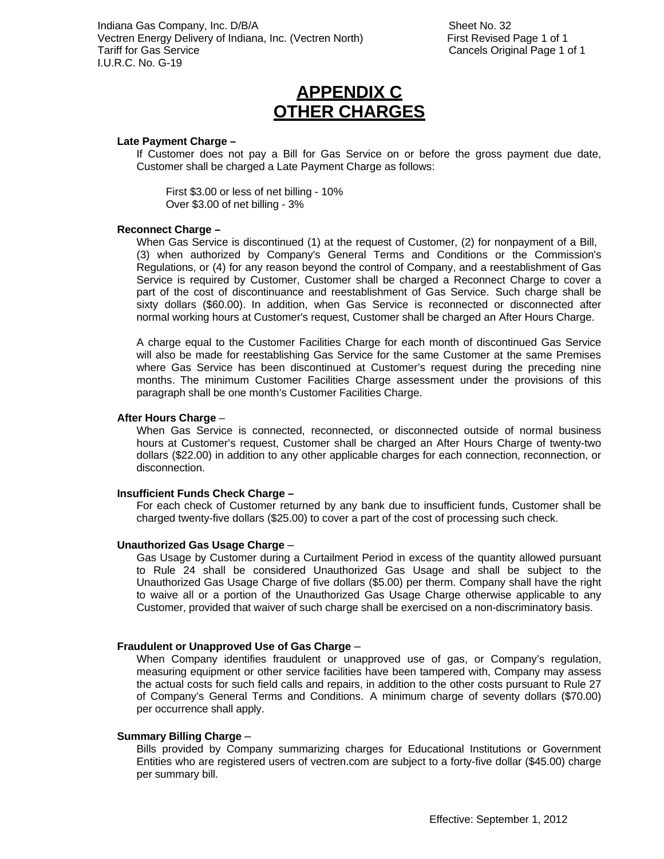## **APPENDIX C OTHER CHARGES**

#### **Late Payment Charge –**

If Customer does not pay a Bill for Gas Service on or before the gross payment due date, Customer shall be charged a Late Payment Charge as follows:

First \$3.00 or less of net billing - 10% Over \$3.00 of net billing - 3%

#### **Reconnect Charge –**

When Gas Service is discontinued (1) at the request of Customer, (2) for nonpayment of a Bill, (3) when authorized by Company's General Terms and Conditions or the Commission's Regulations, or (4) for any reason beyond the control of Company, and a reestablishment of Gas Service is required by Customer, Customer shall be charged a Reconnect Charge to cover a part of the cost of discontinuance and reestablishment of Gas Service. Such charge shall be sixty dollars (\$60.00). In addition, when Gas Service is reconnected or disconnected after normal working hours at Customer's request, Customer shall be charged an After Hours Charge.

A charge equal to the Customer Facilities Charge for each month of discontinued Gas Service will also be made for reestablishing Gas Service for the same Customer at the same Premises where Gas Service has been discontinued at Customer's request during the preceding nine months. The minimum Customer Facilities Charge assessment under the provisions of this paragraph shall be one month's Customer Facilities Charge.

#### **After Hours Charge** –

When Gas Service is connected, reconnected, or disconnected outside of normal business hours at Customer's request, Customer shall be charged an After Hours Charge of twenty-two dollars (\$22.00) in addition to any other applicable charges for each connection, reconnection, or disconnection.

#### **Insufficient Funds Check Charge –**

For each check of Customer returned by any bank due to insufficient funds, Customer shall be charged twenty-five dollars (\$25.00) to cover a part of the cost of processing such check.

#### **Unauthorized Gas Usage Charge** –

Gas Usage by Customer during a Curtailment Period in excess of the quantity allowed pursuant to Rule 24 shall be considered Unauthorized Gas Usage and shall be subject to the Unauthorized Gas Usage Charge of five dollars (\$5.00) per therm. Company shall have the right to waive all or a portion of the Unauthorized Gas Usage Charge otherwise applicable to any Customer, provided that waiver of such charge shall be exercised on a non-discriminatory basis.

#### **Fraudulent or Unapproved Use of Gas Charge** –

When Company identifies fraudulent or unapproved use of gas, or Company's regulation, measuring equipment or other service facilities have been tampered with, Company may assess the actual costs for such field calls and repairs, in addition to the other costs pursuant to Rule 27 of Company's General Terms and Conditions. A minimum charge of seventy dollars (\$70.00) per occurrence shall apply.

#### **Summary Billing Charge** –

Bills provided by Company summarizing charges for Educational Institutions or Government Entities who are registered users of vectren.com are subject to a forty-five dollar (\$45.00) charge per summary bill.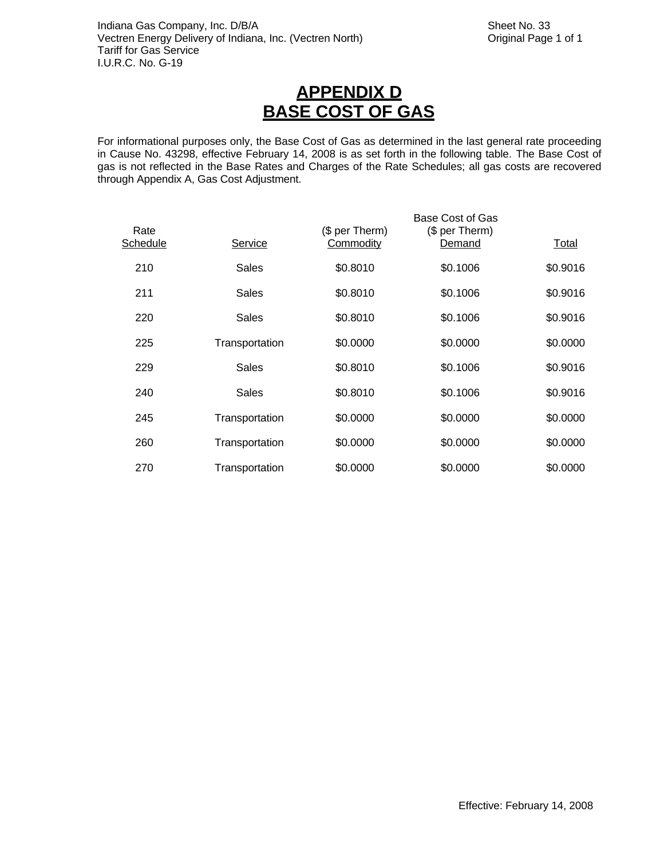# **APPENDIX D BASE COST OF GAS**

For informational purposes only, the Base Cost of Gas as determined in the last general rate proceeding in Cause No. 43298, effective February 14, 2008 is as set forth in the following table. The Base Cost of gas is not reflected in the Base Rates and Charges of the Rate Schedules; all gas costs are recovered through Appendix A, Gas Cost Adjustment.

| Rate<br>Schedule | Service        | (\$ per Therm)<br>Commodity | Base Cost of Gas<br>(\$ per Therm)<br>Demand | Total    |
|------------------|----------------|-----------------------------|----------------------------------------------|----------|
| 210              | <b>Sales</b>   | \$0.8010                    | \$0.1006                                     | \$0.9016 |
| 211              | Sales          | \$0.8010                    | \$0.1006                                     | \$0.9016 |
| 220              | Sales          | \$0.8010                    | \$0.1006                                     | \$0.9016 |
| 225              | Transportation | \$0.0000                    | \$0.0000                                     | \$0.0000 |
| 229              | <b>Sales</b>   | \$0.8010                    | \$0.1006                                     | \$0.9016 |
| 240              | <b>Sales</b>   | \$0.8010                    | \$0.1006                                     | \$0.9016 |
| 245              | Transportation | \$0.0000                    | \$0.0000                                     | \$0.0000 |
| 260              | Transportation | \$0.0000                    | \$0.0000                                     | \$0.0000 |
| 270              | Transportation | \$0.0000                    | \$0.0000                                     | \$0.0000 |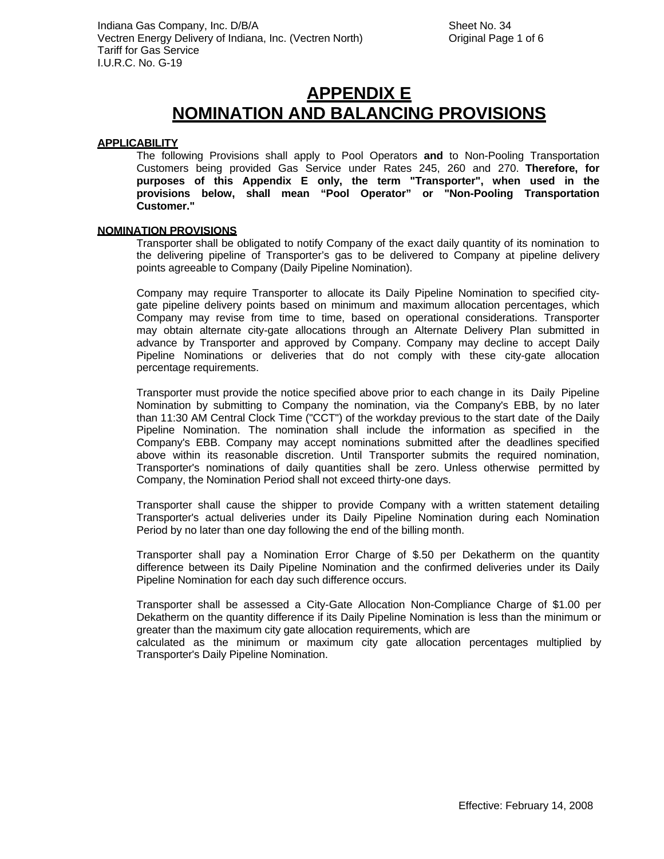#### **APPLICABILITY**

The following Provisions shall apply to Pool Operators **and** to Non-Pooling Transportation Customers being provided Gas Service under Rates 245, 260 and 270. **Therefore, for purposes of this Appendix E only, the term "Transporter", when used in the provisions below, shall mean "Pool Operator" or "Non-Pooling Transportation Customer."**

#### **NOMINATION PROVISIONS**

Transporter shall be obligated to notify Company of the exact daily quantity of its nomination to the delivering pipeline of Transporter's gas to be delivered to Company at pipeline delivery points agreeable to Company (Daily Pipeline Nomination).

Company may require Transporter to allocate its Daily Pipeline Nomination to specified citygate pipeline delivery points based on minimum and maximum allocation percentages, which Company may revise from time to time, based on operational considerations. Transporter may obtain alternate city-gate allocations through an Alternate Delivery Plan submitted in advance by Transporter and approved by Company. Company may decline to accept Daily Pipeline Nominations or deliveries that do not comply with these city-gate allocation percentage requirements.

Transporter must provide the notice specified above prior to each change in its Daily Pipeline Nomination by submitting to Company the nomination, via the Company's EBB, by no later than 11:30 AM Central Clock Time ("CCT") of the workday previous to the start date of the Daily Pipeline Nomination. The nomination shall include the information as specified in the Company's EBB. Company may accept nominations submitted after the deadlines specified above within its reasonable discretion. Until Transporter submits the required nomination, Transporter's nominations of daily quantities shall be zero. Unless otherwise permitted by Company, the Nomination Period shall not exceed thirty-one days.

Transporter shall cause the shipper to provide Company with a written statement detailing Transporter's actual deliveries under its Daily Pipeline Nomination during each Nomination Period by no later than one day following the end of the billing month.

Transporter shall pay a Nomination Error Charge of \$.50 per Dekatherm on the quantity difference between its Daily Pipeline Nomination and the confirmed deliveries under its Daily Pipeline Nomination for each day such difference occurs.

Transporter shall be assessed a City-Gate Allocation Non-Compliance Charge of \$1.00 per Dekatherm on the quantity difference if its Daily Pipeline Nomination is less than the minimum or greater than the maximum city gate allocation requirements, which are

calculated as the minimum or maximum city gate allocation percentages multiplied by Transporter's Daily Pipeline Nomination.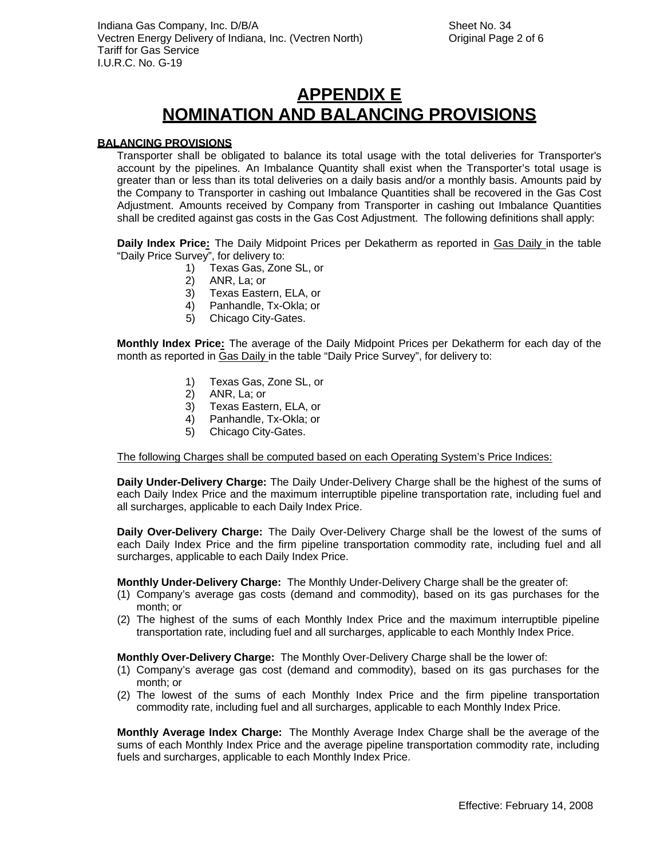#### **BALANCING PROVISIONS**

Transporter shall be obligated to balance its total usage with the total deliveries for Transporter's account by the pipelines. An Imbalance Quantity shall exist when the Transporter's total usage is greater than or less than its total deliveries on a daily basis and/or a monthly basis. Amounts paid by the Company to Transporter in cashing out Imbalance Quantities shall be recovered in the Gas Cost Adjustment. Amounts received by Company from Transporter in cashing out Imbalance Quantities shall be credited against gas costs in the Gas Cost Adjustment. The following definitions shall apply:

**Daily Index Price:** The Daily Midpoint Prices per Dekatherm as reported in Gas Daily in the table "Daily Price Survey", for delivery to:

- 1) Texas Gas, Zone SL, or
- 2) ANR, La; or
- 3) Texas Eastern, ELA, or
- 4) Panhandle, Tx-Okla; or
- 5) Chicago City-Gates.

**Monthly Index Price:** The average of the Daily Midpoint Prices per Dekatherm for each day of the month as reported in Gas Daily in the table "Daily Price Survey", for delivery to:

- 1) Texas Gas, Zone SL, or
- 2) ANR, La; or<br>3) Texas Easte
- 3) Texas Eastern, ELA, or
- 4) Panhandle, Tx-Okla; or
- 5) Chicago City-Gates.

The following Charges shall be computed based on each Operating System's Price Indices:

**Daily Under-Delivery Charge:** The Daily Under-Delivery Charge shall be the highest of the sums of each Daily Index Price and the maximum interruptible pipeline transportation rate, including fuel and all surcharges, applicable to each Daily Index Price.

**Daily Over-Delivery Charge:** The Daily Over-Delivery Charge shall be the lowest of the sums of each Daily Index Price and the firm pipeline transportation commodity rate, including fuel and all surcharges, applicable to each Daily Index Price.

**Monthly Under-Delivery Charge:** The Monthly Under-Delivery Charge shall be the greater of:

- (1) Company's average gas costs (demand and commodity), based on its gas purchases for the month; or
- (2) The highest of the sums of each Monthly Index Price and the maximum interruptible pipeline transportation rate, including fuel and all surcharges, applicable to each Monthly Index Price.

**Monthly Over-Delivery Charge:** The Monthly Over-Delivery Charge shall be the lower of:

- (1) Company's average gas cost (demand and commodity), based on its gas purchases for the month; or
- (2) The lowest of the sums of each Monthly Index Price and the firm pipeline transportation commodity rate, including fuel and all surcharges, applicable to each Monthly Index Price.

**Monthly Average Index Charge:** The Monthly Average Index Charge shall be the average of the sums of each Monthly Index Price and the average pipeline transportation commodity rate, including fuels and surcharges, applicable to each Monthly Index Price.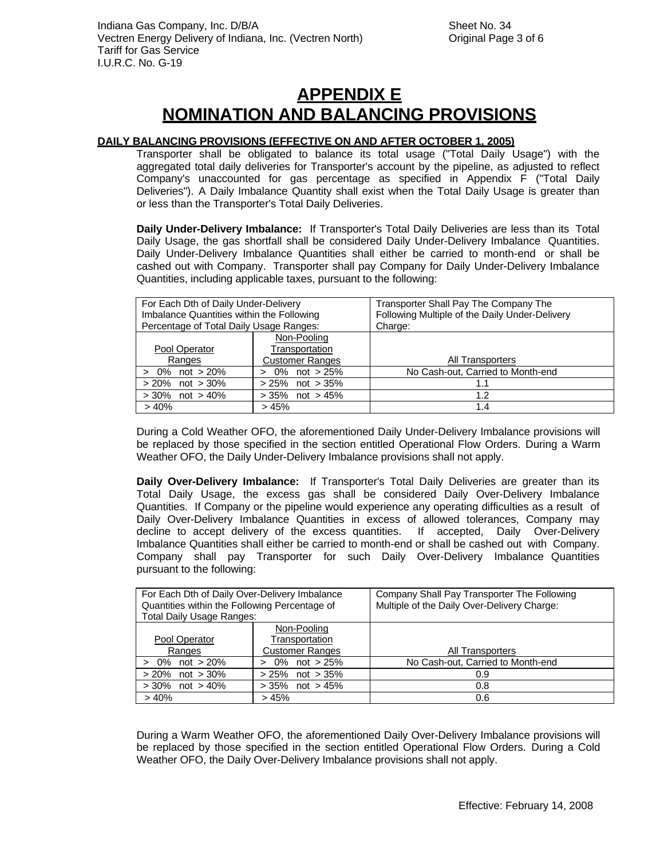### **DAILY BALANCING PROVISIONS (EFFECTIVE ON AND AFTER OCTOBER 1, 2005)**

Transporter shall be obligated to balance its total usage ("Total Daily Usage") with the aggregated total daily deliveries for Transporter's account by the pipeline, as adjusted to reflect Company's unaccounted for gas percentage as specified in Appendix F ("Total Daily Deliveries"). A Daily Imbalance Quantity shall exist when the Total Daily Usage is greater than or less than the Transporter's Total Daily Deliveries.

**Daily Under-Delivery Imbalance:** If Transporter's Total Daily Deliveries are less than its Total Daily Usage, the gas shortfall shall be considered Daily Under-Delivery Imbalance Quantities. Daily Under-Delivery Imbalance Quantities shall either be carried to month-end or shall be cashed out with Company. Transporter shall pay Company for Daily Under-Delivery Imbalance Quantities, including applicable taxes, pursuant to the following:

| For Each Dth of Daily Under-Delivery<br>Imbalance Quantities within the Following<br>Percentage of Total Daily Usage Ranges: |                                                         | Transporter Shall Pay The Company The<br>Following Multiple of the Daily Under-Delivery<br>Charge: |
|------------------------------------------------------------------------------------------------------------------------------|---------------------------------------------------------|----------------------------------------------------------------------------------------------------|
| Pool Operator<br>Ranges                                                                                                      | Non-Pooling<br>Transportation<br><b>Customer Ranges</b> | All Transporters                                                                                   |
| not $>20\%$<br>$> 0\%$                                                                                                       | 0% not $>$ 25%<br>$\geq$                                | No Cash-out, Carried to Month-end                                                                  |
| not $>30\%$<br>$>20\%$                                                                                                       | $> 25\%$ not $> 35\%$                                   | 1.1                                                                                                |
| $>30\%$ not $>40\%$                                                                                                          | $>35\%$ not $>45\%$                                     | 1.2                                                                                                |
| > 40%                                                                                                                        | >45%                                                    | 1.4                                                                                                |

During a Cold Weather OFO, the aforementioned Daily Under-Delivery Imbalance provisions will be replaced by those specified in the section entitled Operational Flow Orders. During a Warm Weather OFO, the Daily Under-Delivery Imbalance provisions shall not apply.

**Daily Over-Delivery Imbalance:** If Transporter's Total Daily Deliveries are greater than its Total Daily Usage, the excess gas shall be considered Daily Over-Delivery Imbalance Quantities. If Company or the pipeline would experience any operating difficulties as a result of Daily Over-Delivery Imbalance Quantities in excess of allowed tolerances, Company may decline to accept delivery of the excess quantities. If accepted, Daily Over-Delivery Imbalance Quantities shall either be carried to month-end or shall be cashed out with Company. Company shall pay Transporter for such Daily Over-Delivery Imbalance Quantities pursuant to the following:

| For Each Dth of Daily Over-Delivery Imbalance |                        | Company Shall Pay Transporter The Following |
|-----------------------------------------------|------------------------|---------------------------------------------|
| Quantities within the Following Percentage of |                        | Multiple of the Daily Over-Delivery Charge: |
| Total Daily Usage Ranges:                     |                        |                                             |
|                                               | Non-Pooling            |                                             |
| Pool Operator                                 | Transportation         |                                             |
| Ranges                                        | <b>Customer Ranges</b> | All Transporters                            |
| 0%<br>not $>20\%$                             | not > 25%<br>0%        | No Cash-out, Carried to Month-end           |
| $> 20\%$ not $> 30\%$                         | $> 25\%$ not $> 35\%$  | 0.9                                         |
| $>30\%$ not $>40\%$                           | $>35\%$ not $>45\%$    | 0.8                                         |
| > 40%                                         | >45%                   | 0.6                                         |

During a Warm Weather OFO, the aforementioned Daily Over-Delivery Imbalance provisions will be replaced by those specified in the section entitled Operational Flow Orders. During a Cold Weather OFO, the Daily Over-Delivery Imbalance provisions shall not apply.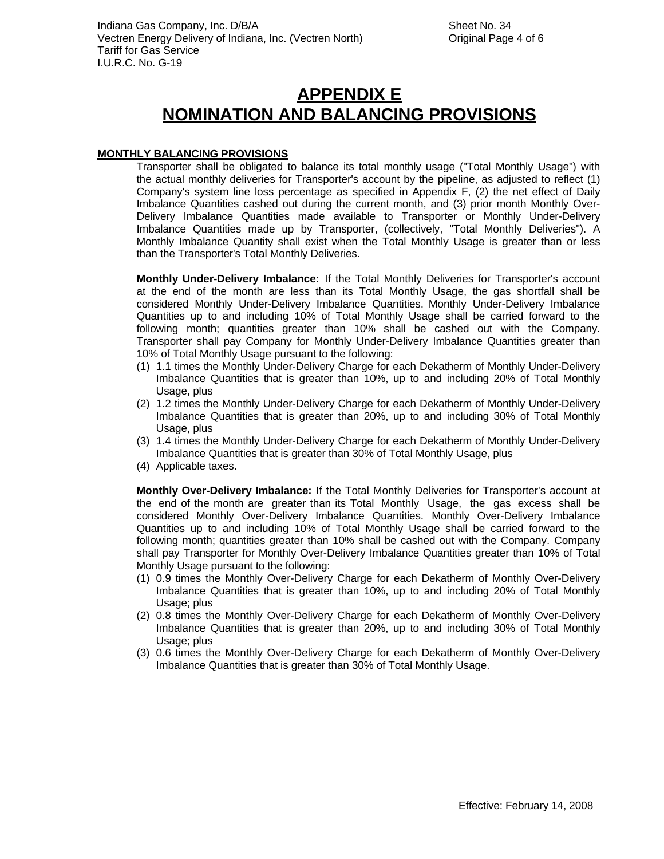#### **MONTHLY BALANCING PROVISIONS**

Transporter shall be obligated to balance its total monthly usage ("Total Monthly Usage") with the actual monthly deliveries for Transporter's account by the pipeline, as adjusted to reflect (1) Company's system line loss percentage as specified in Appendix F, (2) the net effect of Daily Imbalance Quantities cashed out during the current month, and (3) prior month Monthly Over-Delivery Imbalance Quantities made available to Transporter or Monthly Under-Delivery Imbalance Quantities made up by Transporter, (collectively, "Total Monthly Deliveries"). A Monthly Imbalance Quantity shall exist when the Total Monthly Usage is greater than or less than the Transporter's Total Monthly Deliveries.

**Monthly Under-Delivery Imbalance:** If the Total Monthly Deliveries for Transporter's account at the end of the month are less than its Total Monthly Usage, the gas shortfall shall be considered Monthly Under-Delivery Imbalance Quantities. Monthly Under-Delivery Imbalance Quantities up to and including 10% of Total Monthly Usage shall be carried forward to the following month; quantities greater than 10% shall be cashed out with the Company. Transporter shall pay Company for Monthly Under-Delivery Imbalance Quantities greater than 10% of Total Monthly Usage pursuant to the following:

- (1) 1.1 times the Monthly Under-Delivery Charge for each Dekatherm of Monthly Under-Delivery Imbalance Quantities that is greater than 10%, up to and including 20% of Total Monthly Usage, plus
- (2) 1.2 times the Monthly Under-Delivery Charge for each Dekatherm of Monthly Under-Delivery Imbalance Quantities that is greater than 20%, up to and including 30% of Total Monthly Usage, plus
- (3) 1.4 times the Monthly Under-Delivery Charge for each Dekatherm of Monthly Under-Delivery Imbalance Quantities that is greater than 30% of Total Monthly Usage, plus
- (4) Applicable taxes.

**Monthly Over-Delivery Imbalance:** If the Total Monthly Deliveries for Transporter's account at the end of the month are greater than its Total Monthly Usage, the gas excess shall be considered Monthly Over-Delivery Imbalance Quantities. Monthly Over-Delivery Imbalance Quantities up to and including 10% of Total Monthly Usage shall be carried forward to the following month; quantities greater than 10% shall be cashed out with the Company. Company shall pay Transporter for Monthly Over-Delivery Imbalance Quantities greater than 10% of Total Monthly Usage pursuant to the following:

- (1) 0.9 times the Monthly Over-Delivery Charge for each Dekatherm of Monthly Over-Delivery Imbalance Quantities that is greater than 10%, up to and including 20% of Total Monthly Usage; plus
- (2) 0.8 times the Monthly Over-Delivery Charge for each Dekatherm of Monthly Over-Delivery Imbalance Quantities that is greater than 20%, up to and including 30% of Total Monthly Usage; plus
- (3) 0.6 times the Monthly Over-Delivery Charge for each Dekatherm of Monthly Over-Delivery Imbalance Quantities that is greater than 30% of Total Monthly Usage.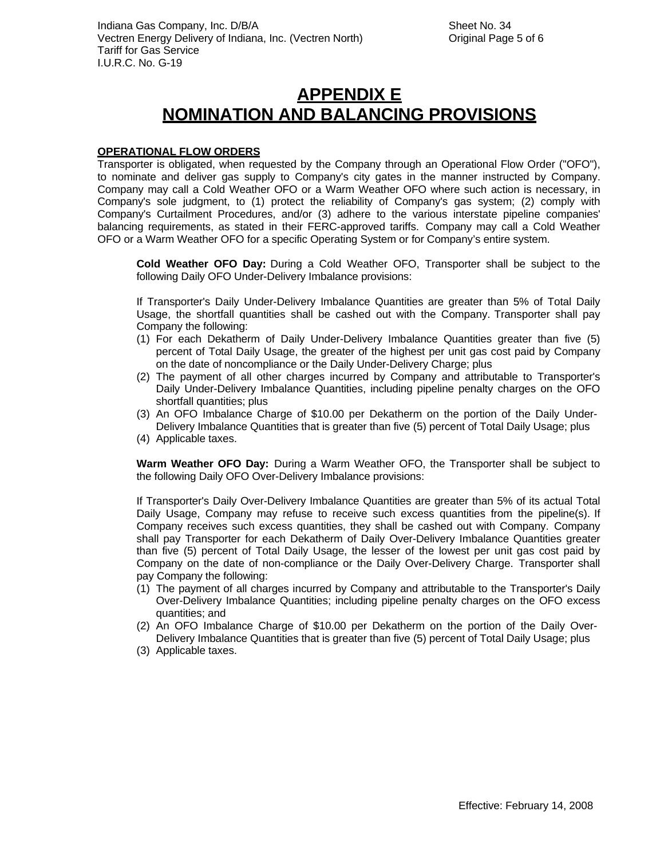#### **OPERATIONAL FLOW ORDERS**

Transporter is obligated, when requested by the Company through an Operational Flow Order ("OFO"), to nominate and deliver gas supply to Company's city gates in the manner instructed by Company. Company may call a Cold Weather OFO or a Warm Weather OFO where such action is necessary, in Company's sole judgment, to (1) protect the reliability of Company's gas system; (2) comply with Company's Curtailment Procedures, and/or (3) adhere to the various interstate pipeline companies' balancing requirements, as stated in their FERC-approved tariffs. Company may call a Cold Weather OFO or a Warm Weather OFO for a specific Operating System or for Company's entire system.

**Cold Weather OFO Day:** During a Cold Weather OFO, Transporter shall be subject to the following Daily OFO Under-Delivery Imbalance provisions:

If Transporter's Daily Under-Delivery Imbalance Quantities are greater than 5% of Total Daily Usage, the shortfall quantities shall be cashed out with the Company. Transporter shall pay Company the following:

- (1) For each Dekatherm of Daily Under-Delivery Imbalance Quantities greater than five (5) percent of Total Daily Usage, the greater of the highest per unit gas cost paid by Company on the date of noncompliance or the Daily Under-Delivery Charge; plus
- (2) The payment of all other charges incurred by Company and attributable to Transporter's Daily Under-Delivery Imbalance Quantities, including pipeline penalty charges on the OFO shortfall quantities; plus
- (3) An OFO Imbalance Charge of \$10.00 per Dekatherm on the portion of the Daily Under-Delivery Imbalance Quantities that is greater than five (5) percent of Total Daily Usage; plus
- (4) Applicable taxes.

**Warm Weather OFO Day:** During a Warm Weather OFO, the Transporter shall be subject to the following Daily OFO Over-Delivery Imbalance provisions:

If Transporter's Daily Over-Delivery Imbalance Quantities are greater than 5% of its actual Total Daily Usage, Company may refuse to receive such excess quantities from the pipeline(s). If Company receives such excess quantities, they shall be cashed out with Company. Company shall pay Transporter for each Dekatherm of Daily Over-Delivery Imbalance Quantities greater than five (5) percent of Total Daily Usage, the lesser of the lowest per unit gas cost paid by Company on the date of non-compliance or the Daily Over-Delivery Charge. Transporter shall pay Company the following:

- (1) The payment of all charges incurred by Company and attributable to the Transporter's Daily Over-Delivery Imbalance Quantities; including pipeline penalty charges on the OFO excess quantities; and
- (2) An OFO Imbalance Charge of \$10.00 per Dekatherm on the portion of the Daily Over-Delivery Imbalance Quantities that is greater than five (5) percent of Total Daily Usage; plus
- (3) Applicable taxes.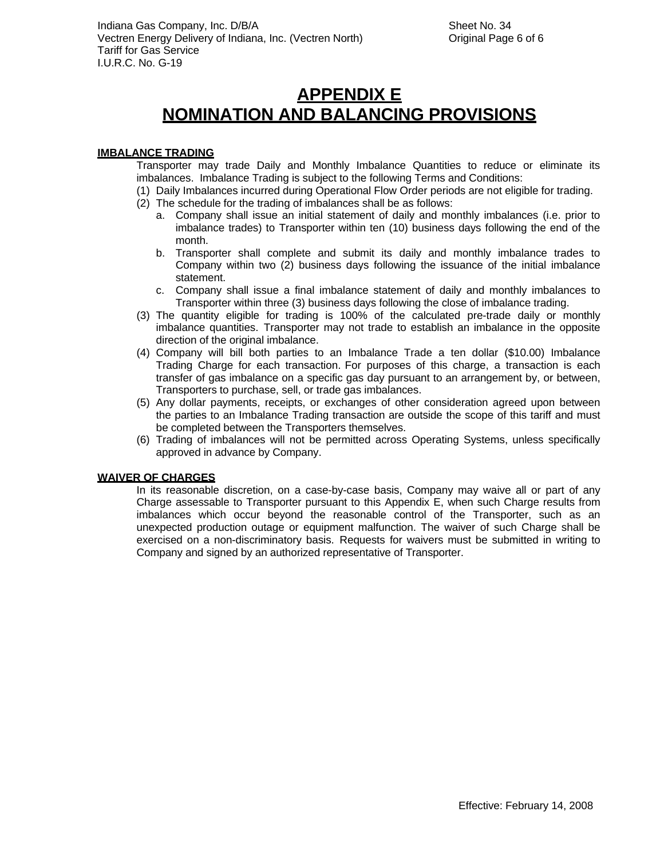#### **IMBALANCE TRADING**

Transporter may trade Daily and Monthly Imbalance Quantities to reduce or eliminate its imbalances. Imbalance Trading is subject to the following Terms and Conditions:

(1) Daily Imbalances incurred during Operational Flow Order periods are not eligible for trading.

- (2) The schedule for the trading of imbalances shall be as follows:
	- a. Company shall issue an initial statement of daily and monthly imbalances (i.e. prior to imbalance trades) to Transporter within ten (10) business days following the end of the month.
	- b. Transporter shall complete and submit its daily and monthly imbalance trades to Company within two (2) business days following the issuance of the initial imbalance statement.
	- c. Company shall issue a final imbalance statement of daily and monthly imbalances to Transporter within three (3) business days following the close of imbalance trading.
- (3) The quantity eligible for trading is 100% of the calculated pre-trade daily or monthly imbalance quantities. Transporter may not trade to establish an imbalance in the opposite direction of the original imbalance.
- (4) Company will bill both parties to an Imbalance Trade a ten dollar (\$10.00) Imbalance Trading Charge for each transaction. For purposes of this charge, a transaction is each transfer of gas imbalance on a specific gas day pursuant to an arrangement by, or between, Transporters to purchase, sell, or trade gas imbalances.
- (5) Any dollar payments, receipts, or exchanges of other consideration agreed upon between the parties to an Imbalance Trading transaction are outside the scope of this tariff and must be completed between the Transporters themselves.
- (6) Trading of imbalances will not be permitted across Operating Systems, unless specifically approved in advance by Company.

#### **WAIVER OF CHARGES**

In its reasonable discretion, on a case-by-case basis, Company may waive all or part of any Charge assessable to Transporter pursuant to this Appendix E, when such Charge results from imbalances which occur beyond the reasonable control of the Transporter, such as an unexpected production outage or equipment malfunction. The waiver of such Charge shall be exercised on a non-discriminatory basis. Requests for waivers must be submitted in writing to Company and signed by an authorized representative of Transporter.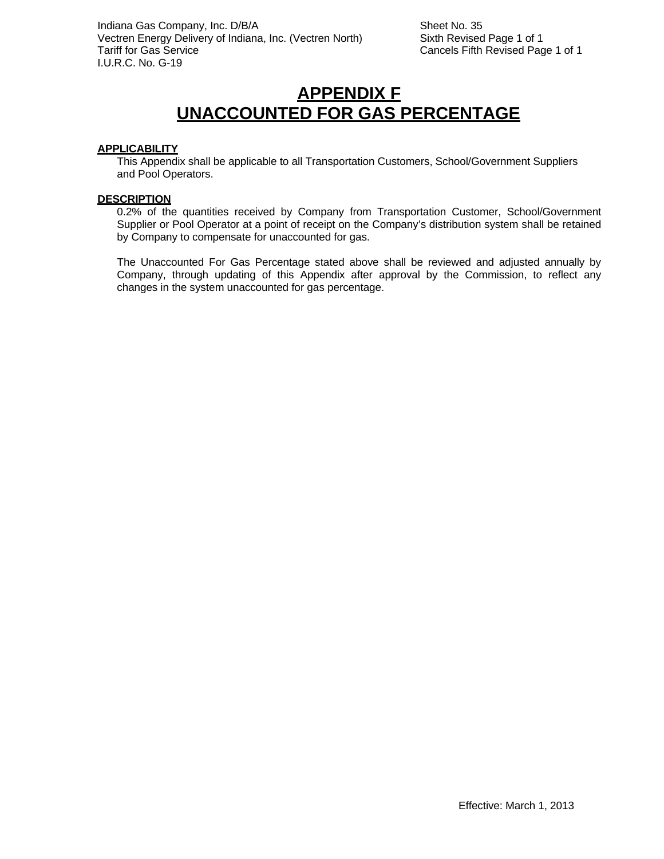## **APPENDIX F UNACCOUNTED FOR GAS PERCENTAGE**

#### **APPLICABILITY**

This Appendix shall be applicable to all Transportation Customers, School/Government Suppliers and Pool Operators.

#### **DESCRIPTION**

0.2% of the quantities received by Company from Transportation Customer, School/Government Supplier or Pool Operator at a point of receipt on the Company's distribution system shall be retained by Company to compensate for unaccounted for gas.

The Unaccounted For Gas Percentage stated above shall be reviewed and adjusted annually by Company, through updating of this Appendix after approval by the Commission, to reflect any changes in the system unaccounted for gas percentage.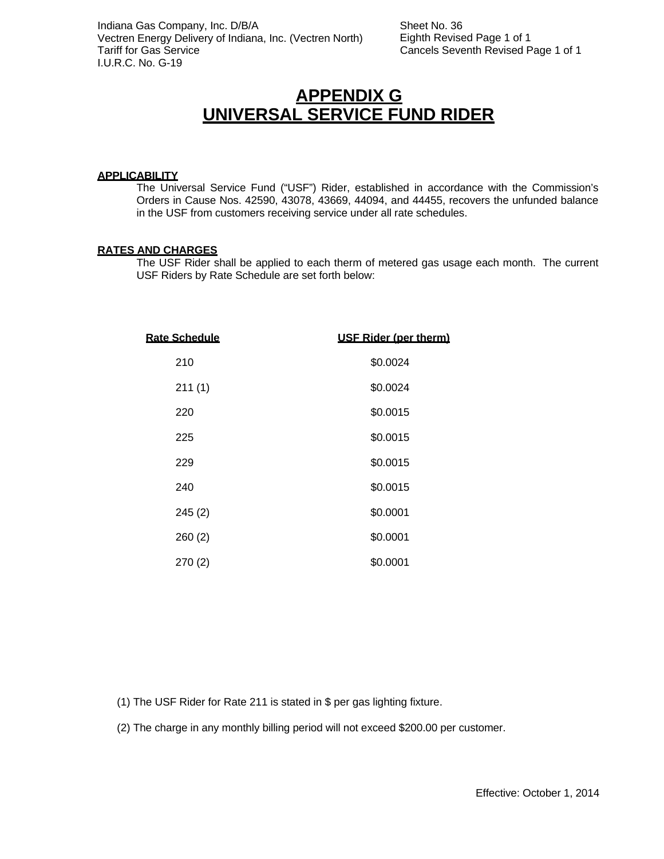### **APPENDIX G UNIVERSAL SERVICE FUND RIDER**

#### **APPLICABILITY**

The Universal Service Fund ("USF") Rider, established in accordance with the Commission's Orders in Cause Nos. 42590, 43078, 43669, 44094, and 44455, recovers the unfunded balance in the USF from customers receiving service under all rate schedules.

#### **RATES AND CHARGES**

The USF Rider shall be applied to each therm of metered gas usage each month. The current USF Riders by Rate Schedule are set forth below:

| <b>USF Rider (per therm)</b> |
|------------------------------|
| \$0.0024                     |
| \$0.0024                     |
| \$0.0015                     |
| \$0.0015                     |
| \$0.0015                     |
| \$0.0015                     |
| \$0.0001                     |
| \$0.0001                     |
| \$0.0001                     |
|                              |

(1) The USF Rider for Rate 211 is stated in \$ per gas lighting fixture.

(2) The charge in any monthly billing period will not exceed \$200.00 per customer.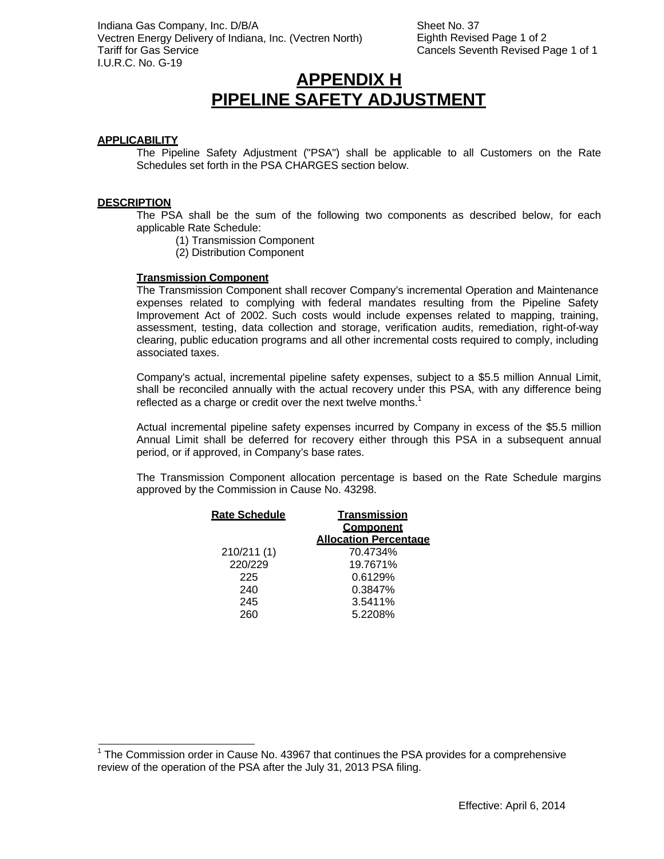Sheet No. 37 Eighth Revised Page 1 of 2 Cancels Seventh Revised Page 1 of 1

### **APPENDIX H PIPELINE SAFETY ADJUSTMENT**

#### **APPLICABILITY**

The Pipeline Safety Adjustment ("PSA") shall be applicable to all Customers on the Rate Schedules set forth in the PSA CHARGES section below.

#### **DESCRIPTION**

The PSA shall be the sum of the following two components as described below, for each applicable Rate Schedule:

- (1) Transmission Component
- (2) Distribution Component

#### **Transmission Component**

The Transmission Component shall recover Company's incremental Operation and Maintenance expenses related to complying with federal mandates resulting from the Pipeline Safety Improvement Act of 2002. Such costs would include expenses related to mapping, training, assessment, testing, data collection and storage, verification audits, remediation, right-of-way clearing, public education programs and all other incremental costs required to comply, including associated taxes.

Company's actual, incremental pipeline safety expenses, subject to a \$5.5 million Annual Limit, shall be reconciled annually with the actual recovery under this PSA, with any difference being reflected as a charge or credit over the next twelve months. $<sup>1</sup>$ </sup>

Actual incremental pipeline safety expenses incurred by Company in excess of the \$5.5 million Annual Limit shall be deferred for recovery either through this PSA in a subsequent annual period, or if approved, in Company's base rates.

The Transmission Component allocation percentage is based on the Rate Schedule margins approved by the Commission in Cause No. 43298.

| <b>Rate Schedule</b> | <b>Transmission</b><br>Component |
|----------------------|----------------------------------|
|                      | <b>Allocation Percentage</b>     |
| 210/211 (1)          | 70.4734%                         |
| 220/229              | 19.7671%                         |
| 225                  | 0.6129%                          |
| 240                  | 0.3847%                          |
| 245                  | 3.5411%                          |
| 260                  | 5.2208%                          |

<sup>&</sup>lt;sup>1</sup> The Commission order in Cause No. 43967 that continues the PSA provides for a comprehensive review of the operation of the PSA after the July 31, 2013 PSA filing.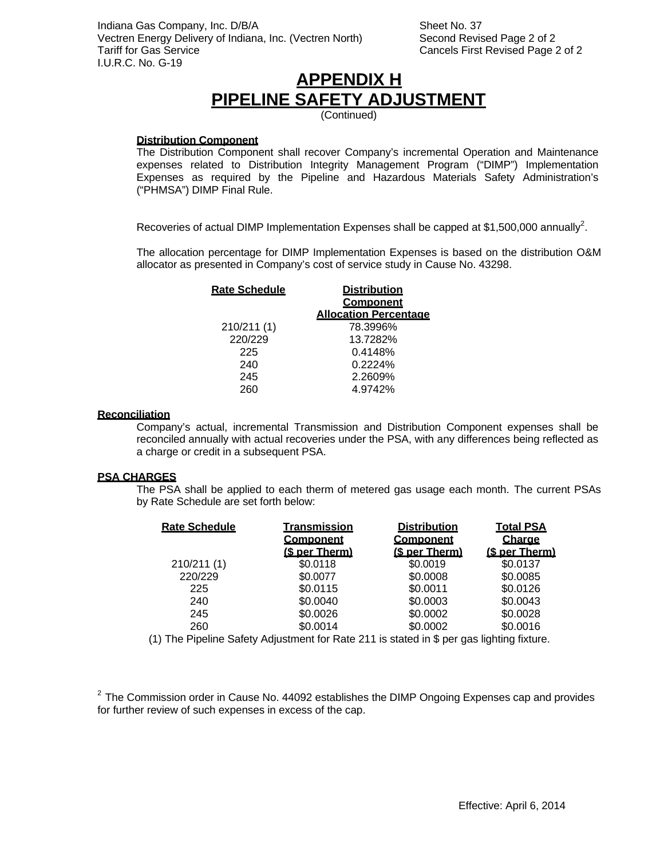Sheet No. 37 Second Revised Page 2 of 2 Cancels First Revised Page 2 of 2

## **APPENDIX H PIPELINE SAFETY ADJUSTMENT**

(Continued)

#### **Distribution Component**

The Distribution Component shall recover Company's incremental Operation and Maintenance expenses related to Distribution Integrity Management Program ("DIMP") Implementation Expenses as required by the Pipeline and Hazardous Materials Safety Administration's ("PHMSA") DIMP Final Rule.

Recoveries of actual DIMP Implementation Expenses shall be capped at \$1,500,000 annually<sup>2</sup>.

The allocation percentage for DIMP Implementation Expenses is based on the distribution O&M allocator as presented in Company's cost of service study in Cause No. 43298.

| <b>Rate Schedule</b> | <b>Distribution</b>          |
|----------------------|------------------------------|
|                      | <b>Component</b>             |
|                      | <b>Allocation Percentage</b> |
| 210/211(1)           | 78.3996%                     |
| 220/229              | 13.7282%                     |
| 225                  | 0.4148%                      |
| 240                  | 0.2224%                      |
| 245                  | 2.2609%                      |
| 260                  | 4.9742%                      |

#### **Reconciliation**

Company's actual, incremental Transmission and Distribution Component expenses shall be reconciled annually with actual recoveries under the PSA, with any differences being reflected as a charge or credit in a subsequent PSA.

#### **PSA CHARGES**

The PSA shall be applied to each therm of metered gas usage each month. The current PSAs by Rate Schedule are set forth below:

| <b>Transmission</b><br><b>Component</b><br>(\$ per Therm) | <b>Distribution</b><br><u>Component</u><br>(\$ per Therm) | <b>Total PSA</b><br>Charge<br>(\$ per Therm) |
|-----------------------------------------------------------|-----------------------------------------------------------|----------------------------------------------|
| \$0.0118                                                  | \$0.0019                                                  | \$0.0137                                     |
| \$0.0077                                                  | \$0.0008                                                  | \$0.0085                                     |
| \$0.0115                                                  | \$0.0011                                                  | \$0.0126                                     |
| \$0.0040                                                  | \$0.0003                                                  | \$0.0043                                     |
| \$0.0026                                                  | \$0.0002                                                  | \$0.0028                                     |
| \$0.0014                                                  | \$0.0002                                                  | \$0.0016                                     |
|                                                           |                                                           |                                              |

(1) The Pipeline Safety Adjustment for Rate 211 is stated in \$ per gas lighting fixture.

 $2$  The Commission order in Cause No. 44092 establishes the DIMP Ongoing Expenses cap and provides for further review of such expenses in excess of the cap.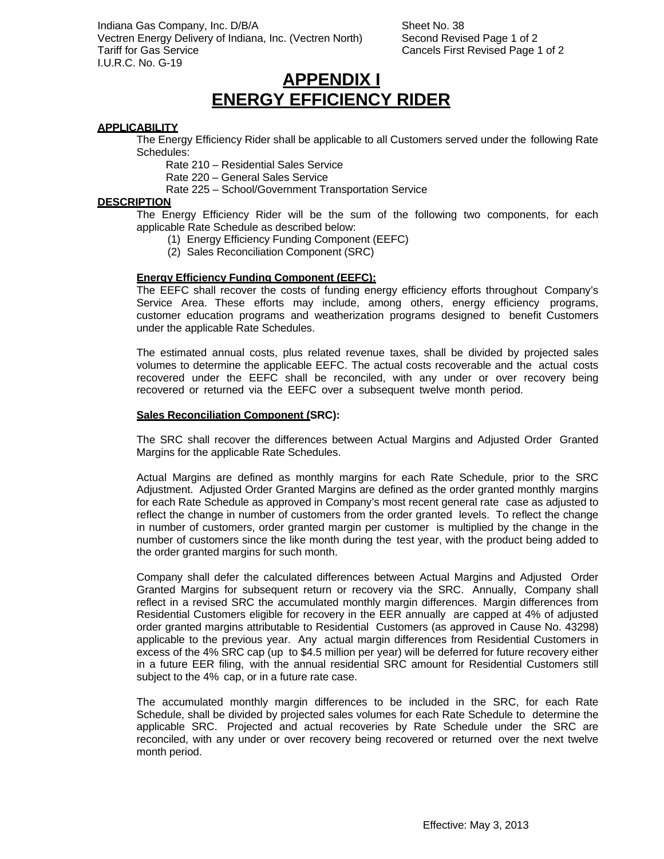Indiana Gas Company, Inc. D/B/A Vectren Energy Delivery of Indiana, Inc. (Vectren North) Tariff for Gas Service I.U.R.C. No. G-19

Sheet No. 38 Second Revised Page 1 of 2 Cancels First Revised Page 1 of 2

### **APPENDIX I ENERGY EFFICIENCY RIDER**

#### **APPLICABILITY**

The Energy Efficiency Rider shall be applicable to all Customers served under the following Rate Schedules:

Rate 210 – Residential Sales Service

Rate 220 – General Sales Service

Rate 225 – School/Government Transportation Service

#### **DESCRIPTION**

The Energy Efficiency Rider will be the sum of the following two components, for each applicable Rate Schedule as described below:

- (1) Energy Efficiency Funding Component (EEFC)
- (2) Sales Reconciliation Component (SRC)

#### **Energy Efficiency Funding Component (EEFC):**

The EEFC shall recover the costs of funding energy efficiency efforts throughout Company's Service Area. These efforts may include, among others, energy efficiency programs, customer education programs and weatherization programs designed to benefit Customers under the applicable Rate Schedules.

The estimated annual costs, plus related revenue taxes, shall be divided by projected sales volumes to determine the applicable EEFC. The actual costs recoverable and the actual costs recovered under the EEFC shall be reconciled, with any under or over recovery being recovered or returned via the EEFC over a subsequent twelve month period.

#### **Sales Reconciliation Component (SRC):**

The SRC shall recover the differences between Actual Margins and Adjusted Order Granted Margins for the applicable Rate Schedules.

Actual Margins are defined as monthly margins for each Rate Schedule, prior to the SRC Adjustment. Adjusted Order Granted Margins are defined as the order granted monthly margins for each Rate Schedule as approved in Company's most recent general rate case as adjusted to reflect the change in number of customers from the order granted levels. To reflect the change in number of customers, order granted margin per customer is multiplied by the change in the number of customers since the like month during the test year, with the product being added to the order granted margins for such month.

Company shall defer the calculated differences between Actual Margins and Adjusted Order Granted Margins for subsequent return or recovery via the SRC. Annually, Company shall reflect in a revised SRC the accumulated monthly margin differences. Margin differences from Residential Customers eligible for recovery in the EER annually are capped at 4% of adjusted order granted margins attributable to Residential Customers (as approved in Cause No. 43298) applicable to the previous year. Any actual margin differences from Residential Customers in excess of the 4% SRC cap (up to \$4.5 million per year) will be deferred for future recovery either in a future EER filing, with the annual residential SRC amount for Residential Customers still subject to the 4% cap, or in a future rate case.

The accumulated monthly margin differences to be included in the SRC, for each Rate Schedule, shall be divided by projected sales volumes for each Rate Schedule to determine the applicable SRC. Projected and actual recoveries by Rate Schedule under the SRC are reconciled, with any under or over recovery being recovered or returned over the next twelve month period.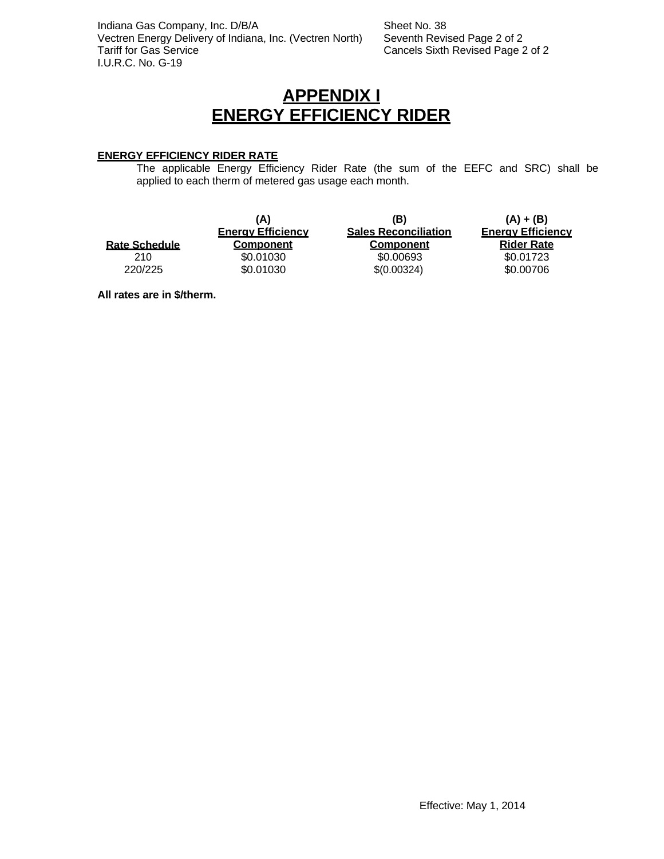Indiana Gas Company, Inc. D/B/A Vectren Energy Delivery of Indiana, Inc. (Vectren North) Tariff for Gas Service I.U.R.C. No. G-19

Sheet No. 38 Seventh Revised Page 2 of 2 Cancels Sixth Revised Page 2 of 2

### **APPENDIX I ENERGY EFFICIENCY RIDER**

#### **ENERGY EFFICIENCY RIDER RATE**

The applicable Energy Efficiency Rider Rate (the sum of the EEFC and SRC) shall be applied to each therm of metered gas usage each month.

|                      | (A)<br><b>Energy Efficiency</b> | (B)<br><b>Sales Reconciliation</b> | $(A) + (B)$<br><b>Energy Efficiency</b> |
|----------------------|---------------------------------|------------------------------------|-----------------------------------------|
| <b>Rate Schedule</b> | <b>Component</b>                | <b>Component</b>                   | <b>Rider Rate</b>                       |
| 210                  | \$0.01030                       | \$0.00693                          | \$0.01723                               |
| 220/225              | \$0.01030                       | \$(0.00324)                        | \$0.00706                               |

**All rates are in \$/therm.**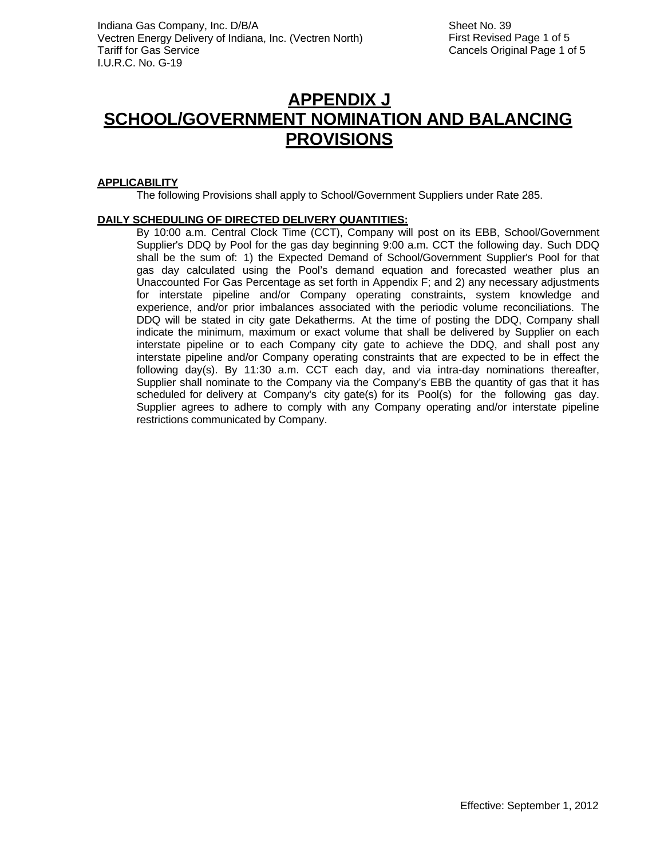### **APPENDIX J SCHOOL/GOVERNMENT NOMINATION AND BALANCING PROVISIONS**

#### **APPLICABILITY**

The following Provisions shall apply to School/Government Suppliers under Rate 285.

#### **DAILY SCHEDULING OF DIRECTED DELIVERY QUANTITIES:**

By 10:00 a.m. Central Clock Time (CCT), Company will post on its EBB, School/Government Supplier's DDQ by Pool for the gas day beginning 9:00 a.m. CCT the following day. Such DDQ shall be the sum of: 1) the Expected Demand of School/Government Supplier's Pool for that gas day calculated using the Pool's demand equation and forecasted weather plus an Unaccounted For Gas Percentage as set forth in Appendix F; and 2) any necessary adjustments for interstate pipeline and/or Company operating constraints, system knowledge and experience, and/or prior imbalances associated with the periodic volume reconciliations. The DDQ will be stated in city gate Dekatherms. At the time of posting the DDQ, Company shall indicate the minimum, maximum or exact volume that shall be delivered by Supplier on each interstate pipeline or to each Company city gate to achieve the DDQ, and shall post any interstate pipeline and/or Company operating constraints that are expected to be in effect the following day(s). By 11:30 a.m. CCT each day, and via intra-day nominations thereafter, Supplier shall nominate to the Company via the Company's EBB the quantity of gas that it has scheduled for delivery at Company's city gate(s) for its Pool(s) for the following gas day. Supplier agrees to adhere to comply with any Company operating and/or interstate pipeline restrictions communicated by Company.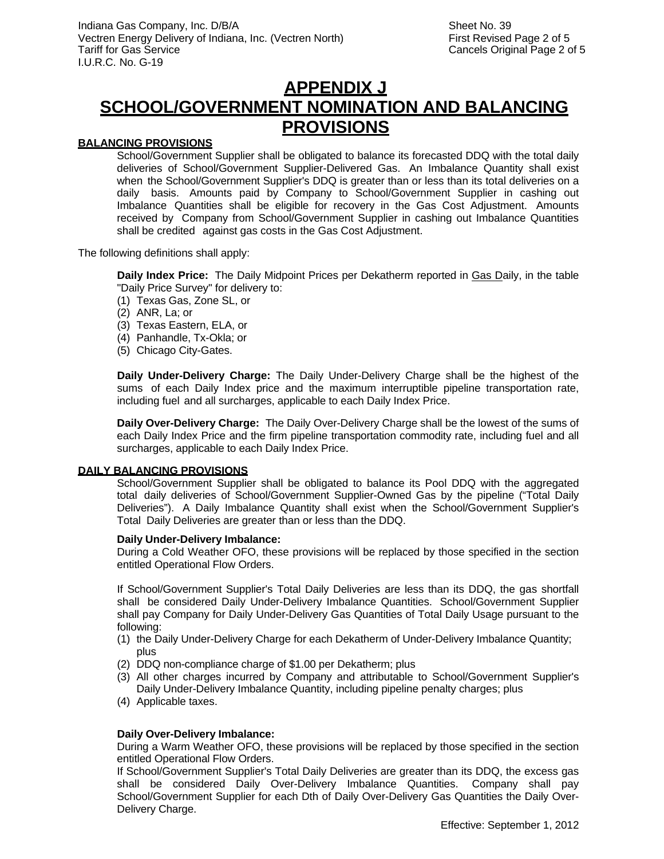## **APPENDIX J SCHOOL/GOVERNMENT NOMINATION AND BALANCING PROVISIONS**

#### **BALANCING PROVISIONS**

School/Government Supplier shall be obligated to balance its forecasted DDQ with the total daily deliveries of School/Government Supplier-Delivered Gas. An Imbalance Quantity shall exist when the School/Government Supplier's DDQ is greater than or less than its total deliveries on a daily basis. Amounts paid by Company to School/Government Supplier in cashing out Imbalance Quantities shall be eligible for recovery in the Gas Cost Adjustment. Amounts received by Company from School/Government Supplier in cashing out Imbalance Quantities shall be credited against gas costs in the Gas Cost Adjustment.

The following definitions shall apply:

**Daily Index Price:** The Daily Midpoint Prices per Dekatherm reported in Gas Daily, in the table "Daily Price Survey" for delivery to:

- (1) Texas Gas, Zone SL, or
- (2) ANR, La; or
- (3) Texas Eastern, ELA, or
- (4) Panhandle, Tx-Okla; or
- (5) Chicago City-Gates.

**Daily Under-Delivery Charge:** The Daily Under-Delivery Charge shall be the highest of the sums of each Daily Index price and the maximum interruptible pipeline transportation rate, including fuel and all surcharges, applicable to each Daily Index Price.

**Daily Over-Delivery Charge:** The Daily Over-Delivery Charge shall be the lowest of the sums of each Daily Index Price and the firm pipeline transportation commodity rate, including fuel and all surcharges, applicable to each Daily Index Price.

#### **DAILY BALANCING PROVISIONS**

School/Government Supplier shall be obligated to balance its Pool DDQ with the aggregated total daily deliveries of School/Government Supplier-Owned Gas by the pipeline ("Total Daily Deliveries"). A Daily Imbalance Quantity shall exist when the School/Government Supplier's Total Daily Deliveries are greater than or less than the DDQ.

#### **Daily Under-Delivery Imbalance:**

During a Cold Weather OFO, these provisions will be replaced by those specified in the section entitled Operational Flow Orders.

If School/Government Supplier's Total Daily Deliveries are less than its DDQ, the gas shortfall shall be considered Daily Under-Delivery Imbalance Quantities. School/Government Supplier shall pay Company for Daily Under-Delivery Gas Quantities of Total Daily Usage pursuant to the following:

- (1) the Daily Under-Delivery Charge for each Dekatherm of Under-Delivery Imbalance Quantity; plus
- (2) DDQ non-compliance charge of \$1.00 per Dekatherm; plus
- (3) All other charges incurred by Company and attributable to School/Government Supplier's Daily Under-Delivery Imbalance Quantity, including pipeline penalty charges; plus
- (4) Applicable taxes.

#### **Daily Over-Delivery Imbalance:**

During a Warm Weather OFO, these provisions will be replaced by those specified in the section entitled Operational Flow Orders.

If School/Government Supplier's Total Daily Deliveries are greater than its DDQ, the excess gas shall be considered Daily Over-Delivery Imbalance Quantities. Company shall pay School/Government Supplier for each Dth of Daily Over-Delivery Gas Quantities the Daily Over-Delivery Charge.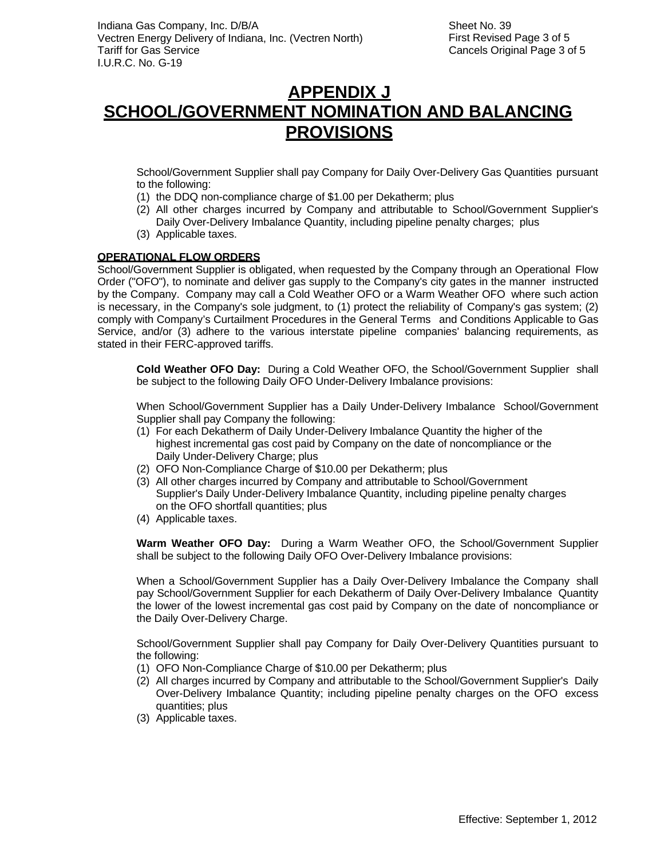## **APPENDIX J SCHOOL/GOVERNMENT NOMINATION AND BALANCING PROVISIONS**

School/Government Supplier shall pay Company for Daily Over-Delivery Gas Quantities pursuant to the following:

- (1) the DDQ non-compliance charge of \$1.00 per Dekatherm; plus
- (2) All other charges incurred by Company and attributable to School/Government Supplier's Daily Over-Delivery Imbalance Quantity, including pipeline penalty charges; plus
- (3) Applicable taxes.

#### **OPERATIONAL FLOW ORDERS**

School/Government Supplier is obligated, when requested by the Company through an Operational Flow Order ("OFO"), to nominate and deliver gas supply to the Company's city gates in the manner instructed by the Company. Company may call a Cold Weather OFO or a Warm Weather OFO where such action is necessary, in the Company's sole judgment, to (1) protect the reliability of Company's gas system; (2) comply with Company's Curtailment Procedures in the General Terms and Conditions Applicable to Gas Service, and/or (3) adhere to the various interstate pipeline companies' balancing requirements, as stated in their FERC-approved tariffs.

**Cold Weather OFO Day:** During a Cold Weather OFO, the School/Government Supplier shall be subject to the following Daily OFO Under-Delivery Imbalance provisions:

When School/Government Supplier has a Daily Under-Delivery Imbalance School/Government Supplier shall pay Company the following:

- (1) For each Dekatherm of Daily Under-Delivery Imbalance Quantity the higher of the highest incremental gas cost paid by Company on the date of noncompliance or the Daily Under-Delivery Charge; plus
- (2) OFO Non-Compliance Charge of \$10.00 per Dekatherm; plus
- (3) All other charges incurred by Company and attributable to School/Government Supplier's Daily Under-Delivery Imbalance Quantity, including pipeline penalty charges on the OFO shortfall quantities; plus
- (4) Applicable taxes.

**Warm Weather OFO Day:** During a Warm Weather OFO, the School/Government Supplier shall be subject to the following Daily OFO Over-Delivery Imbalance provisions:

When a School/Government Supplier has a Daily Over-Delivery Imbalance the Company shall pay School/Government Supplier for each Dekatherm of Daily Over-Delivery Imbalance Quantity the lower of the lowest incremental gas cost paid by Company on the date of noncompliance or the Daily Over-Delivery Charge.

School/Government Supplier shall pay Company for Daily Over-Delivery Quantities pursuant to the following:

- (1) OFO Non-Compliance Charge of \$10.00 per Dekatherm; plus
- (2) All charges incurred by Company and attributable to the School/Government Supplier's Daily Over-Delivery Imbalance Quantity; including pipeline penalty charges on the OFO excess quantities; plus
- (3) Applicable taxes.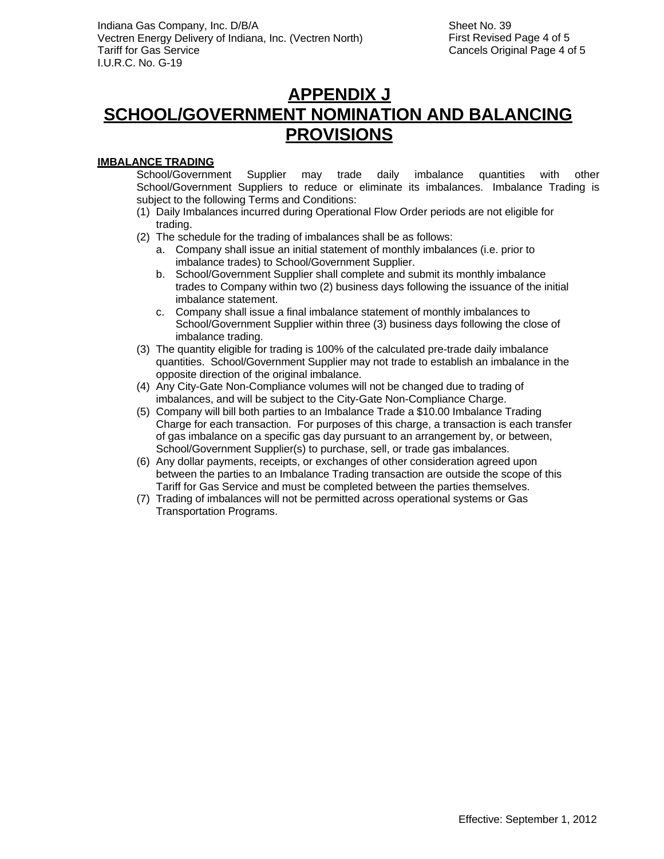## **APPENDIX J SCHOOL/GOVERNMENT NOMINATION AND BALANCING PROVISIONS**

### **IMBALANCE TRADING**

School/Government Supplier may trade daily imbalance quantities with other School/Government Suppliers to reduce or eliminate its imbalances. Imbalance Trading is subject to the following Terms and Conditions:

- (1) Daily Imbalances incurred during Operational Flow Order periods are not eligible for trading.
- (2) The schedule for the trading of imbalances shall be as follows:
	- a. Company shall issue an initial statement of monthly imbalances (i.e. prior to imbalance trades) to School/Government Supplier.
	- b. School/Government Supplier shall complete and submit its monthly imbalance trades to Company within two (2) business days following the issuance of the initial imbalance statement.
	- c. Company shall issue a final imbalance statement of monthly imbalances to School/Government Supplier within three (3) business days following the close of imbalance trading.
- (3) The quantity eligible for trading is 100% of the calculated pre-trade daily imbalance quantities. School/Government Supplier may not trade to establish an imbalance in the opposite direction of the original imbalance.
- (4) Any City-Gate Non-Compliance volumes will not be changed due to trading of imbalances, and will be subject to the City-Gate Non-Compliance Charge.
- (5) Company will bill both parties to an Imbalance Trade a \$10.00 Imbalance Trading Charge for each transaction. For purposes of this charge, a transaction is each transfer of gas imbalance on a specific gas day pursuant to an arrangement by, or between, School/Government Supplier(s) to purchase, sell, or trade gas imbalances.
- (6) Any dollar payments, receipts, or exchanges of other consideration agreed upon between the parties to an Imbalance Trading transaction are outside the scope of this Tariff for Gas Service and must be completed between the parties themselves.
- (7) Trading of imbalances will not be permitted across operational systems or Gas Transportation Programs.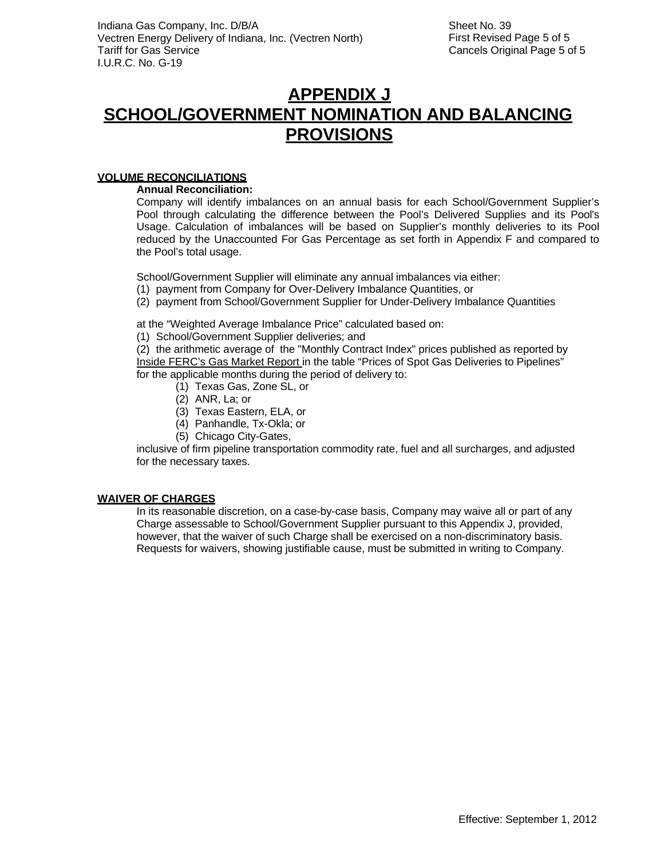### **APPENDIX J SCHOOL/GOVERNMENT NOMINATION AND BALANCING PROVISIONS**

#### **VOLUME RECONCILIATIONS**

**Annual Reconciliation:**

Company will identify imbalances on an annual basis for each School/Government Supplier's Pool through calculating the difference between the Pool's Delivered Supplies and its Pool's Usage. Calculation of imbalances will be based on Supplier's monthly deliveries to its Pool reduced by the Unaccounted For Gas Percentage as set forth in Appendix F and compared to the Pool's total usage.

School/Government Supplier will eliminate any annual imbalances via either:

- (1) payment from Company for Over-Delivery Imbalance Quantities, or
- (2) payment from School/Government Supplier for Under-Delivery Imbalance Quantities

at the "Weighted Average Imbalance Price" calculated based on:

(1) School/Government Supplier deliveries; and

(2) the arithmetic average of the "Monthly Contract Index" prices published as reported by Inside FERC's Gas Market Report in the table "Prices of Spot Gas Deliveries to Pipelines" for the applicable months during the period of delivery to:

- (1) Texas Gas, Zone SL, or
	- (2) ANR, La; or
	- (3) Texas Eastern, ELA, or
- (4) Panhandle, Tx-Okla; or
- (5) Chicago City-Gates,

inclusive of firm pipeline transportation commodity rate, fuel and all surcharges, and adjusted for the necessary taxes.

#### **WAIVER OF CHARGES**

In its reasonable discretion, on a case-by-case basis, Company may waive all or part of any Charge assessable to School/Government Supplier pursuant to this Appendix J, provided, however, that the waiver of such Charge shall be exercised on a non-discriminatory basis. Requests for waivers, showing justifiable cause, must be submitted in writing to Company.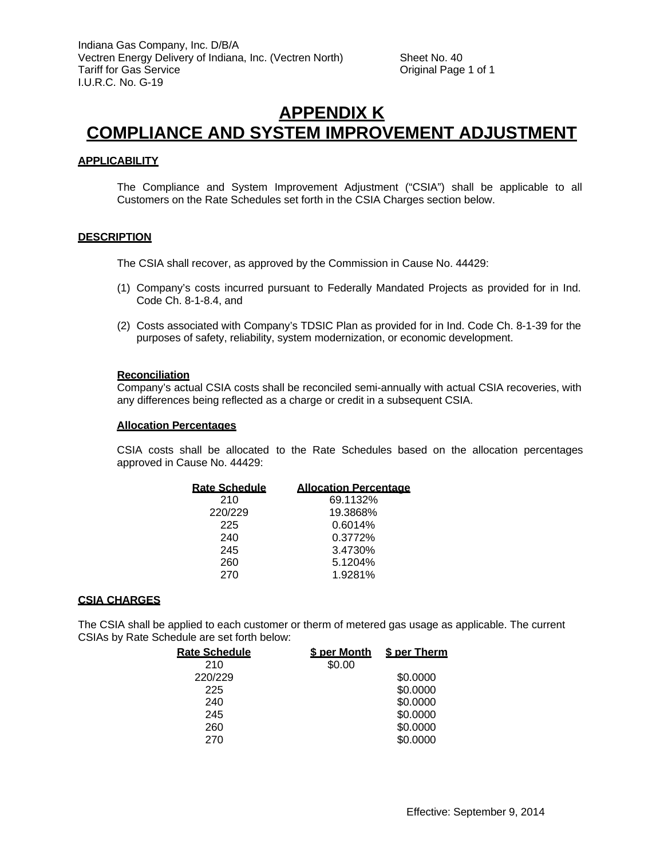### **APPENDIX K COMPLIANCE AND SYSTEM IMPROVEMENT ADJUSTMENT**

#### **APPLICABILITY**

The Compliance and System Improvement Adjustment ("CSIA") shall be applicable to all Customers on the Rate Schedules set forth in the CSIA Charges section below.

#### **DESCRIPTION**

The CSIA shall recover, as approved by the Commission in Cause No. 44429:

- (1) Company's costs incurred pursuant to Federally Mandated Projects as provided for in Ind. Code Ch. 8-1-8.4, and
- (2) Costs associated with Company's TDSIC Plan as provided for in Ind. Code Ch. 8-1-39 for the purposes of safety, reliability, system modernization, or economic development.

#### **Reconciliation**

Company's actual CSIA costs shall be reconciled semi-annually with actual CSIA recoveries, with any differences being reflected as a charge or credit in a subsequent CSIA.

#### **Allocation Percentages**

CSIA costs shall be allocated to the Rate Schedules based on the allocation percentages approved in Cause No. 44429:

| <b>Rate Schedule</b> | <b>Allocation Percentage</b> |
|----------------------|------------------------------|
| 210                  | 69.1132%                     |
| 220/229              | 19.3868%                     |
| 225                  | 0.6014%                      |
| 240                  | 0.3772%                      |
| 245                  | 3.4730%                      |
| 260                  | 5.1204%                      |
| 270                  | 1.9281%                      |

#### **CSIA CHARGES**

The CSIA shall be applied to each customer or therm of metered gas usage as applicable. The current CSIAs by Rate Schedule are set forth below:

| <b>Rate Schedule</b> | <b>\$ per Month</b> | <b>S</b> per Therm |
|----------------------|---------------------|--------------------|
| 210                  | \$0.00              |                    |
| 220/229              |                     | \$0.0000           |
| 225                  |                     | \$0.0000           |
| 240                  |                     | \$0.0000           |
| 245                  |                     | \$0.0000           |
| 260                  |                     | \$0.0000           |
| 270                  |                     | \$0.0000           |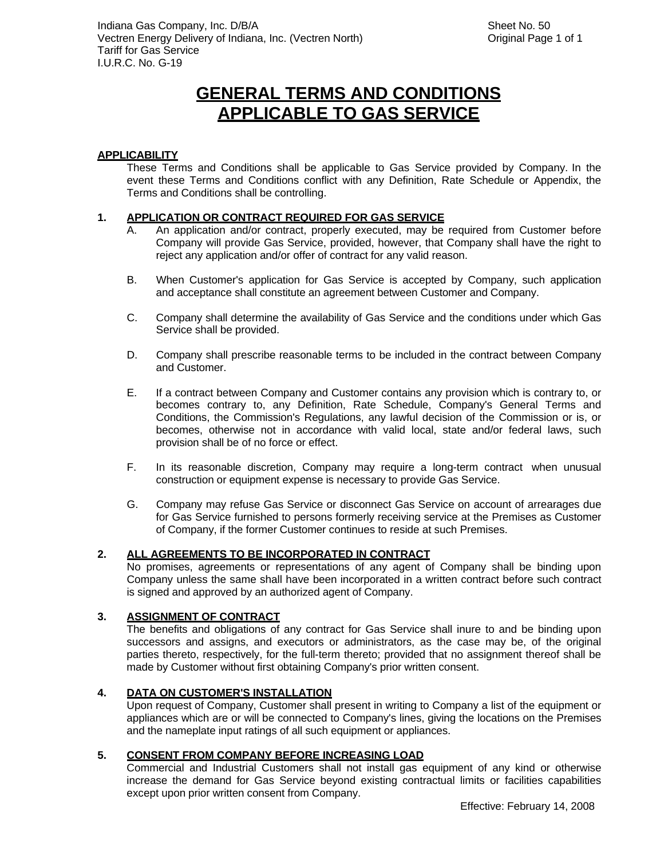# **GENERAL TERMS AND CONDITIONS APPLICABLE TO GAS SERVICE**

### **APPLICABILITY**

These Terms and Conditions shall be applicable to Gas Service provided by Company. In the event these Terms and Conditions conflict with any Definition, Rate Schedule or Appendix, the Terms and Conditions shall be controlling.

### **1. APPLICATION OR CONTRACT REQUIRED FOR GAS SERVICE**

- A. An application and/or contract, properly executed, may be required from Customer before Company will provide Gas Service, provided, however, that Company shall have the right to reject any application and/or offer of contract for any valid reason.
- B. When Customer's application for Gas Service is accepted by Company, such application and acceptance shall constitute an agreement between Customer and Company.
- C. Company shall determine the availability of Gas Service and the conditions under which Gas Service shall be provided.
- D. Company shall prescribe reasonable terms to be included in the contract between Company and Customer.
- E. If a contract between Company and Customer contains any provision which is contrary to, or becomes contrary to, any Definition, Rate Schedule, Company's General Terms and Conditions, the Commission's Regulations, any lawful decision of the Commission or is, or becomes, otherwise not in accordance with valid local, state and/or federal laws, such provision shall be of no force or effect.
- F. In its reasonable discretion, Company may require a long-term contract when unusual construction or equipment expense is necessary to provide Gas Service.
- G. Company may refuse Gas Service or disconnect Gas Service on account of arrearages due for Gas Service furnished to persons formerly receiving service at the Premises as Customer of Company, if the former Customer continues to reside at such Premises.

### **2. ALL AGREEMENTS TO BE INCORPORATED IN CONTRACT**

No promises, agreements or representations of any agent of Company shall be binding upon Company unless the same shall have been incorporated in a written contract before such contract is signed and approved by an authorized agent of Company.

### **3. ASSIGNMENT OF CONTRACT**

The benefits and obligations of any contract for Gas Service shall inure to and be binding upon successors and assigns, and executors or administrators, as the case may be, of the original parties thereto, respectively, for the full-term thereto; provided that no assignment thereof shall be made by Customer without first obtaining Company's prior written consent.

### **4. DATA ON CUSTOMER'S INSTALLATION**

Upon request of Company, Customer shall present in writing to Company a list of the equipment or appliances which are or will be connected to Company's lines, giving the locations on the Premises and the nameplate input ratings of all such equipment or appliances.

### **5. CONSENT FROM COMPANY BEFORE INCREASING LOAD**

Commercial and Industrial Customers shall not install gas equipment of any kind or otherwise increase the demand for Gas Service beyond existing contractual limits or facilities capabilities except upon prior written consent from Company.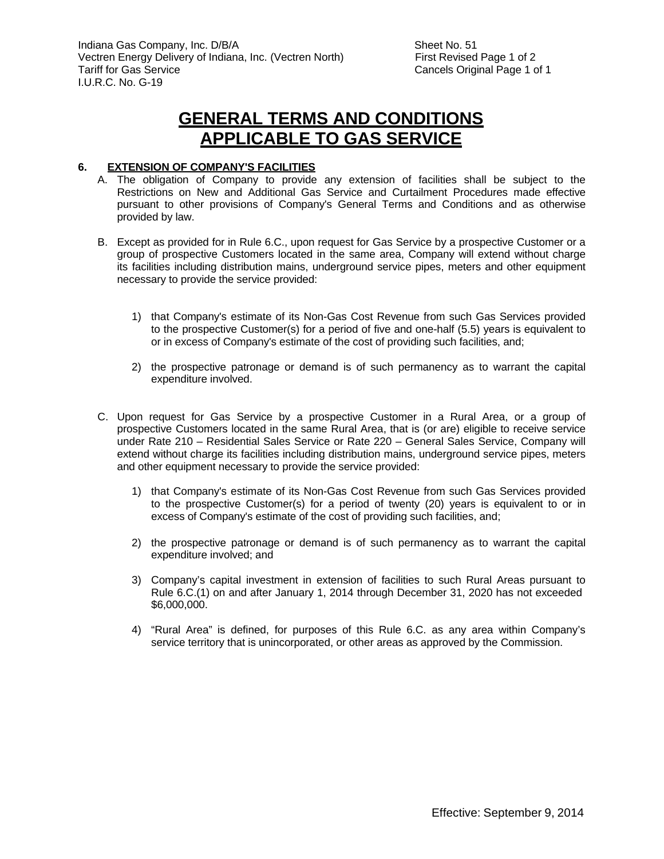### **GENERAL TERMS AND CONDITIONS APPLICABLE TO GAS SERVICE**

### **6. EXTENSION OF COMPANY'S FACILITIES**

- A. The obligation of Company to provide any extension of facilities shall be subject to the Restrictions on New and Additional Gas Service and Curtailment Procedures made effective pursuant to other provisions of Company's General Terms and Conditions and as otherwise provided by law.
- B. Except as provided for in Rule 6.C., upon request for Gas Service by a prospective Customer or a group of prospective Customers located in the same area, Company will extend without charge its facilities including distribution mains, underground service pipes, meters and other equipment necessary to provide the service provided:
	- 1) that Company's estimate of its Non-Gas Cost Revenue from such Gas Services provided to the prospective Customer(s) for a period of five and one-half (5.5) years is equivalent to or in excess of Company's estimate of the cost of providing such facilities, and;
	- 2) the prospective patronage or demand is of such permanency as to warrant the capital expenditure involved.
- C. Upon request for Gas Service by a prospective Customer in a Rural Area, or a group of prospective Customers located in the same Rural Area, that is (or are) eligible to receive service under Rate 210 – Residential Sales Service or Rate 220 – General Sales Service, Company will extend without charge its facilities including distribution mains, underground service pipes, meters and other equipment necessary to provide the service provided:
	- 1) that Company's estimate of its Non-Gas Cost Revenue from such Gas Services provided to the prospective Customer(s) for a period of twenty (20) years is equivalent to or in excess of Company's estimate of the cost of providing such facilities, and;
	- 2) the prospective patronage or demand is of such permanency as to warrant the capital expenditure involved; and
	- 3) Company's capital investment in extension of facilities to such Rural Areas pursuant to Rule 6.C.(1) on and after January 1, 2014 through December 31, 2020 has not exceeded \$6,000,000.
	- 4) "Rural Area" is defined, for purposes of this Rule 6.C. as any area within Company's service territory that is unincorporated, or other areas as approved by the Commission.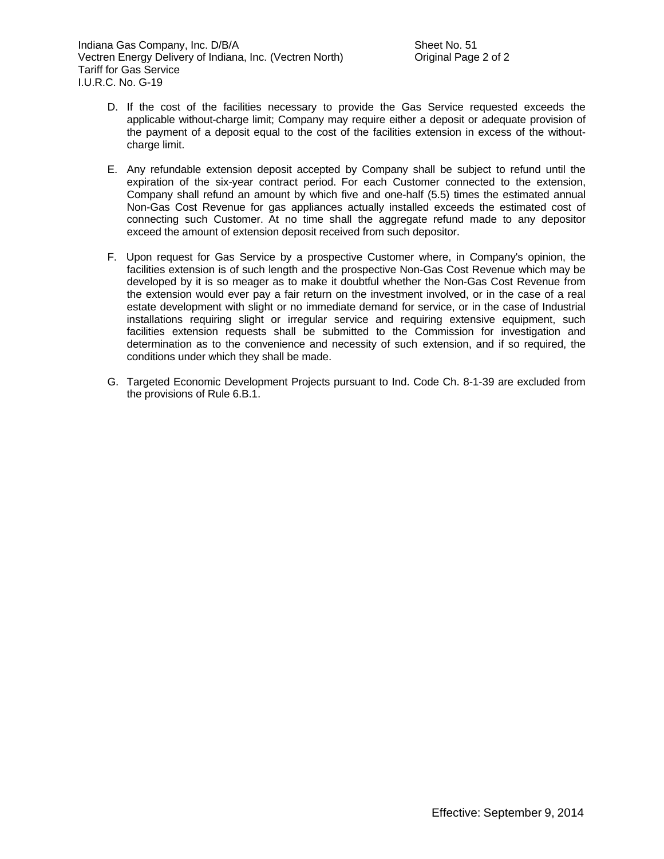- D. If the cost of the facilities necessary to provide the Gas Service requested exceeds the applicable without-charge limit; Company may require either a deposit or adequate provision of the payment of a deposit equal to the cost of the facilities extension in excess of the withoutcharge limit.
- E. Any refundable extension deposit accepted by Company shall be subject to refund until the expiration of the six-year contract period. For each Customer connected to the extension, Company shall refund an amount by which five and one-half (5.5) times the estimated annual Non-Gas Cost Revenue for gas appliances actually installed exceeds the estimated cost of connecting such Customer. At no time shall the aggregate refund made to any depositor exceed the amount of extension deposit received from such depositor.
- F. Upon request for Gas Service by a prospective Customer where, in Company's opinion, the facilities extension is of such length and the prospective Non-Gas Cost Revenue which may be developed by it is so meager as to make it doubtful whether the Non-Gas Cost Revenue from the extension would ever pay a fair return on the investment involved, or in the case of a real estate development with slight or no immediate demand for service, or in the case of Industrial installations requiring slight or irregular service and requiring extensive equipment, such facilities extension requests shall be submitted to the Commission for investigation and determination as to the convenience and necessity of such extension, and if so required, the conditions under which they shall be made.
- G. Targeted Economic Development Projects pursuant to Ind. Code Ch. 8-1-39 are excluded from the provisions of Rule 6.B.1.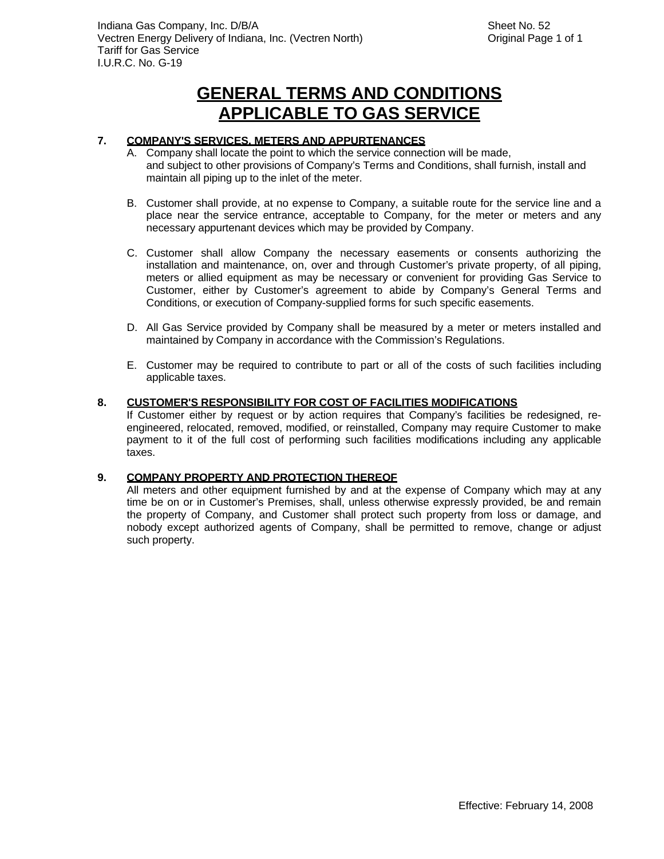## **GENERAL TERMS AND CONDITIONS APPLICABLE TO GAS SERVICE**

### **7. COMPANY'S SERVICES, METERS AND APPURTENANCES**

- A. Company shall locate the point to which the service connection will be made, and subject to other provisions of Company's Terms and Conditions, shall furnish, install and maintain all piping up to the inlet of the meter.
- B. Customer shall provide, at no expense to Company, a suitable route for the service line and a place near the service entrance, acceptable to Company, for the meter or meters and any necessary appurtenant devices which may be provided by Company.
- C. Customer shall allow Company the necessary easements or consents authorizing the installation and maintenance, on, over and through Customer's private property, of all piping, meters or allied equipment as may be necessary or convenient for providing Gas Service to Customer, either by Customer's agreement to abide by Company's General Terms and Conditions, or execution of Company-supplied forms for such specific easements.
- D. All Gas Service provided by Company shall be measured by a meter or meters installed and maintained by Company in accordance with the Commission's Regulations.
- E. Customer may be required to contribute to part or all of the costs of such facilities including applicable taxes.

#### **8. CUSTOMER'S RESPONSIBILITY FOR COST OF FACILITIES MODIFICATIONS**

If Customer either by request or by action requires that Company's facilities be redesigned, reengineered, relocated, removed, modified, or reinstalled, Company may require Customer to make payment to it of the full cost of performing such facilities modifications including any applicable taxes.

#### **9. COMPANY PROPERTY AND PROTECTION THEREOF**

All meters and other equipment furnished by and at the expense of Company which may at any time be on or in Customer's Premises, shall, unless otherwise expressly provided, be and remain the property of Company, and Customer shall protect such property from loss or damage, and nobody except authorized agents of Company, shall be permitted to remove, change or adjust such property.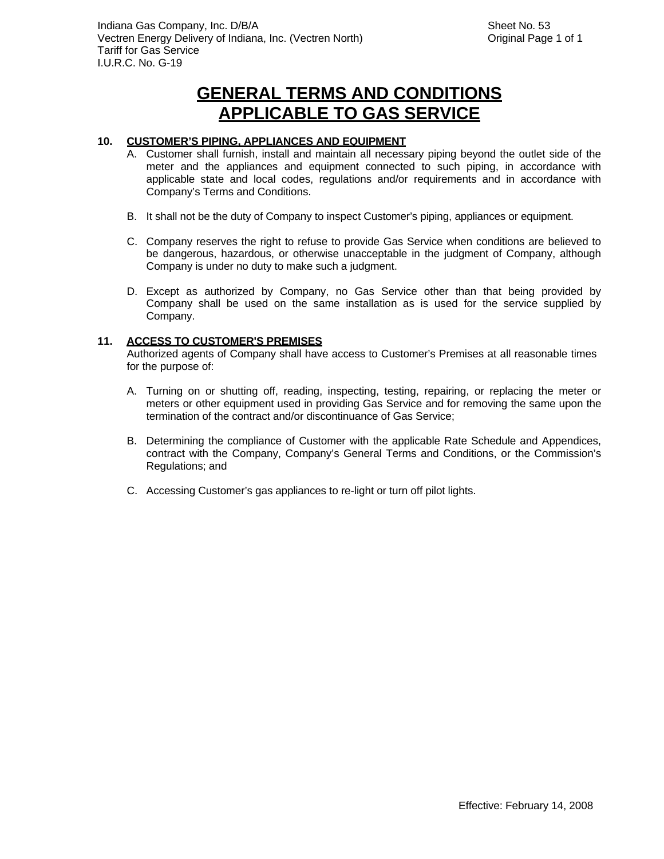### **10. CUSTOMER'S PIPING, APPLIANCES AND EQUIPMENT**

- A. Customer shall furnish, install and maintain all necessary piping beyond the outlet side of the meter and the appliances and equipment connected to such piping, in accordance with applicable state and local codes, regulations and/or requirements and in accordance with Company's Terms and Conditions.
- B. It shall not be the duty of Company to inspect Customer's piping, appliances or equipment.
- C. Company reserves the right to refuse to provide Gas Service when conditions are believed to be dangerous, hazardous, or otherwise unacceptable in the judgment of Company, although Company is under no duty to make such a judgment.
- D. Except as authorized by Company, no Gas Service other than that being provided by Company shall be used on the same installation as is used for the service supplied by Company.

### **11. ACCESS TO CUSTOMER'S PREMISES**

Authorized agents of Company shall have access to Customer's Premises at all reasonable times for the purpose of:

- A. Turning on or shutting off, reading, inspecting, testing, repairing, or replacing the meter or meters or other equipment used in providing Gas Service and for removing the same upon the termination of the contract and/or discontinuance of Gas Service;
- B. Determining the compliance of Customer with the applicable Rate Schedule and Appendices, contract with the Company, Company's General Terms and Conditions, or the Commission's Regulations; and
- C. Accessing Customer's gas appliances to re-light or turn off pilot lights.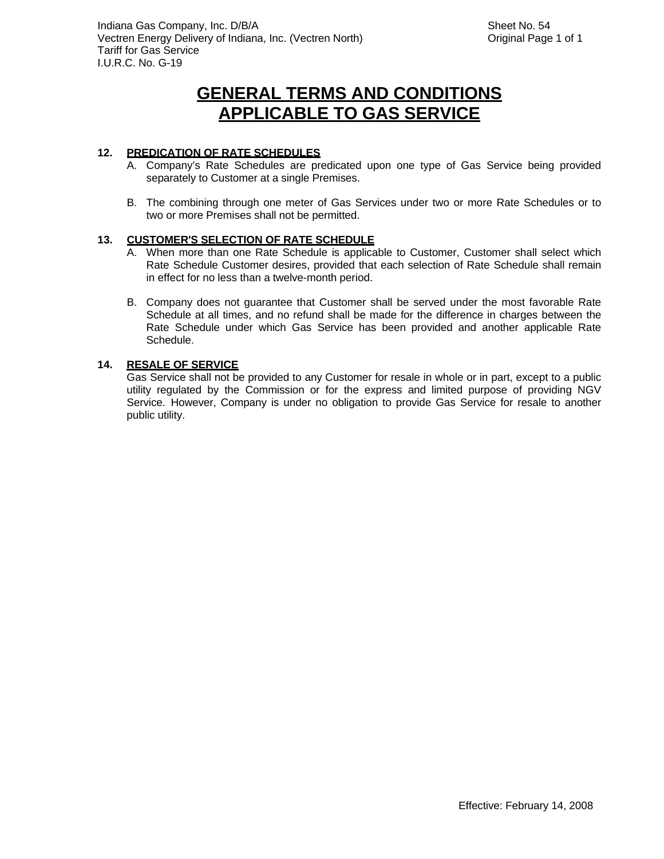### **12. PREDICATION OF RATE SCHEDULES**

- A. Company's Rate Schedules are predicated upon one type of Gas Service being provided separately to Customer at a single Premises.
- B. The combining through one meter of Gas Services under two or more Rate Schedules or to two or more Premises shall not be permitted.

#### **13. CUSTOMER'S SELECTION OF RATE SCHEDULE**

- A. When more than one Rate Schedule is applicable to Customer, Customer shall select which Rate Schedule Customer desires, provided that each selection of Rate Schedule shall remain in effect for no less than a twelve-month period.
- B. Company does not guarantee that Customer shall be served under the most favorable Rate Schedule at all times, and no refund shall be made for the difference in charges between the Rate Schedule under which Gas Service has been provided and another applicable Rate Schedule.

#### **14. RESALE OF SERVICE**

Gas Service shall not be provided to any Customer for resale in whole or in part, except to a public utility regulated by the Commission or for the express and limited purpose of providing NGV Service. However, Company is under no obligation to provide Gas Service for resale to another public utility.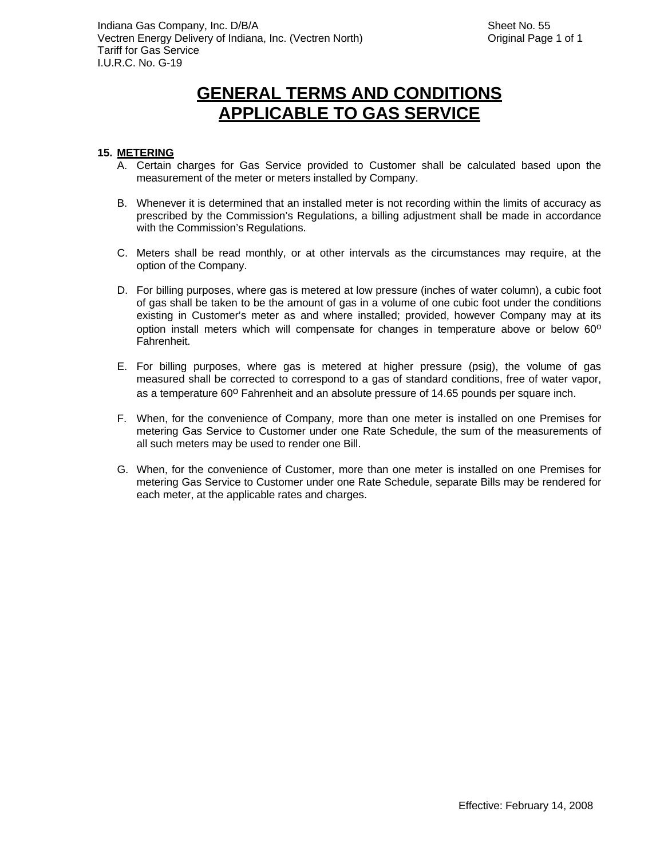### **15. METERING**

- A. Certain charges for Gas Service provided to Customer shall be calculated based upon the measurement of the meter or meters installed by Company.
- B. Whenever it is determined that an installed meter is not recording within the limits of accuracy as prescribed by the Commission's Regulations, a billing adjustment shall be made in accordance with the Commission's Regulations.
- C. Meters shall be read monthly, or at other intervals as the circumstances may require, at the option of the Company.
- D. For billing purposes, where gas is metered at low pressure (inches of water column), a cubic foot of gas shall be taken to be the amount of gas in a volume of one cubic foot under the conditions existing in Customer's meter as and where installed; provided, however Company may at its option install meters which will compensate for changes in temperature above or below  $60^{\circ}$ Fahrenheit.
- E. For billing purposes, where gas is metered at higher pressure (psig), the volume of gas measured shall be corrected to correspond to a gas of standard conditions, free of water vapor, as a temperature 60° Fahrenheit and an absolute pressure of 14.65 pounds per square inch.
- F. When, for the convenience of Company, more than one meter is installed on one Premises for metering Gas Service to Customer under one Rate Schedule, the sum of the measurements of all such meters may be used to render one Bill.
- G. When, for the convenience of Customer, more than one meter is installed on one Premises for metering Gas Service to Customer under one Rate Schedule, separate Bills may be rendered for each meter, at the applicable rates and charges.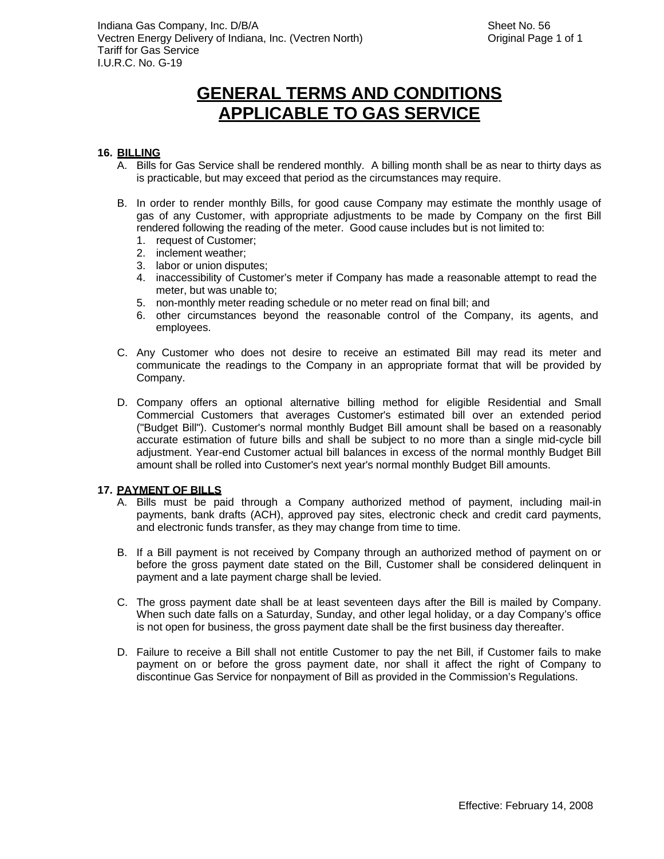### **16. BILLING**

- A. Bills for Gas Service shall be rendered monthly. A billing month shall be as near to thirty days as is practicable, but may exceed that period as the circumstances may require.
- B. In order to render monthly Bills, for good cause Company may estimate the monthly usage of gas of any Customer, with appropriate adjustments to be made by Company on the first Bill rendered following the reading of the meter. Good cause includes but is not limited to:
	- 1. request of Customer;
	- 2. inclement weather;
	- 3. labor or union disputes;
	- 4. inaccessibility of Customer's meter if Company has made a reasonable attempt to read the meter, but was unable to;
	- 5. non-monthly meter reading schedule or no meter read on final bill; and
	- 6. other circumstances beyond the reasonable control of the Company, its agents, and employees.
- C. Any Customer who does not desire to receive an estimated Bill may read its meter and communicate the readings to the Company in an appropriate format that will be provided by Company.
- D. Company offers an optional alternative billing method for eligible Residential and Small Commercial Customers that averages Customer's estimated bill over an extended period ("Budget Bill"). Customer's normal monthly Budget Bill amount shall be based on a reasonably accurate estimation of future bills and shall be subject to no more than a single mid-cycle bill adjustment. Year-end Customer actual bill balances in excess of the normal monthly Budget Bill amount shall be rolled into Customer's next year's normal monthly Budget Bill amounts.

#### **17. PAYMENT OF BILLS**

- A. Bills must be paid through a Company authorized method of payment, including mail-in payments, bank drafts (ACH), approved pay sites, electronic check and credit card payments, and electronic funds transfer, as they may change from time to time.
- B. If a Bill payment is not received by Company through an authorized method of payment on or before the gross payment date stated on the Bill, Customer shall be considered delinquent in payment and a late payment charge shall be levied.
- C. The gross payment date shall be at least seventeen days after the Bill is mailed by Company. When such date falls on a Saturday, Sunday, and other legal holiday, or a day Company's office is not open for business, the gross payment date shall be the first business day thereafter.
- D. Failure to receive a Bill shall not entitle Customer to pay the net Bill, if Customer fails to make payment on or before the gross payment date, nor shall it affect the right of Company to discontinue Gas Service for nonpayment of Bill as provided in the Commission's Regulations.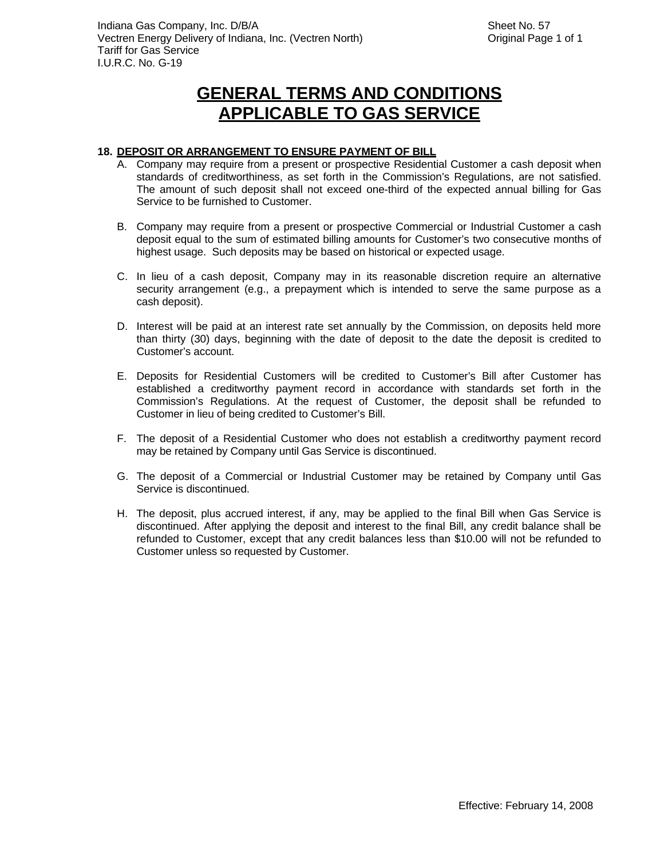#### **18. DEPOSIT OR ARRANGEMENT TO ENSURE PAYMENT OF BILL**

- A. Company may require from a present or prospective Residential Customer a cash deposit when standards of creditworthiness, as set forth in the Commission's Regulations, are not satisfied. The amount of such deposit shall not exceed one-third of the expected annual billing for Gas Service to be furnished to Customer.
- B. Company may require from a present or prospective Commercial or Industrial Customer a cash deposit equal to the sum of estimated billing amounts for Customer's two consecutive months of highest usage. Such deposits may be based on historical or expected usage.
- C. In lieu of a cash deposit, Company may in its reasonable discretion require an alternative security arrangement (e.g., a prepayment which is intended to serve the same purpose as a cash deposit).
- D. Interest will be paid at an interest rate set annually by the Commission, on deposits held more than thirty (30) days, beginning with the date of deposit to the date the deposit is credited to Customer's account.
- E. Deposits for Residential Customers will be credited to Customer's Bill after Customer has established a creditworthy payment record in accordance with standards set forth in the Commission's Regulations. At the request of Customer, the deposit shall be refunded to Customer in lieu of being credited to Customer's Bill.
- F. The deposit of a Residential Customer who does not establish a creditworthy payment record may be retained by Company until Gas Service is discontinued.
- G. The deposit of a Commercial or Industrial Customer may be retained by Company until Gas Service is discontinued.
- H. The deposit, plus accrued interest, if any, may be applied to the final Bill when Gas Service is discontinued. After applying the deposit and interest to the final Bill, any credit balance shall be refunded to Customer, except that any credit balances less than \$10.00 will not be refunded to Customer unless so requested by Customer.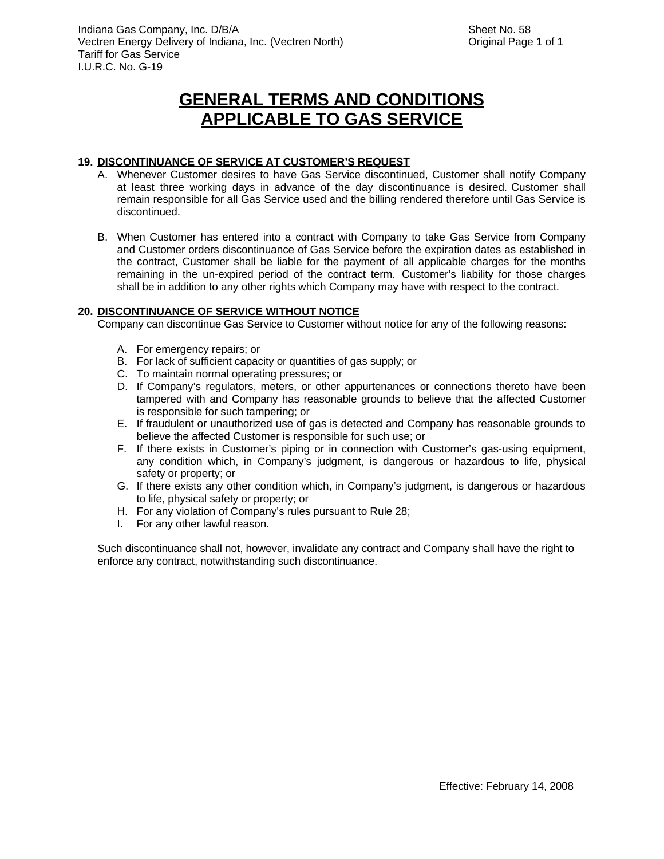### **19. DISCONTINUANCE OF SERVICE AT CUSTOMER'S REQUEST**

- A. Whenever Customer desires to have Gas Service discontinued, Customer shall notify Company at least three working days in advance of the day discontinuance is desired. Customer shall remain responsible for all Gas Service used and the billing rendered therefore until Gas Service is discontinued.
- B. When Customer has entered into a contract with Company to take Gas Service from Company and Customer orders discontinuance of Gas Service before the expiration dates as established in the contract, Customer shall be liable for the payment of all applicable charges for the months remaining in the un-expired period of the contract term. Customer's liability for those charges shall be in addition to any other rights which Company may have with respect to the contract.

#### **20. DISCONTINUANCE OF SERVICE WITHOUT NOTICE**

Company can discontinue Gas Service to Customer without notice for any of the following reasons:

- A. For emergency repairs; or
- B. For lack of sufficient capacity or quantities of gas supply; or
- C. To maintain normal operating pressures; or
- D. If Company's regulators, meters, or other appurtenances or connections thereto have been tampered with and Company has reasonable grounds to believe that the affected Customer is responsible for such tampering; or
- E. If fraudulent or unauthorized use of gas is detected and Company has reasonable grounds to believe the affected Customer is responsible for such use; or
- F. If there exists in Customer's piping or in connection with Customer's gas-using equipment, any condition which, in Company's judgment, is dangerous or hazardous to life, physical safety or property; or
- G. If there exists any other condition which, in Company's judgment, is dangerous or hazardous to life, physical safety or property; or
- H. For any violation of Company's rules pursuant to Rule 28;
- I. For any other lawful reason.

Such discontinuance shall not, however, invalidate any contract and Company shall have the right to enforce any contract, notwithstanding such discontinuance.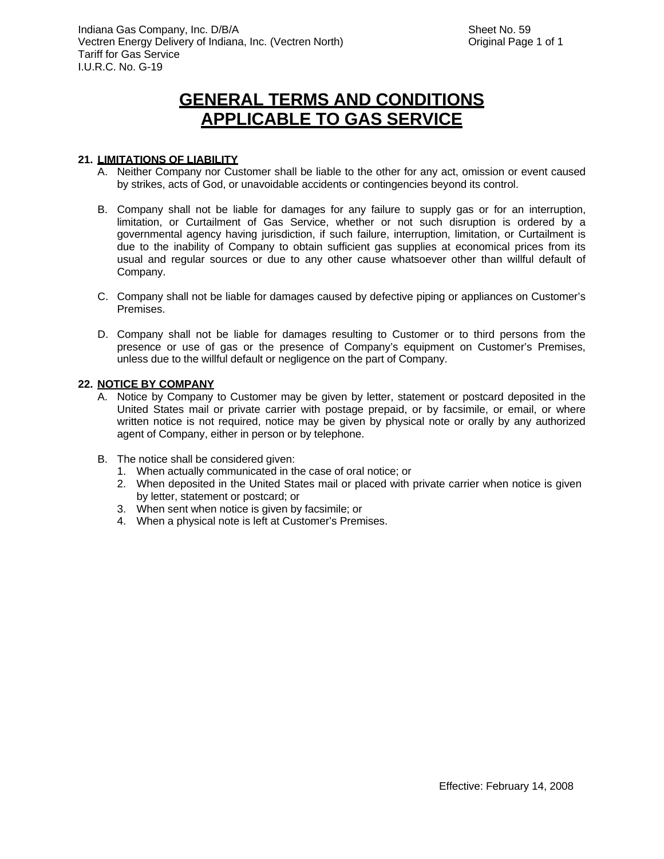#### **21. LIMITATIONS OF LIABILITY**

- A. Neither Company nor Customer shall be liable to the other for any act, omission or event caused by strikes, acts of God, or unavoidable accidents or contingencies beyond its control.
- B. Company shall not be liable for damages for any failure to supply gas or for an interruption, limitation, or Curtailment of Gas Service, whether or not such disruption is ordered by a governmental agency having jurisdiction, if such failure, interruption, limitation, or Curtailment is due to the inability of Company to obtain sufficient gas supplies at economical prices from its usual and regular sources or due to any other cause whatsoever other than willful default of Company.
- C. Company shall not be liable for damages caused by defective piping or appliances on Customer's Premises.
- D. Company shall not be liable for damages resulting to Customer or to third persons from the presence or use of gas or the presence of Company's equipment on Customer's Premises, unless due to the willful default or negligence on the part of Company.

#### **22. NOTICE BY COMPANY**

- A. Notice by Company to Customer may be given by letter, statement or postcard deposited in the United States mail or private carrier with postage prepaid, or by facsimile, or email, or where written notice is not required, notice may be given by physical note or orally by any authorized agent of Company, either in person or by telephone.
- B. The notice shall be considered given:
	- 1. When actually communicated in the case of oral notice; or
	- 2. When deposited in the United States mail or placed with private carrier when notice is given by letter, statement or postcard; or
	- 3. When sent when notice is given by facsimile; or
	- 4. When a physical note is left at Customer's Premises.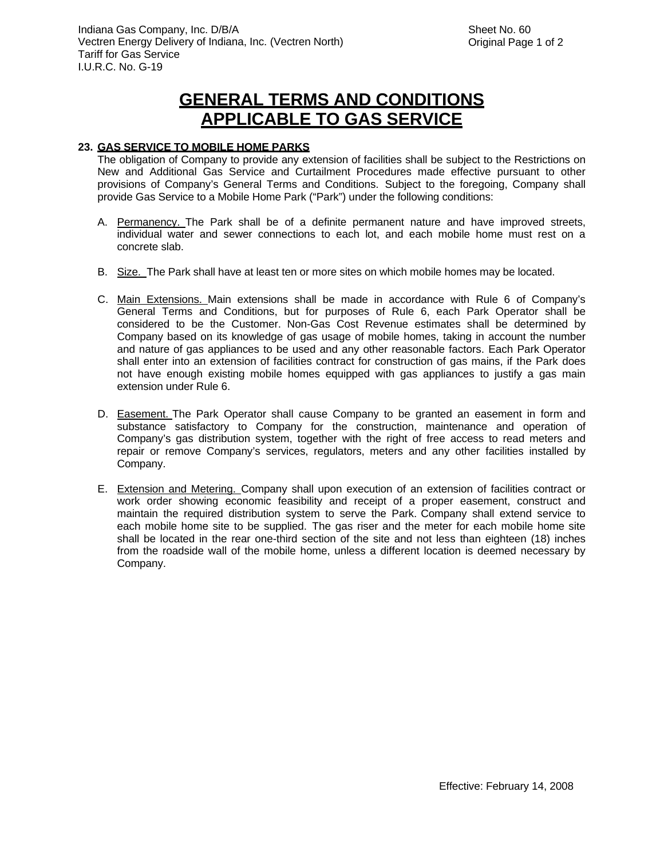### **23. GAS SERVICE TO MOBILE HOME PARKS**

The obligation of Company to provide any extension of facilities shall be subject to the Restrictions on New and Additional Gas Service and Curtailment Procedures made effective pursuant to other provisions of Company's General Terms and Conditions. Subject to the foregoing, Company shall provide Gas Service to a Mobile Home Park ("Park") under the following conditions:

- A. Permanency. The Park shall be of a definite permanent nature and have improved streets, individual water and sewer connections to each lot, and each mobile home must rest on a concrete slab.
- B. Size. The Park shall have at least ten or more sites on which mobile homes may be located.
- C. Main Extensions. Main extensions shall be made in accordance with Rule 6 of Company's General Terms and Conditions, but for purposes of Rule 6, each Park Operator shall be considered to be the Customer. Non-Gas Cost Revenue estimates shall be determined by Company based on its knowledge of gas usage of mobile homes, taking in account the number and nature of gas appliances to be used and any other reasonable factors. Each Park Operator shall enter into an extension of facilities contract for construction of gas mains, if the Park does not have enough existing mobile homes equipped with gas appliances to justify a gas main extension under Rule 6.
- D. Easement. The Park Operator shall cause Company to be granted an easement in form and substance satisfactory to Company for the construction, maintenance and operation of Company's gas distribution system, together with the right of free access to read meters and repair or remove Company's services, regulators, meters and any other facilities installed by Company.
- E. Extension and Metering. Company shall upon execution of an extension of facilities contract or work order showing economic feasibility and receipt of a proper easement, construct and maintain the required distribution system to serve the Park. Company shall extend service to each mobile home site to be supplied. The gas riser and the meter for each mobile home site shall be located in the rear one-third section of the site and not less than eighteen (18) inches from the roadside wall of the mobile home, unless a different location is deemed necessary by Company.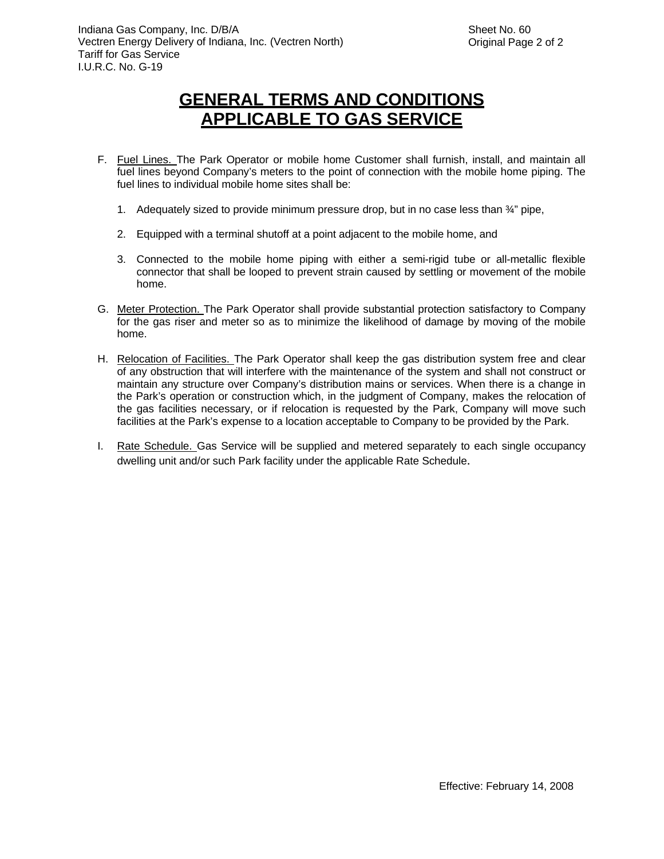- F. Fuel Lines. The Park Operator or mobile home Customer shall furnish, install, and maintain all fuel lines beyond Company's meters to the point of connection with the mobile home piping. The fuel lines to individual mobile home sites shall be:
	- 1. Adequately sized to provide minimum pressure drop, but in no case less than  $\frac{3}{4}$ " pipe,
	- 2. Equipped with a terminal shutoff at a point adjacent to the mobile home, and
	- 3. Connected to the mobile home piping with either a semi-rigid tube or all-metallic flexible connector that shall be looped to prevent strain caused by settling or movement of the mobile home.
- G. Meter Protection. The Park Operator shall provide substantial protection satisfactory to Company for the gas riser and meter so as to minimize the likelihood of damage by moving of the mobile home.
- H. Relocation of Facilities. The Park Operator shall keep the gas distribution system free and clear of any obstruction that will interfere with the maintenance of the system and shall not construct or maintain any structure over Company's distribution mains or services. When there is a change in the Park's operation or construction which, in the judgment of Company, makes the relocation of the gas facilities necessary, or if relocation is requested by the Park, Company will move such facilities at the Park's expense to a location acceptable to Company to be provided by the Park.
- I. Rate Schedule. Gas Service will be supplied and metered separately to each single occupancy dwelling unit and/or such Park facility under the applicable Rate Schedule.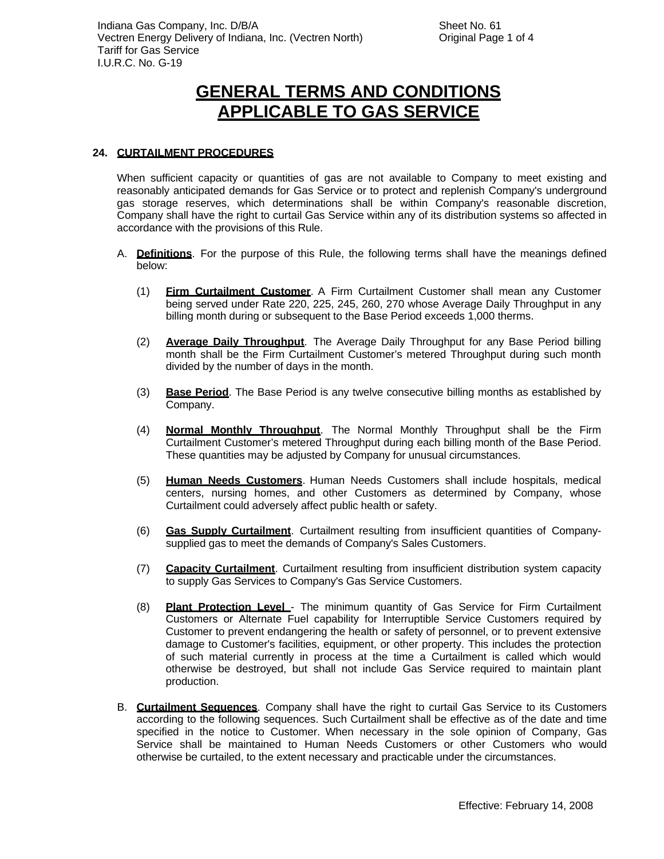### **24. CURTAILMENT PROCEDURES**

When sufficient capacity or quantities of gas are not available to Company to meet existing and reasonably anticipated demands for Gas Service or to protect and replenish Company's underground gas storage reserves, which determinations shall be within Company's reasonable discretion, Company shall have the right to curtail Gas Service within any of its distribution systems so affected in accordance with the provisions of this Rule.

- A. **Definitions**. For the purpose of this Rule, the following terms shall have the meanings defined below:
	- (1) **Firm Curtailment Customer**. A Firm Curtailment Customer shall mean any Customer being served under Rate 220, 225, 245, 260, 270 whose Average Daily Throughput in any billing month during or subsequent to the Base Period exceeds 1,000 therms.
	- (2) **Average Daily Throughput**. The Average Daily Throughput for any Base Period billing month shall be the Firm Curtailment Customer's metered Throughput during such month divided by the number of days in the month.
	- (3) **Base Period**. The Base Period is any twelve consecutive billing months as established by Company.
	- (4) **Normal Monthly Throughput**. The Normal Monthly Throughput shall be the Firm Curtailment Customer's metered Throughput during each billing month of the Base Period. These quantities may be adjusted by Company for unusual circumstances.
	- (5) **Human Needs Customers**. Human Needs Customers shall include hospitals, medical centers, nursing homes, and other Customers as determined by Company, whose Curtailment could adversely affect public health or safety.
	- (6) **Gas Supply Curtailment**. Curtailment resulting from insufficient quantities of Companysupplied gas to meet the demands of Company's Sales Customers.
	- (7) **Capacity Curtailment**. Curtailment resulting from insufficient distribution system capacity to supply Gas Services to Company's Gas Service Customers.
	- (8) **Plant Protection Level**  The minimum quantity of Gas Service for Firm Curtailment Customers or Alternate Fuel capability for Interruptible Service Customers required by Customer to prevent endangering the health or safety of personnel, or to prevent extensive damage to Customer's facilities, equipment, or other property. This includes the protection of such material currently in process at the time a Curtailment is called which would otherwise be destroyed, but shall not include Gas Service required to maintain plant production.
- B. **Curtailment Sequences**. Company shall have the right to curtail Gas Service to its Customers according to the following sequences. Such Curtailment shall be effective as of the date and time specified in the notice to Customer. When necessary in the sole opinion of Company, Gas Service shall be maintained to Human Needs Customers or other Customers who would otherwise be curtailed, to the extent necessary and practicable under the circumstances.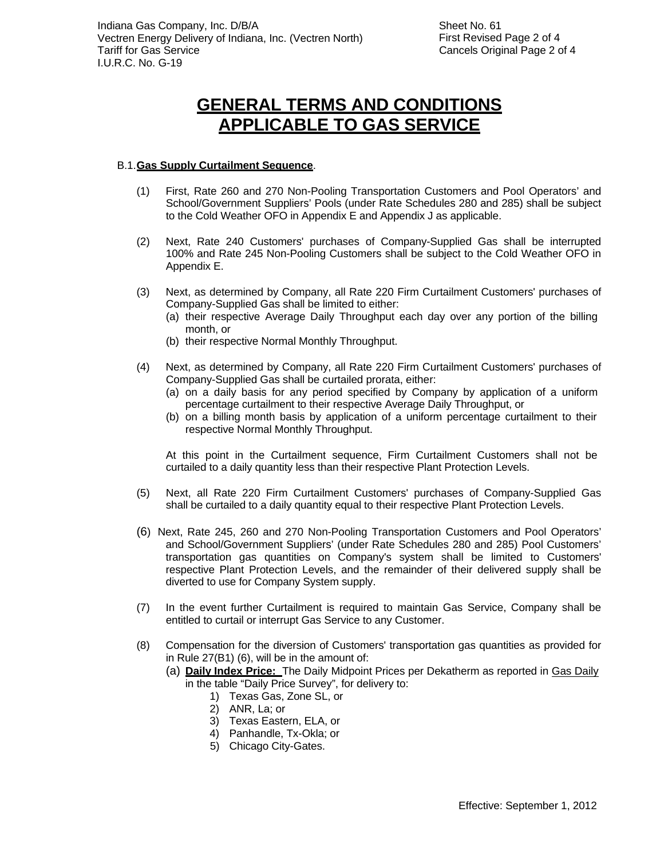#### B.1. **Gas Supply Curtailment Sequence**.

- (1) First, Rate 260 and 270 Non-Pooling Transportation Customers and Pool Operators' and School/Government Suppliers' Pools (under Rate Schedules 280 and 285) shall be subject to the Cold Weather OFO in Appendix E and Appendix J as applicable.
- (2) Next, Rate 240 Customers' purchases of Company-Supplied Gas shall be interrupted 100% and Rate 245 Non-Pooling Customers shall be subject to the Cold Weather OFO in Appendix E.
- (3) Next, as determined by Company, all Rate 220 Firm Curtailment Customers' purchases of Company-Supplied Gas shall be limited to either:
	- (a) their respective Average Daily Throughput each day over any portion of the billing month, or
	- (b) their respective Normal Monthly Throughput.
- (4) Next, as determined by Company, all Rate 220 Firm Curtailment Customers' purchases of Company-Supplied Gas shall be curtailed prorata, either:
	- (a) on a daily basis for any period specified by Company by application of a uniform percentage curtailment to their respective Average Daily Throughput, or
	- (b) on a billing month basis by application of a uniform percentage curtailment to their respective Normal Monthly Throughput.

At this point in the Curtailment sequence, Firm Curtailment Customers shall not be curtailed to a daily quantity less than their respective Plant Protection Levels.

- (5) Next, all Rate 220 Firm Curtailment Customers' purchases of Company-Supplied Gas shall be curtailed to a daily quantity equal to their respective Plant Protection Levels.
- (6) Next, Rate 245, 260 and 270 Non-Pooling Transportation Customers and Pool Operators' and School/Government Suppliers' (under Rate Schedules 280 and 285) Pool Customers' transportation gas quantities on Company's system shall be limited to Customers' respective Plant Protection Levels, and the remainder of their delivered supply shall be diverted to use for Company System supply.
- (7) In the event further Curtailment is required to maintain Gas Service, Company shall be entitled to curtail or interrupt Gas Service to any Customer.
- (8) Compensation for the diversion of Customers' transportation gas quantities as provided for in Rule 27(B1) (6), will be in the amount of:
	- (a) **Daily Index Price:** The Daily Midpoint Prices per Dekatherm as reported in Gas Daily in the table "Daily Price Survey", for delivery to:
		- 1) Texas Gas, Zone SL, or
		- 2) ANR, La; or
		- 3) Texas Eastern, ELA, or
		- 4) Panhandle, Tx-Okla; or
		- 5) Chicago City-Gates.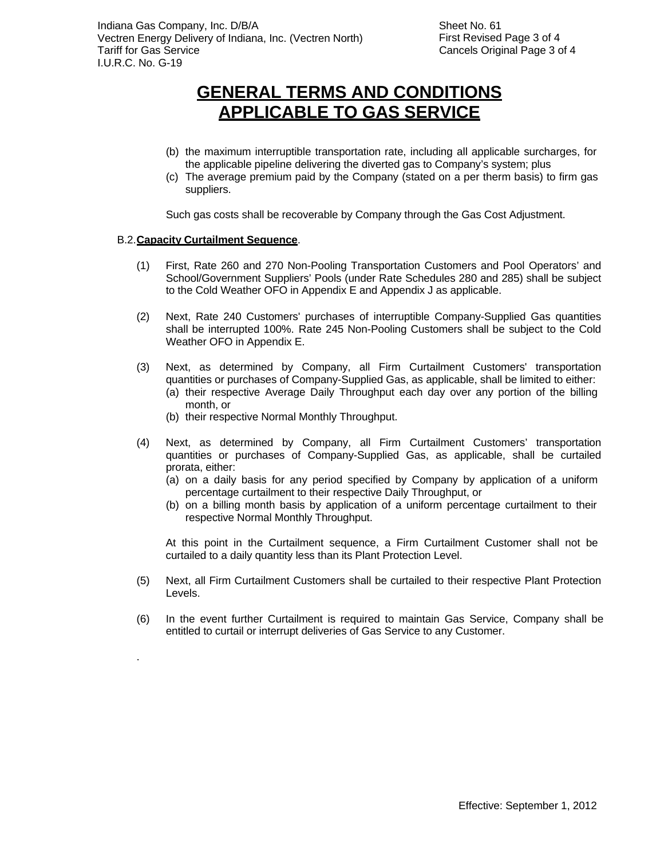- (b) the maximum interruptible transportation rate, including all applicable surcharges, for the applicable pipeline delivering the diverted gas to Company's system; plus
- (c) The average premium paid by the Company (stated on a per therm basis) to firm gas suppliers.

Such gas costs shall be recoverable by Company through the Gas Cost Adjustment.

#### B.2. **Capacity Curtailment Sequence**.

.

- (1) First, Rate 260 and 270 Non-Pooling Transportation Customers and Pool Operators' and School/Government Suppliers' Pools (under Rate Schedules 280 and 285) shall be subject to the Cold Weather OFO in Appendix E and Appendix J as applicable.
- (2) Next, Rate 240 Customers' purchases of interruptible Company-Supplied Gas quantities shall be interrupted 100%. Rate 245 Non-Pooling Customers shall be subject to the Cold Weather OFO in Appendix E.
- (3) Next, as determined by Company, all Firm Curtailment Customers' transportation quantities or purchases of Company-Supplied Gas, as applicable, shall be limited to either:
	- (a) their respective Average Daily Throughput each day over any portion of the billing month, or
	- (b) their respective Normal Monthly Throughput.
- (4) Next, as determined by Company, all Firm Curtailment Customers' transportation quantities or purchases of Company-Supplied Gas, as applicable, shall be curtailed prorata, either:
	- (a) on a daily basis for any period specified by Company by application of a uniform percentage curtailment to their respective Daily Throughput, or
	- (b) on a billing month basis by application of a uniform percentage curtailment to their respective Normal Monthly Throughput.

At this point in the Curtailment sequence, a Firm Curtailment Customer shall not be curtailed to a daily quantity less than its Plant Protection Level.

- (5) Next, all Firm Curtailment Customers shall be curtailed to their respective Plant Protection Levels.
- (6) In the event further Curtailment is required to maintain Gas Service, Company shall be entitled to curtail or interrupt deliveries of Gas Service to any Customer.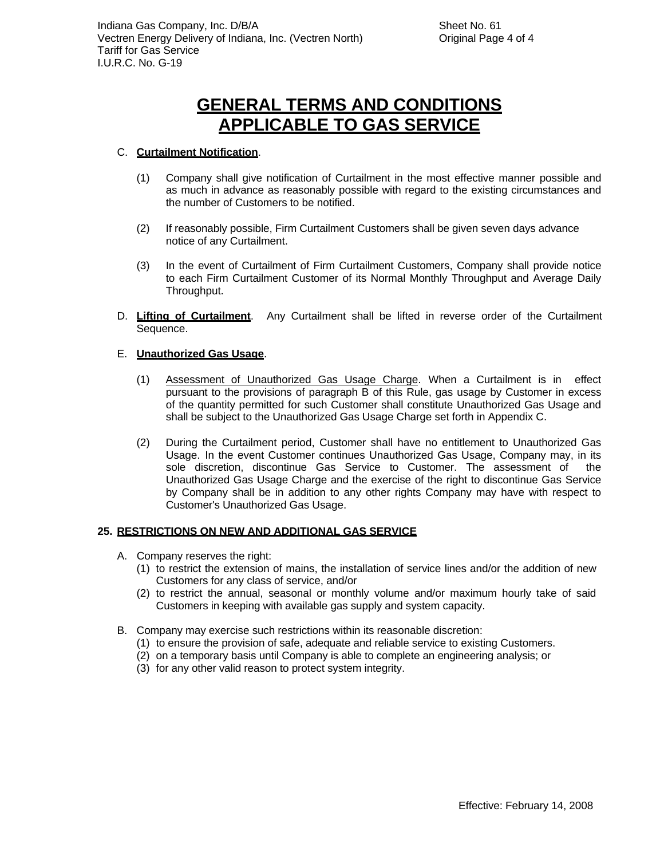### C. **Curtailment Notification**.

- (1) Company shall give notification of Curtailment in the most effective manner possible and as much in advance as reasonably possible with regard to the existing circumstances and the number of Customers to be notified.
- (2) If reasonably possible, Firm Curtailment Customers shall be given seven days advance notice of any Curtailment.
- (3) In the event of Curtailment of Firm Curtailment Customers, Company shall provide notice to each Firm Curtailment Customer of its Normal Monthly Throughput and Average Daily Throughput.
- D. **Lifting of Curtailment**. Any Curtailment shall be lifted in reverse order of the Curtailment Sequence.

### E. **Unauthorized Gas Usage**.

- (1) Assessment of Unauthorized Gas Usage Charge. When a Curtailment is in effect pursuant to the provisions of paragraph B of this Rule, gas usage by Customer in excess of the quantity permitted for such Customer shall constitute Unauthorized Gas Usage and shall be subject to the Unauthorized Gas Usage Charge set forth in Appendix C.
- (2) During the Curtailment period, Customer shall have no entitlement to Unauthorized Gas Usage. In the event Customer continues Unauthorized Gas Usage, Company may, in its sole discretion, discontinue Gas Service to Customer. The assessment of the Unauthorized Gas Usage Charge and the exercise of the right to discontinue Gas Service by Company shall be in addition to any other rights Company may have with respect to Customer's Unauthorized Gas Usage.

#### **25. RESTRICTIONS ON NEW AND ADDITIONAL GAS SERVICE**

- A. Company reserves the right:
	- (1) to restrict the extension of mains, the installation of service lines and/or the addition of new Customers for any class of service, and/or
	- (2) to restrict the annual, seasonal or monthly volume and/or maximum hourly take of said Customers in keeping with available gas supply and system capacity.
- B. Company may exercise such restrictions within its reasonable discretion:
	- (1) to ensure the provision of safe, adequate and reliable service to existing Customers.
	- (2) on a temporary basis until Company is able to complete an engineering analysis; or
	- (3) for any other valid reason to protect system integrity.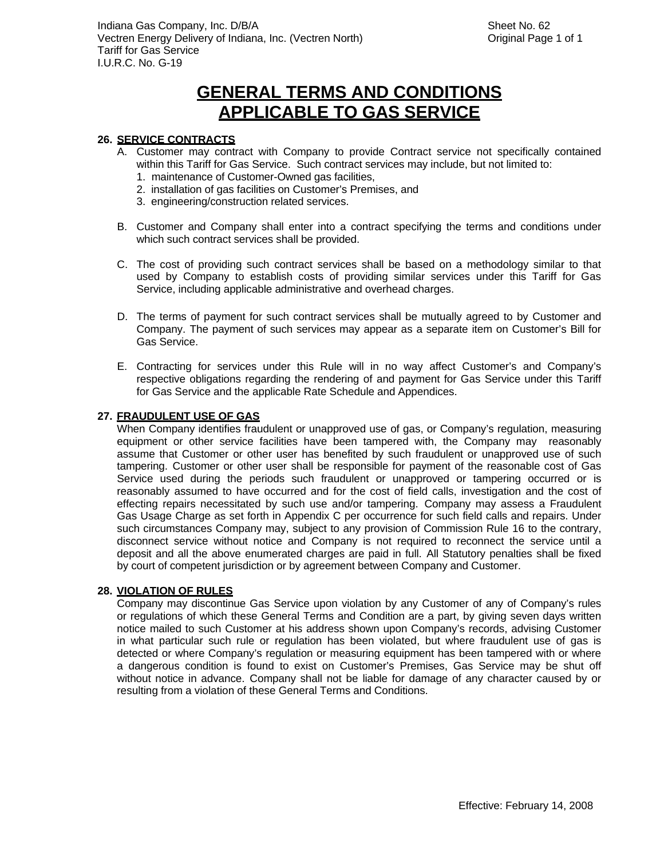#### **26. SERVICE CONTRACTS**

- A. Customer may contract with Company to provide Contract service not specifically contained within this Tariff for Gas Service. Such contract services may include, but not limited to:
	- 1. maintenance of Customer-Owned gas facilities,
	- 2. installation of gas facilities on Customer's Premises, and
	- 3. engineering/construction related services.
- B. Customer and Company shall enter into a contract specifying the terms and conditions under which such contract services shall be provided.
- C. The cost of providing such contract services shall be based on a methodology similar to that used by Company to establish costs of providing similar services under this Tariff for Gas Service, including applicable administrative and overhead charges.
- D. The terms of payment for such contract services shall be mutually agreed to by Customer and Company. The payment of such services may appear as a separate item on Customer's Bill for Gas Service.
- E. Contracting for services under this Rule will in no way affect Customer's and Company's respective obligations regarding the rendering of and payment for Gas Service under this Tariff for Gas Service and the applicable Rate Schedule and Appendices.

#### **27. FRAUDULENT USE OF GAS**

When Company identifies fraudulent or unapproved use of gas, or Company's regulation, measuring equipment or other service facilities have been tampered with, the Company may reasonably assume that Customer or other user has benefited by such fraudulent or unapproved use of such tampering. Customer or other user shall be responsible for payment of the reasonable cost of Gas Service used during the periods such fraudulent or unapproved or tampering occurred or is reasonably assumed to have occurred and for the cost of field calls, investigation and the cost of effecting repairs necessitated by such use and/or tampering. Company may assess a Fraudulent Gas Usage Charge as set forth in Appendix C per occurrence for such field calls and repairs. Under such circumstances Company may, subject to any provision of Commission Rule 16 to the contrary, disconnect service without notice and Company is not required to reconnect the service until a deposit and all the above enumerated charges are paid in full. All Statutory penalties shall be fixed by court of competent jurisdiction or by agreement between Company and Customer.

#### **28. VIOLATION OF RULES**

Company may discontinue Gas Service upon violation by any Customer of any of Company's rules or regulations of which these General Terms and Condition are a part, by giving seven days written notice mailed to such Customer at his address shown upon Company's records, advising Customer in what particular such rule or regulation has been violated, but where fraudulent use of gas is detected or where Company's regulation or measuring equipment has been tampered with or where a dangerous condition is found to exist on Customer's Premises, Gas Service may be shut off without notice in advance. Company shall not be liable for damage of any character caused by or resulting from a violation of these General Terms and Conditions.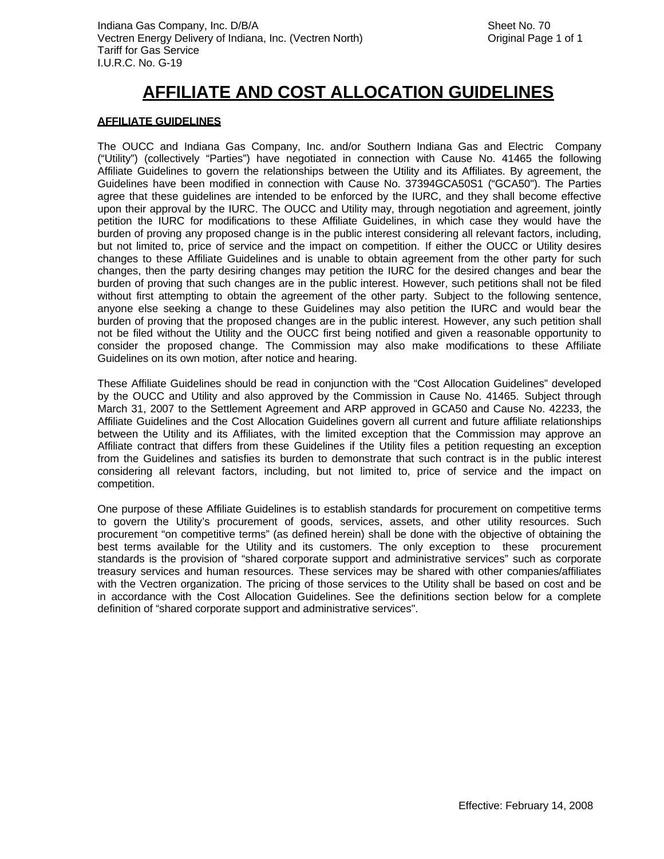#### **AFFILIATE GUIDELINES**

The OUCC and Indiana Gas Company, Inc. and/or Southern Indiana Gas and Electric Company ("Utility") (collectively "Parties") have negotiated in connection with Cause No. 41465 the following Affiliate Guidelines to govern the relationships between the Utility and its Affiliates. By agreement, the Guidelines have been modified in connection with Cause No. 37394GCA50S1 ("GCA50"). The Parties agree that these guidelines are intended to be enforced by the IURC, and they shall become effective upon their approval by the IURC. The OUCC and Utility may, through negotiation and agreement, jointly petition the IURC for modifications to these Affiliate Guidelines, in which case they would have the burden of proving any proposed change is in the public interest considering all relevant factors, including, but not limited to, price of service and the impact on competition. If either the OUCC or Utility desires changes to these Affiliate Guidelines and is unable to obtain agreement from the other party for such changes, then the party desiring changes may petition the IURC for the desired changes and bear the burden of proving that such changes are in the public interest. However, such petitions shall not be filed without first attempting to obtain the agreement of the other party. Subject to the following sentence, anyone else seeking a change to these Guidelines may also petition the IURC and would bear the burden of proving that the proposed changes are in the public interest. However, any such petition shall not be filed without the Utility and the OUCC first being notified and given a reasonable opportunity to consider the proposed change. The Commission may also make modifications to these Affiliate Guidelines on its own motion, after notice and hearing.

These Affiliate Guidelines should be read in conjunction with the "Cost Allocation Guidelines" developed by the OUCC and Utility and also approved by the Commission in Cause No. 41465. Subject through March 31, 2007 to the Settlement Agreement and ARP approved in GCA50 and Cause No. 42233, the Affiliate Guidelines and the Cost Allocation Guidelines govern all current and future affiliate relationships between the Utility and its Affiliates, with the limited exception that the Commission may approve an Affiliate contract that differs from these Guidelines if the Utility files a petition requesting an exception from the Guidelines and satisfies its burden to demonstrate that such contract is in the public interest considering all relevant factors, including, but not limited to, price of service and the impact on competition.

One purpose of these Affiliate Guidelines is to establish standards for procurement on competitive terms to govern the Utility's procurement of goods, services, assets, and other utility resources. Such procurement "on competitive terms" (as defined herein) shall be done with the objective of obtaining the best terms available for the Utility and its customers. The only exception to these procurement standards is the provision of "shared corporate support and administrative services" such as corporate treasury services and human resources. These services may be shared with other companies/affiliates with the Vectren organization. The pricing of those services to the Utility shall be based on cost and be in accordance with the Cost Allocation Guidelines. See the definitions section below for a complete definition of "shared corporate support and administrative services".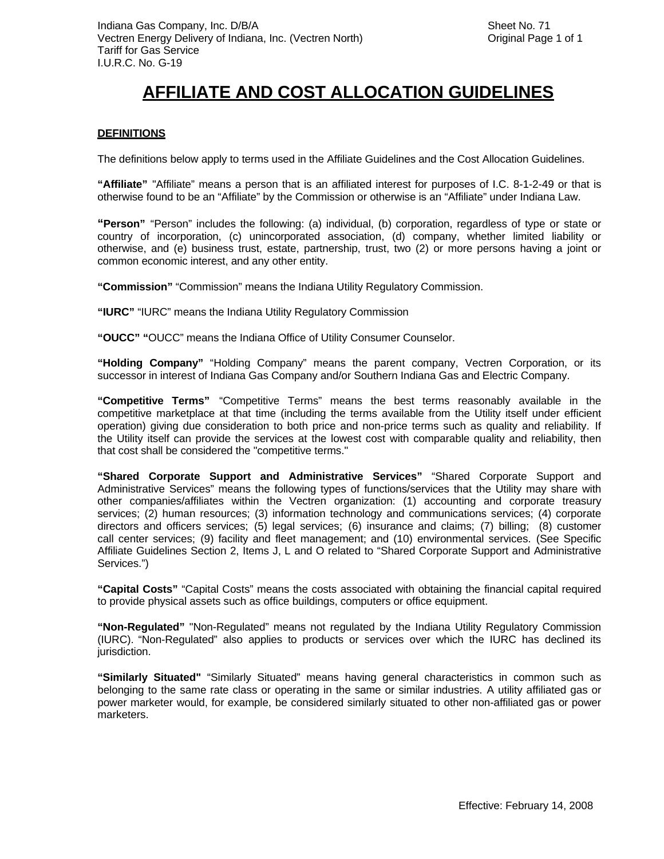#### **DEFINITIONS**

The definitions below apply to terms used in the Affiliate Guidelines and the Cost Allocation Guidelines.

**"Affiliate"** "Affiliate" means a person that is an affiliated interest for purposes of I.C. 8-1-2-49 or that is otherwise found to be an "Affiliate" by the Commission or otherwise is an "Affiliate" under Indiana Law.

**"Person"** "Person" includes the following: (a) individual, (b) corporation, regardless of type or state or country of incorporation, (c) unincorporated association, (d) company, whether limited liability or otherwise, and (e) business trust, estate, partnership, trust, two (2) or more persons having a joint or common economic interest, and any other entity.

**"Commission"** "Commission" means the Indiana Utility Regulatory Commission.

**"IURC"** "IURC" means the Indiana Utility Regulatory Commission

**"OUCC" "**OUCC" means the Indiana Office of Utility Consumer Counselor.

**"Holding Company"** "Holding Company" means the parent company, Vectren Corporation, or its successor in interest of Indiana Gas Company and/or Southern Indiana Gas and Electric Company.

**"Competitive Terms"** "Competitive Terms" means the best terms reasonably available in the competitive marketplace at that time (including the terms available from the Utility itself under efficient operation) giving due consideration to both price and non-price terms such as quality and reliability. If the Utility itself can provide the services at the lowest cost with comparable quality and reliability, then that cost shall be considered the "competitive terms."

**"Shared Corporate Support and Administrative Services"** "Shared Corporate Support and Administrative Services" means the following types of functions/services that the Utility may share with other companies/affiliates within the Vectren organization: (1) accounting and corporate treasury services; (2) human resources; (3) information technology and communications services; (4) corporate directors and officers services; (5) legal services; (6) insurance and claims; (7) billing; (8) customer call center services; (9) facility and fleet management; and (10) environmental services. (See Specific Affiliate Guidelines Section 2, Items J, L and O related to "Shared Corporate Support and Administrative Services.")

**"Capital Costs"** "Capital Costs" means the costs associated with obtaining the financial capital required to provide physical assets such as office buildings, computers or office equipment.

**"Non-Regulated"** "Non-Regulated" means not regulated by the Indiana Utility Regulatory Commission (IURC). "Non-Regulated" also applies to products or services over which the IURC has declined its jurisdiction.

**"Similarly Situated"** "Similarly Situated" means having general characteristics in common such as belonging to the same rate class or operating in the same or similar industries. A utility affiliated gas or power marketer would, for example, be considered similarly situated to other non-affiliated gas or power marketers.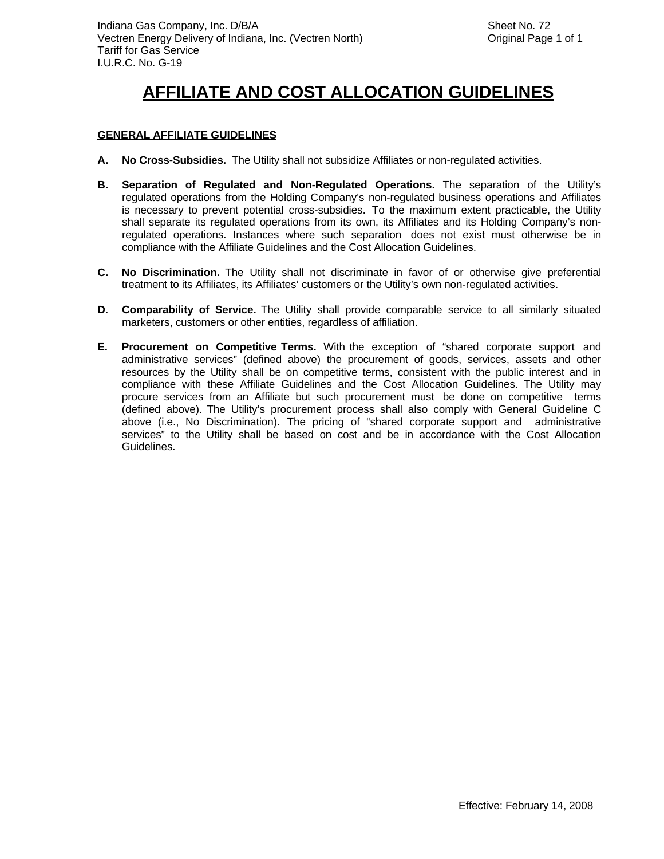#### **GENERAL AFFILIATE GUIDELINES**

- **A. No Cross-Subsidies.** The Utility shall not subsidize Affiliates or non-regulated activities.
- **B. Separation of Regulated and Non-Regulated Operations.** The separation of the Utility's regulated operations from the Holding Company's non-regulated business operations and Affiliates is necessary to prevent potential cross-subsidies. To the maximum extent practicable, the Utility shall separate its regulated operations from its own, its Affiliates and its Holding Company's nonregulated operations. Instances where such separation does not exist must otherwise be in compliance with the Affiliate Guidelines and the Cost Allocation Guidelines.
- **C. No Discrimination.** The Utility shall not discriminate in favor of or otherwise give preferential treatment to its Affiliates, its Affiliates' customers or the Utility's own non-regulated activities.
- **D. Comparability of Service.** The Utility shall provide comparable service to all similarly situated marketers, customers or other entities, regardless of affiliation.
- **E. Procurement on Competitive Terms.** With the exception of "shared corporate support and administrative services" (defined above) the procurement of goods, services, assets and other resources by the Utility shall be on competitive terms, consistent with the public interest and in compliance with these Affiliate Guidelines and the Cost Allocation Guidelines. The Utility may procure services from an Affiliate but such procurement must be done on competitive terms (defined above). The Utility's procurement process shall also comply with General Guideline C above (i.e., No Discrimination). The pricing of "shared corporate support and administrative services" to the Utility shall be based on cost and be in accordance with the Cost Allocation Guidelines.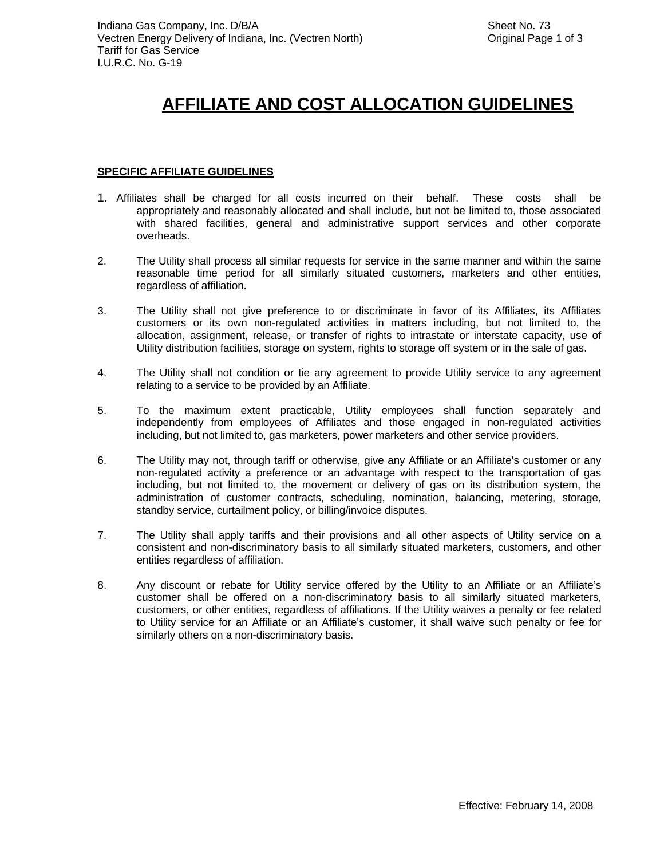#### **SPECIFIC AFFILIATE GUIDELINES**

- 1. Affiliates shall be charged for all costs incurred on their behalf. These costs shall be appropriately and reasonably allocated and shall include, but not be limited to, those associated with shared facilities, general and administrative support services and other corporate overheads.
- 2. The Utility shall process all similar requests for service in the same manner and within the same reasonable time period for all similarly situated customers, marketers and other entities, regardless of affiliation.
- 3. The Utility shall not give preference to or discriminate in favor of its Affiliates, its Affiliates customers or its own non-regulated activities in matters including, but not limited to, the allocation, assignment, release, or transfer of rights to intrastate or interstate capacity, use of Utility distribution facilities, storage on system, rights to storage off system or in the sale of gas.
- 4. The Utility shall not condition or tie any agreement to provide Utility service to any agreement relating to a service to be provided by an Affiliate.
- 5. To the maximum extent practicable, Utility employees shall function separately and independently from employees of Affiliates and those engaged in non-regulated activities including, but not limited to, gas marketers, power marketers and other service providers.
- 6. The Utility may not, through tariff or otherwise, give any Affiliate or an Affiliate's customer or any non-regulated activity a preference or an advantage with respect to the transportation of gas including, but not limited to, the movement or delivery of gas on its distribution system, the administration of customer contracts, scheduling, nomination, balancing, metering, storage, standby service, curtailment policy, or billing/invoice disputes.
- 7. The Utility shall apply tariffs and their provisions and all other aspects of Utility service on a consistent and non-discriminatory basis to all similarly situated marketers, customers, and other entities regardless of affiliation.
- 8. Any discount or rebate for Utility service offered by the Utility to an Affiliate or an Affiliate's customer shall be offered on a non-discriminatory basis to all similarly situated marketers, customers, or other entities, regardless of affiliations. If the Utility waives a penalty or fee related to Utility service for an Affiliate or an Affiliate's customer, it shall waive such penalty or fee for similarly others on a non-discriminatory basis.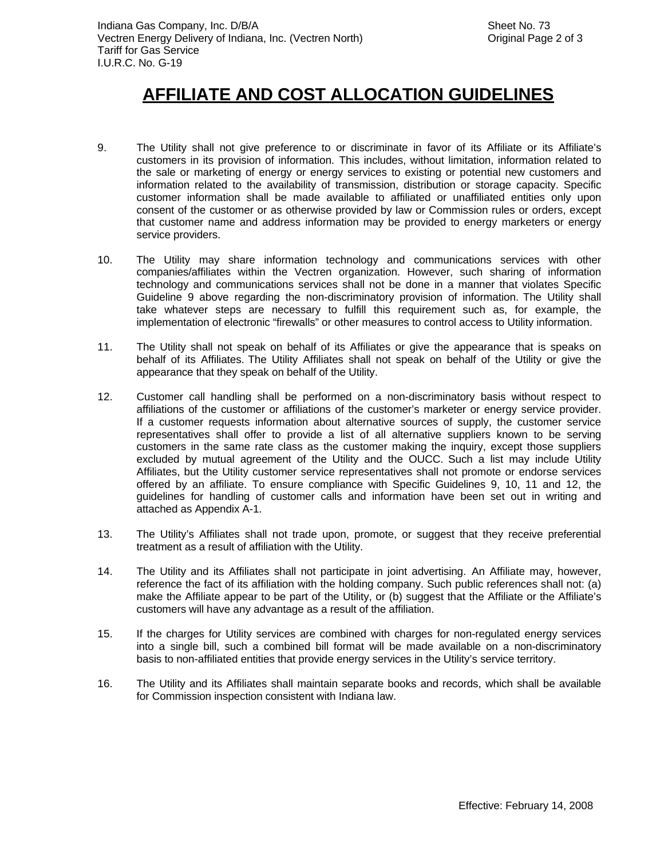- 9. The Utility shall not give preference to or discriminate in favor of its Affiliate or its Affiliate's customers in its provision of information. This includes, without limitation, information related to the sale or marketing of energy or energy services to existing or potential new customers and information related to the availability of transmission, distribution or storage capacity. Specific customer information shall be made available to affiliated or unaffiliated entities only upon consent of the customer or as otherwise provided by law or Commission rules or orders, except that customer name and address information may be provided to energy marketers or energy service providers.
- 10. The Utility may share information technology and communications services with other companies/affiliates within the Vectren organization. However, such sharing of information technology and communications services shall not be done in a manner that violates Specific Guideline 9 above regarding the non-discriminatory provision of information. The Utility shall take whatever steps are necessary to fulfill this requirement such as, for example, the implementation of electronic "firewalls" or other measures to control access to Utility information.
- 11. The Utility shall not speak on behalf of its Affiliates or give the appearance that is speaks on behalf of its Affiliates. The Utility Affiliates shall not speak on behalf of the Utility or give the appearance that they speak on behalf of the Utility.
- 12. Customer call handling shall be performed on a non-discriminatory basis without respect to affiliations of the customer or affiliations of the customer's marketer or energy service provider. If a customer requests information about alternative sources of supply, the customer service representatives shall offer to provide a list of all alternative suppliers known to be serving customers in the same rate class as the customer making the inquiry, except those suppliers excluded by mutual agreement of the Utility and the OUCC. Such a list may include Utility Affiliates, but the Utility customer service representatives shall not promote or endorse services offered by an affiliate. To ensure compliance with Specific Guidelines 9, 10, 11 and 12, the guidelines for handling of customer calls and information have been set out in writing and attached as Appendix A-1.
- 13. The Utility's Affiliates shall not trade upon, promote, or suggest that they receive preferential treatment as a result of affiliation with the Utility.
- 14. The Utility and its Affiliates shall not participate in joint advertising. An Affiliate may, however, reference the fact of its affiliation with the holding company. Such public references shall not: (a) make the Affiliate appear to be part of the Utility, or (b) suggest that the Affiliate or the Affiliate's customers will have any advantage as a result of the affiliation.
- 15. If the charges for Utility services are combined with charges for non-regulated energy services into a single bill, such a combined bill format will be made available on a non-discriminatory basis to non-affiliated entities that provide energy services in the Utility's service territory.
- 16. The Utility and its Affiliates shall maintain separate books and records, which shall be available for Commission inspection consistent with Indiana law.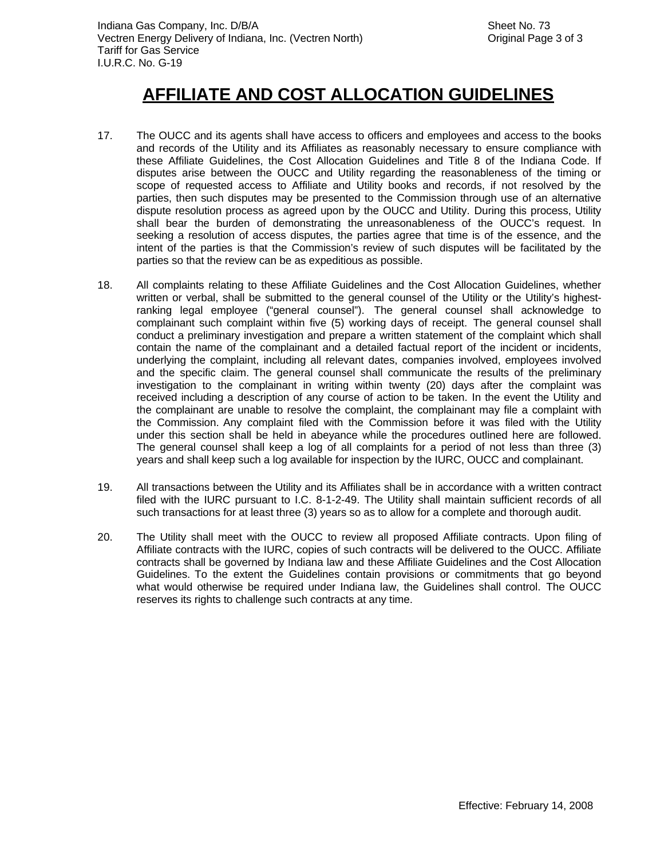- 17. The OUCC and its agents shall have access to officers and employees and access to the books and records of the Utility and its Affiliates as reasonably necessary to ensure compliance with these Affiliate Guidelines, the Cost Allocation Guidelines and Title 8 of the Indiana Code. If disputes arise between the OUCC and Utility regarding the reasonableness of the timing or scope of requested access to Affiliate and Utility books and records, if not resolved by the parties, then such disputes may be presented to the Commission through use of an alternative dispute resolution process as agreed upon by the OUCC and Utility. During this process, Utility shall bear the burden of demonstrating the unreasonableness of the OUCC's request. In seeking a resolution of access disputes, the parties agree that time is of the essence, and the intent of the parties is that the Commission's review of such disputes will be facilitated by the parties so that the review can be as expeditious as possible.
- 18. All complaints relating to these Affiliate Guidelines and the Cost Allocation Guidelines, whether written or verbal, shall be submitted to the general counsel of the Utility or the Utility's highestranking legal employee ("general counsel"). The general counsel shall acknowledge to complainant such complaint within five (5) working days of receipt. The general counsel shall conduct a preliminary investigation and prepare a written statement of the complaint which shall contain the name of the complainant and a detailed factual report of the incident or incidents, underlying the complaint, including all relevant dates, companies involved, employees involved and the specific claim. The general counsel shall communicate the results of the preliminary investigation to the complainant in writing within twenty (20) days after the complaint was received including a description of any course of action to be taken. In the event the Utility and the complainant are unable to resolve the complaint, the complainant may file a complaint with the Commission. Any complaint filed with the Commission before it was filed with the Utility under this section shall be held in abeyance while the procedures outlined here are followed. The general counsel shall keep a log of all complaints for a period of not less than three (3) years and shall keep such a log available for inspection by the IURC, OUCC and complainant.
- 19. All transactions between the Utility and its Affiliates shall be in accordance with a written contract filed with the IURC pursuant to I.C. 8-1-2-49. The Utility shall maintain sufficient records of all such transactions for at least three (3) years so as to allow for a complete and thorough audit.
- 20. The Utility shall meet with the OUCC to review all proposed Affiliate contracts. Upon filing of Affiliate contracts with the IURC, copies of such contracts will be delivered to the OUCC. Affiliate contracts shall be governed by Indiana law and these Affiliate Guidelines and the Cost Allocation Guidelines. To the extent the Guidelines contain provisions or commitments that go beyond what would otherwise be required under Indiana law, the Guidelines shall control. The OUCC reserves its rights to challenge such contracts at any time.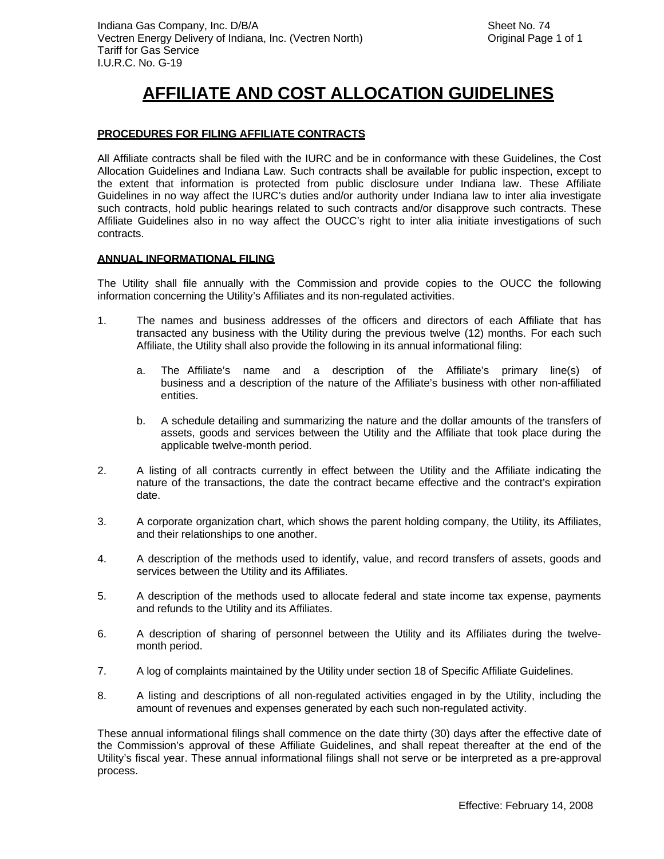#### **PROCEDURES FOR FILING AFFILIATE CONTRACTS**

All Affiliate contracts shall be filed with the IURC and be in conformance with these Guidelines, the Cost Allocation Guidelines and Indiana Law. Such contracts shall be available for public inspection, except to the extent that information is protected from public disclosure under Indiana law. These Affiliate Guidelines in no way affect the IURC's duties and/or authority under Indiana law to inter alia investigate such contracts, hold public hearings related to such contracts and/or disapprove such contracts. These Affiliate Guidelines also in no way affect the OUCC's right to inter alia initiate investigations of such contracts.

#### **ANNUAL INFORMATIONAL FILING**

The Utility shall file annually with the Commission and provide copies to the OUCC the following information concerning the Utility's Affiliates and its non-regulated activities.

- 1. The names and business addresses of the officers and directors of each Affiliate that has transacted any business with the Utility during the previous twelve (12) months. For each such Affiliate, the Utility shall also provide the following in its annual informational filing:
	- a. The Affiliate's name and a description of the Affiliate's primary line(s) of business and a description of the nature of the Affiliate's business with other non-affiliated entities.
	- b. A schedule detailing and summarizing the nature and the dollar amounts of the transfers of assets, goods and services between the Utility and the Affiliate that took place during the applicable twelve-month period.
- 2. A listing of all contracts currently in effect between the Utility and the Affiliate indicating the nature of the transactions, the date the contract became effective and the contract's expiration date.
- 3. A corporate organization chart, which shows the parent holding company, the Utility, its Affiliates, and their relationships to one another.
- 4. A description of the methods used to identify, value, and record transfers of assets, goods and services between the Utility and its Affiliates.
- 5. A description of the methods used to allocate federal and state income tax expense, payments and refunds to the Utility and its Affiliates.
- 6. A description of sharing of personnel between the Utility and its Affiliates during the twelvemonth period.
- 7. A log of complaints maintained by the Utility under section 18 of Specific Affiliate Guidelines.
- 8. A listing and descriptions of all non-regulated activities engaged in by the Utility, including the amount of revenues and expenses generated by each such non-regulated activity.

These annual informational filings shall commence on the date thirty (30) days after the effective date of the Commission's approval of these Affiliate Guidelines, and shall repeat thereafter at the end of the Utility's fiscal year. These annual informational filings shall not serve or be interpreted as a pre-approval process.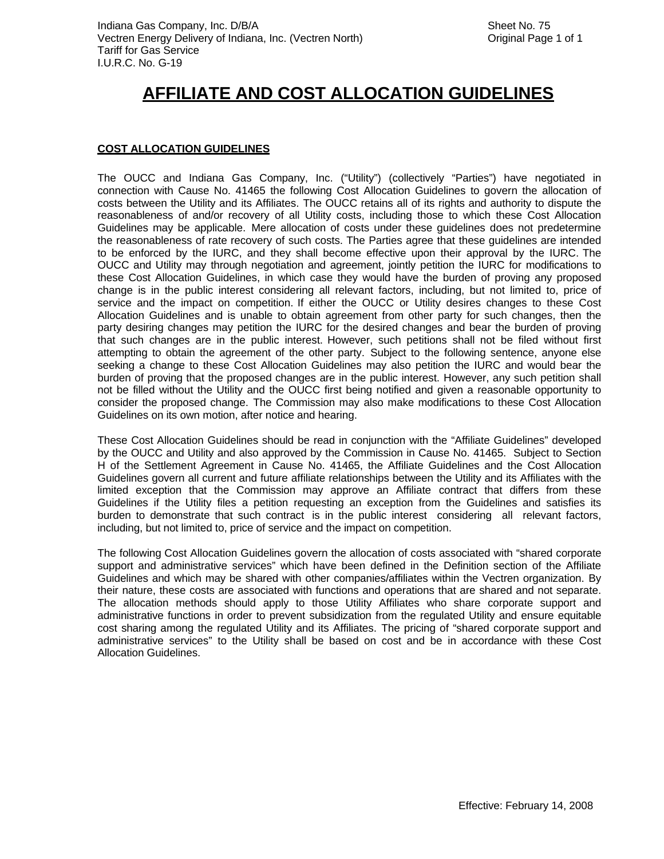### **COST ALLOCATION GUIDELINES**

The OUCC and Indiana Gas Company, Inc. ("Utility") (collectively "Parties") have negotiated in connection with Cause No. 41465 the following Cost Allocation Guidelines to govern the allocation of costs between the Utility and its Affiliates. The OUCC retains all of its rights and authority to dispute the reasonableness of and/or recovery of all Utility costs, including those to which these Cost Allocation Guidelines may be applicable. Mere allocation of costs under these guidelines does not predetermine the reasonableness of rate recovery of such costs. The Parties agree that these guidelines are intended to be enforced by the IURC, and they shall become effective upon their approval by the IURC. The OUCC and Utility may through negotiation and agreement, jointly petition the IURC for modifications to these Cost Allocation Guidelines, in which case they would have the burden of proving any proposed change is in the public interest considering all relevant factors, including, but not limited to, price of service and the impact on competition. If either the OUCC or Utility desires changes to these Cost Allocation Guidelines and is unable to obtain agreement from other party for such changes, then the party desiring changes may petition the IURC for the desired changes and bear the burden of proving that such changes are in the public interest. However, such petitions shall not be filed without first attempting to obtain the agreement of the other party. Subject to the following sentence, anyone else seeking a change to these Cost Allocation Guidelines may also petition the IURC and would bear the burden of proving that the proposed changes are in the public interest. However, any such petition shall not be filled without the Utility and the OUCC first being notified and given a reasonable opportunity to consider the proposed change. The Commission may also make modifications to these Cost Allocation Guidelines on its own motion, after notice and hearing.

These Cost Allocation Guidelines should be read in conjunction with the "Affiliate Guidelines" developed by the OUCC and Utility and also approved by the Commission in Cause No. 41465. Subject to Section H of the Settlement Agreement in Cause No. 41465, the Affiliate Guidelines and the Cost Allocation Guidelines govern all current and future affiliate relationships between the Utility and its Affiliates with the limited exception that the Commission may approve an Affiliate contract that differs from these Guidelines if the Utility files a petition requesting an exception from the Guidelines and satisfies its burden to demonstrate that such contract is in the public interest considering all relevant factors, including, but not limited to, price of service and the impact on competition.

The following Cost Allocation Guidelines govern the allocation of costs associated with "shared corporate support and administrative services" which have been defined in the Definition section of the Affiliate Guidelines and which may be shared with other companies/affiliates within the Vectren organization. By their nature, these costs are associated with functions and operations that are shared and not separate. The allocation methods should apply to those Utility Affiliates who share corporate support and administrative functions in order to prevent subsidization from the regulated Utility and ensure equitable cost sharing among the regulated Utility and its Affiliates. The pricing of "shared corporate support and administrative services" to the Utility shall be based on cost and be in accordance with these Cost Allocation Guidelines.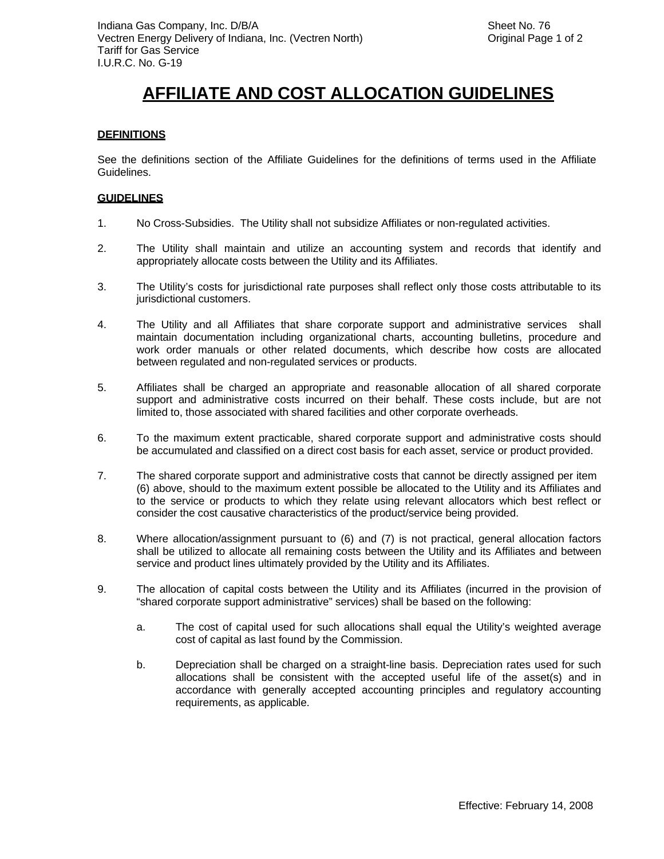#### **DEFINITIONS**

See the definitions section of the Affiliate Guidelines for the definitions of terms used in the Affiliate Guidelines.

#### **GUIDELINES**

- 1. No Cross-Subsidies. The Utility shall not subsidize Affiliates or non-regulated activities.
- 2. The Utility shall maintain and utilize an accounting system and records that identify and appropriately allocate costs between the Utility and its Affiliates.
- 3. The Utility's costs for jurisdictional rate purposes shall reflect only those costs attributable to its jurisdictional customers.
- 4. The Utility and all Affiliates that share corporate support and administrative services shall maintain documentation including organizational charts, accounting bulletins, procedure and work order manuals or other related documents, which describe how costs are allocated between regulated and non-regulated services or products.
- 5. Affiliates shall be charged an appropriate and reasonable allocation of all shared corporate support and administrative costs incurred on their behalf. These costs include, but are not limited to, those associated with shared facilities and other corporate overheads.
- 6. To the maximum extent practicable, shared corporate support and administrative costs should be accumulated and classified on a direct cost basis for each asset, service or product provided.
- 7. The shared corporate support and administrative costs that cannot be directly assigned per item (6) above, should to the maximum extent possible be allocated to the Utility and its Affiliates and to the service or products to which they relate using relevant allocators which best reflect or consider the cost causative characteristics of the product/service being provided.
- 8. Where allocation/assignment pursuant to (6) and (7) is not practical, general allocation factors shall be utilized to allocate all remaining costs between the Utility and its Affiliates and between service and product lines ultimately provided by the Utility and its Affiliates.
- 9. The allocation of capital costs between the Utility and its Affiliates (incurred in the provision of "shared corporate support administrative" services) shall be based on the following:
	- a. The cost of capital used for such allocations shall equal the Utility's weighted average cost of capital as last found by the Commission.
	- b. Depreciation shall be charged on a straight-line basis. Depreciation rates used for such allocations shall be consistent with the accepted useful life of the asset(s) and in accordance with generally accepted accounting principles and regulatory accounting requirements, as applicable.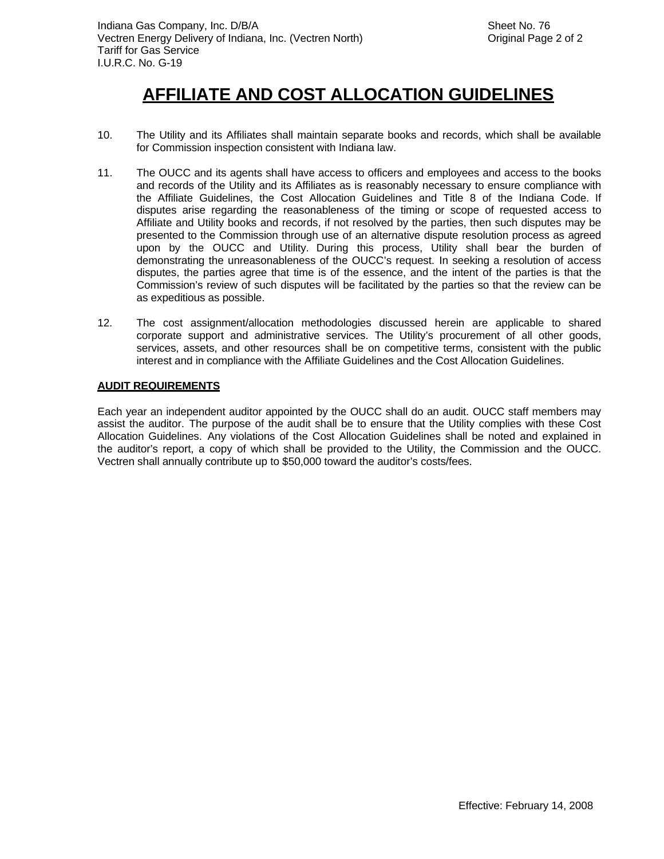- 10. The Utility and its Affiliates shall maintain separate books and records, which shall be available for Commission inspection consistent with Indiana law.
- 11. The OUCC and its agents shall have access to officers and employees and access to the books and records of the Utility and its Affiliates as is reasonably necessary to ensure compliance with the Affiliate Guidelines, the Cost Allocation Guidelines and Title 8 of the Indiana Code. If disputes arise regarding the reasonableness of the timing or scope of requested access to Affiliate and Utility books and records, if not resolved by the parties, then such disputes may be presented to the Commission through use of an alternative dispute resolution process as agreed upon by the OUCC and Utility. During this process, Utility shall bear the burden of demonstrating the unreasonableness of the OUCC's request. In seeking a resolution of access disputes, the parties agree that time is of the essence, and the intent of the parties is that the Commission's review of such disputes will be facilitated by the parties so that the review can be as expeditious as possible.
- 12. The cost assignment/allocation methodologies discussed herein are applicable to shared corporate support and administrative services. The Utility's procurement of all other goods, services, assets, and other resources shall be on competitive terms, consistent with the public interest and in compliance with the Affiliate Guidelines and the Cost Allocation Guidelines.

#### **AUDIT REQUIREMENTS**

Each year an independent auditor appointed by the OUCC shall do an audit. OUCC staff members may assist the auditor. The purpose of the audit shall be to ensure that the Utility complies with these Cost Allocation Guidelines. Any violations of the Cost Allocation Guidelines shall be noted and explained in the auditor's report, a copy of which shall be provided to the Utility, the Commission and the OUCC. Vectren shall annually contribute up to \$50,000 toward the auditor's costs/fees.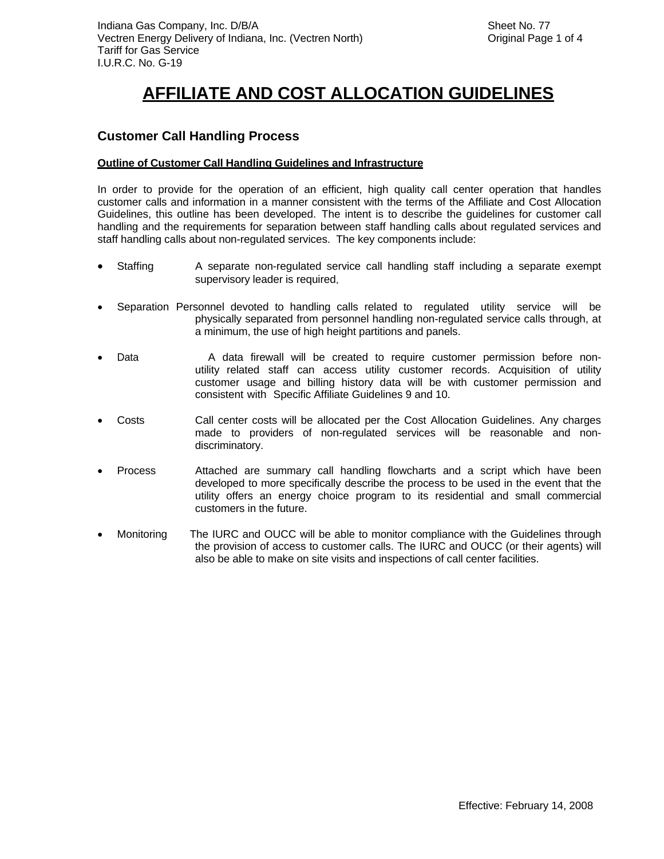### **Customer Call Handling Process**

#### **Outline of Customer Call Handling Guidelines and Infrastructure**

In order to provide for the operation of an efficient, high quality call center operation that handles customer calls and information in a manner consistent with the terms of the Affiliate and Cost Allocation Guidelines, this outline has been developed. The intent is to describe the guidelines for customer call handling and the requirements for separation between staff handling calls about regulated services and staff handling calls about non-regulated services. The key components include:

- Staffing A separate non-regulated service call handling staff including a separate exempt supervisory leader is required.
- Separation Personnel devoted to handling calls related to regulated utility service will be physically separated from personnel handling non-regulated service calls through, at a minimum, the use of high height partitions and panels.
- Data A data firewall will be created to require customer permission before nonutility related staff can access utility customer records. Acquisition of utility customer usage and billing history data will be with customer permission and consistent with Specific Affiliate Guidelines 9 and 10.
- Costs Call center costs will be allocated per the Cost Allocation Guidelines. Any charges made to providers of non-regulated services will be reasonable and nondiscriminatory.
- Process Attached are summary call handling flowcharts and a script which have been developed to more specifically describe the process to be used in the event that the utility offers an energy choice program to its residential and small commercial customers in the future.
- Monitoring The IURC and OUCC will be able to monitor compliance with the Guidelines through the provision of access to customer calls. The IURC and OUCC (or their agents) will also be able to make on site visits and inspections of call center facilities.